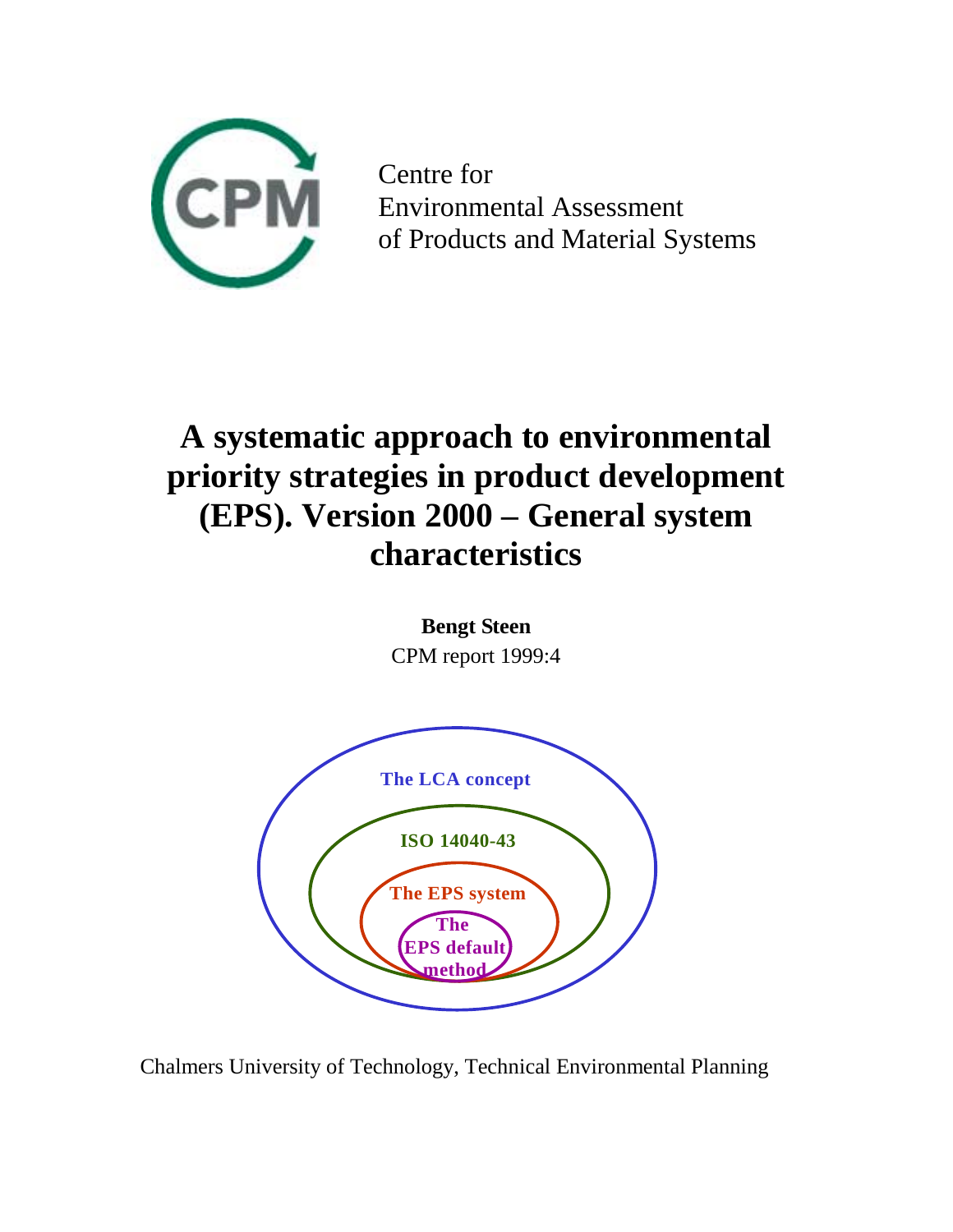

Centre for Environmental Assessment of Products and Material Systems

# **A systematic approach to environmental priority strategies in product development (EPS). Version 2000 – General system characteristics**

**Bengt Steen**  CPM report 1999:4



Chalmers University of Technology, Technical Environmental Planning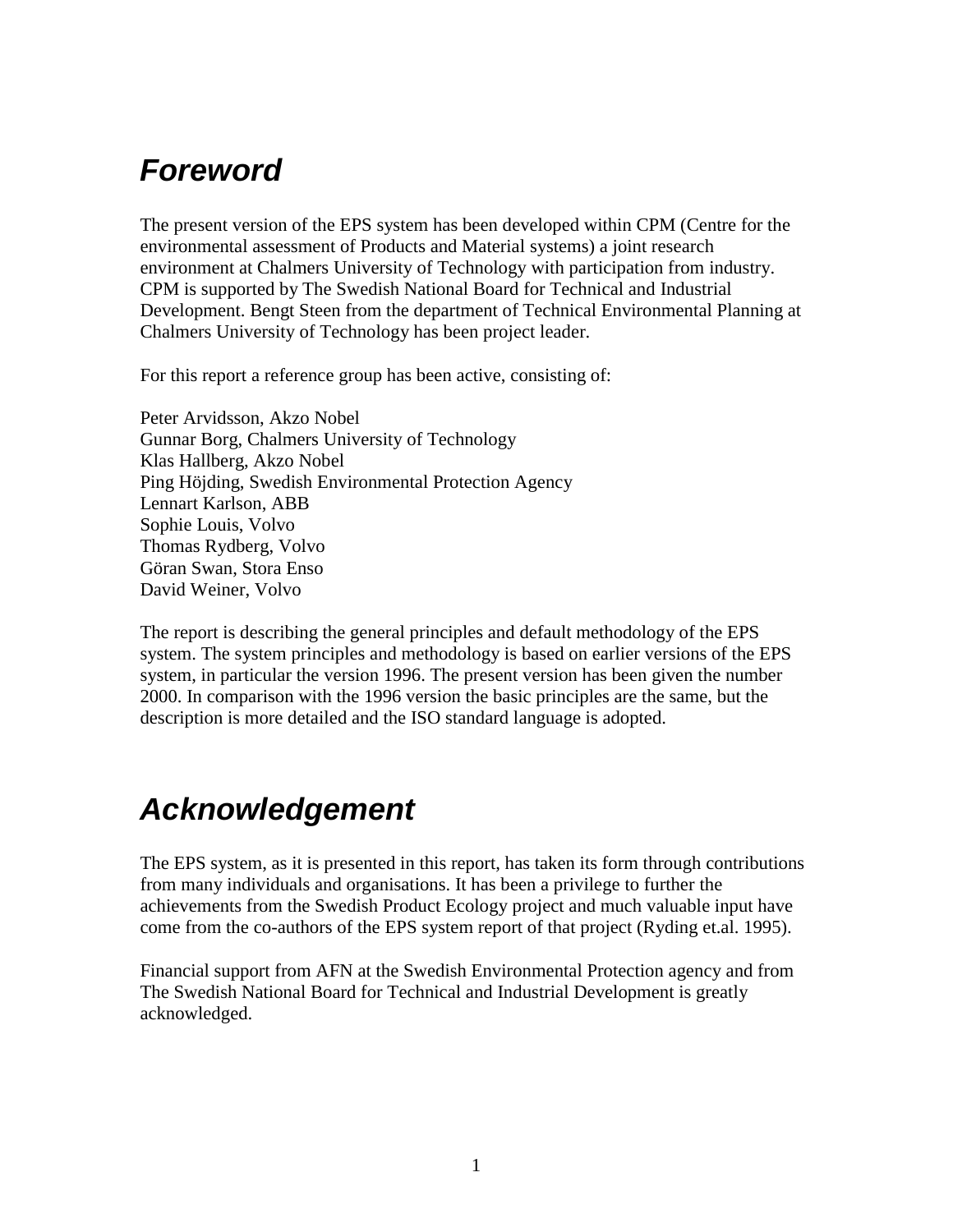# *Foreword*

The present version of the EPS system has been developed within CPM (Centre for the environmental assessment of Products and Material systems) a joint research environment at Chalmers University of Technology with participation from industry. CPM is supported by The Swedish National Board for Technical and Industrial Development. Bengt Steen from the department of Technical Environmental Planning at Chalmers University of Technology has been project leader.

For this report a reference group has been active, consisting of:

Peter Arvidsson, Akzo Nobel Gunnar Borg, Chalmers University of Technology Klas Hallberg, Akzo Nobel Ping Höjding, Swedish Environmental Protection Agency Lennart Karlson, ABB Sophie Louis, Volvo Thomas Rydberg, Volvo Göran Swan, Stora Enso David Weiner, Volvo

The report is describing the general principles and default methodology of the EPS system. The system principles and methodology is based on earlier versions of the EPS system, in particular the version 1996. The present version has been given the number 2000. In comparison with the 1996 version the basic principles are the same, but the description is more detailed and the ISO standard language is adopted.

# *Acknowledgement*

The EPS system, as it is presented in this report, has taken its form through contributions from many individuals and organisations. It has been a privilege to further the achievements from the Swedish Product Ecology project and much valuable input have come from the co-authors of the EPS system report of that project (Ryding et.al. 1995).

Financial support from AFN at the Swedish Environmental Protection agency and from The Swedish National Board for Technical and Industrial Development is greatly acknowledged.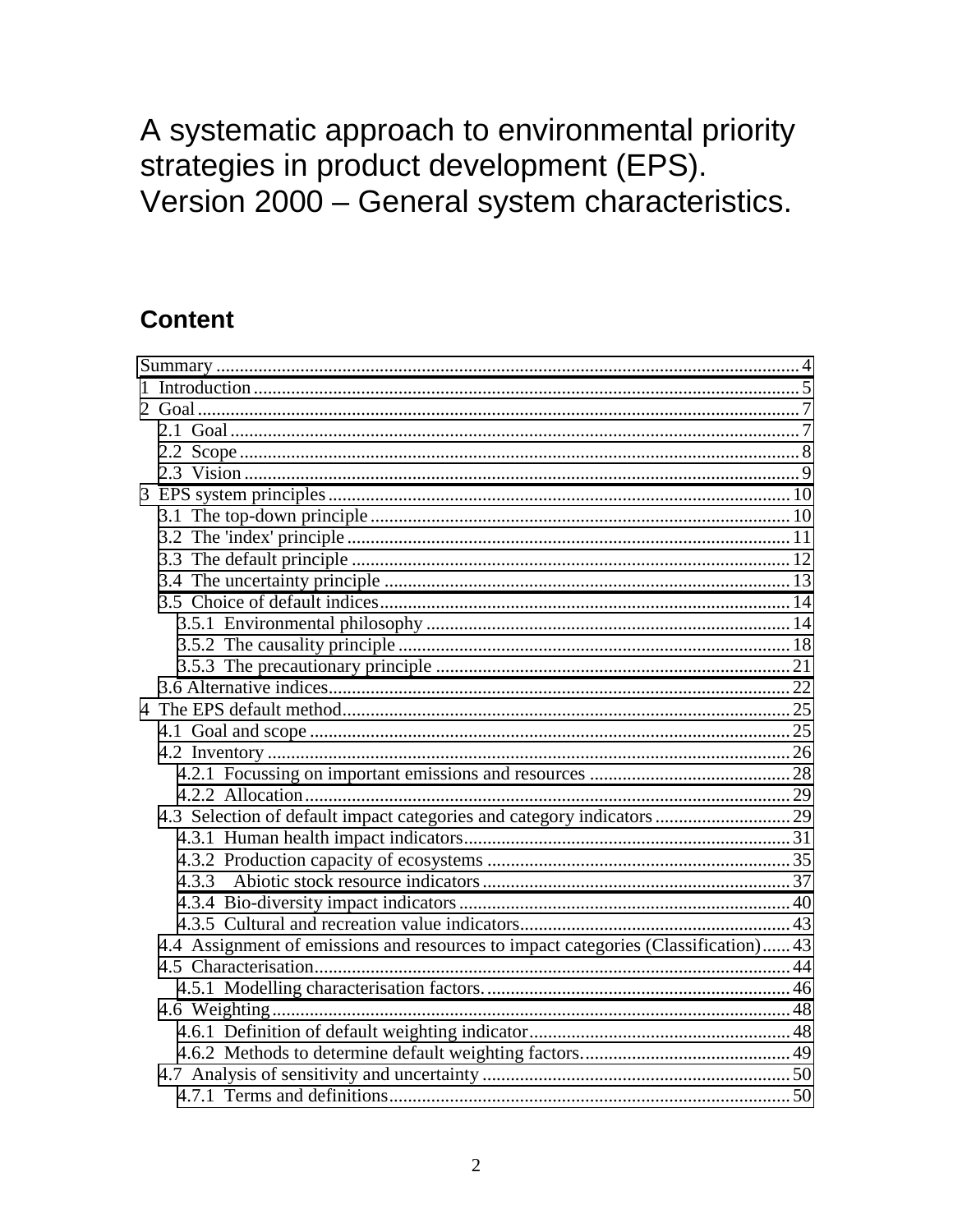A systematic approach to environmental priority strategies in product development (EPS). Version 2000 - General system characteristics.

# **Content**

| 4.3 Selection of default impact categories and category indicators  29             |  |
|------------------------------------------------------------------------------------|--|
|                                                                                    |  |
|                                                                                    |  |
|                                                                                    |  |
|                                                                                    |  |
|                                                                                    |  |
| 4.4 Assignment of emissions and resources to impact categories (Classification) 43 |  |
|                                                                                    |  |
|                                                                                    |  |
|                                                                                    |  |
|                                                                                    |  |
|                                                                                    |  |
|                                                                                    |  |
|                                                                                    |  |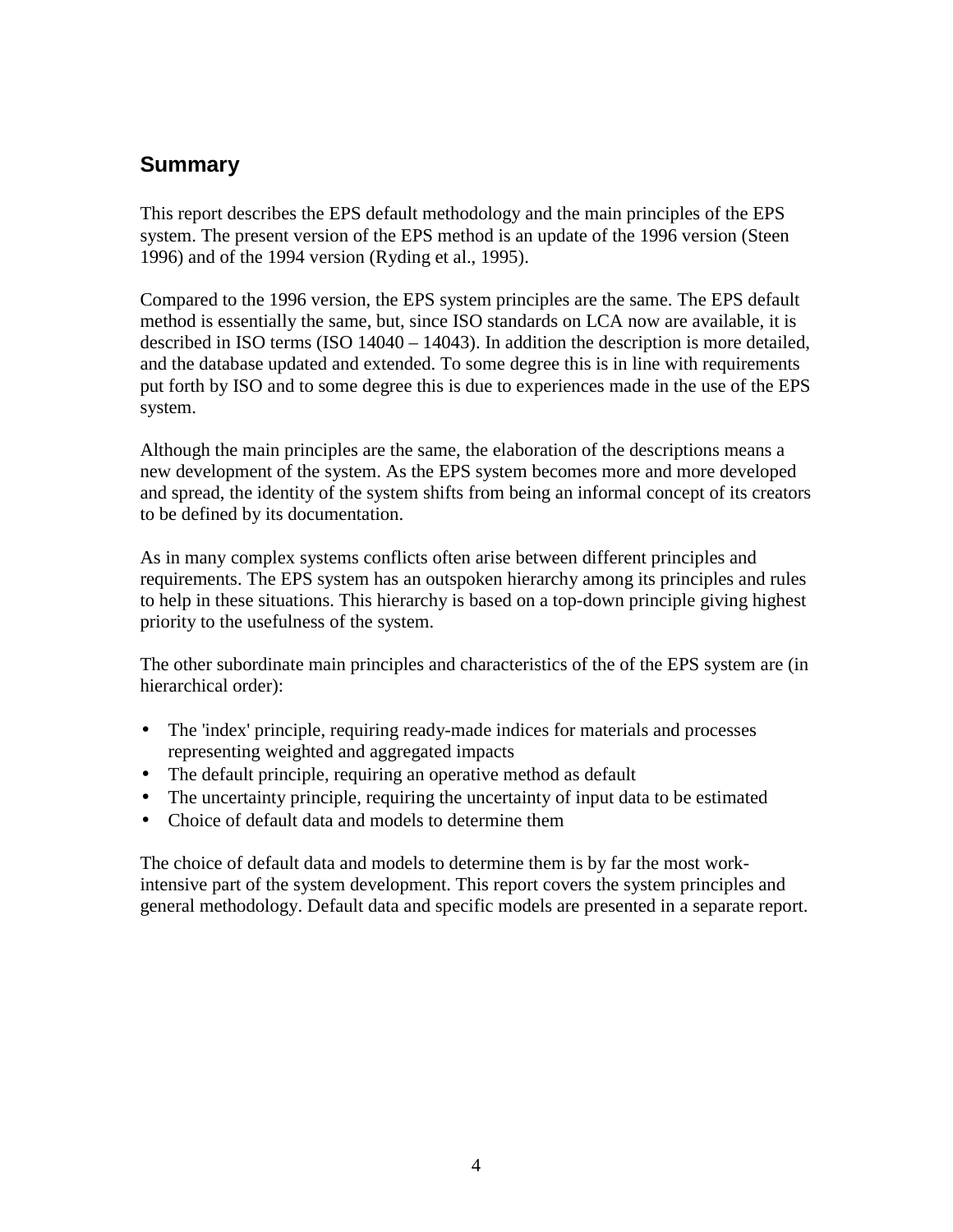# <span id="page-4-0"></span>**Summary**

This report describes the EPS default methodology and the main principles of the EPS system. The present version of the EPS method is an update of the 1996 version (Steen 1996) and of the 1994 version (Ryding et al., 1995).

Compared to the 1996 version, the EPS system principles are the same. The EPS default method is essentially the same, but, since ISO standards on LCA now are available, it is described in ISO terms (ISO 14040 – 14043). In addition the description is more detailed, and the database updated and extended. To some degree this is in line with requirements put forth by ISO and to some degree this is due to experiences made in the use of the EPS system.

Although the main principles are the same, the elaboration of the descriptions means a new development of the system. As the EPS system becomes more and more developed and spread, the identity of the system shifts from being an informal concept of its creators to be defined by its documentation.

As in many complex systems conflicts often arise between different principles and requirements. The EPS system has an outspoken hierarchy among its principles and rules to help in these situations. This hierarchy is based on a top-down principle giving highest priority to the usefulness of the system.

The other subordinate main principles and characteristics of the of the EPS system are (in hierarchical order):

- The 'index' principle, requiring ready-made indices for materials and processes representing weighted and aggregated impacts
- The default principle, requiring an operative method as default
- The uncertainty principle, requiring the uncertainty of input data to be estimated
- Choice of default data and models to determine them

The choice of default data and models to determine them is by far the most workintensive part of the system development. This report covers the system principles and general methodology. Default data and specific models are presented in a separate report.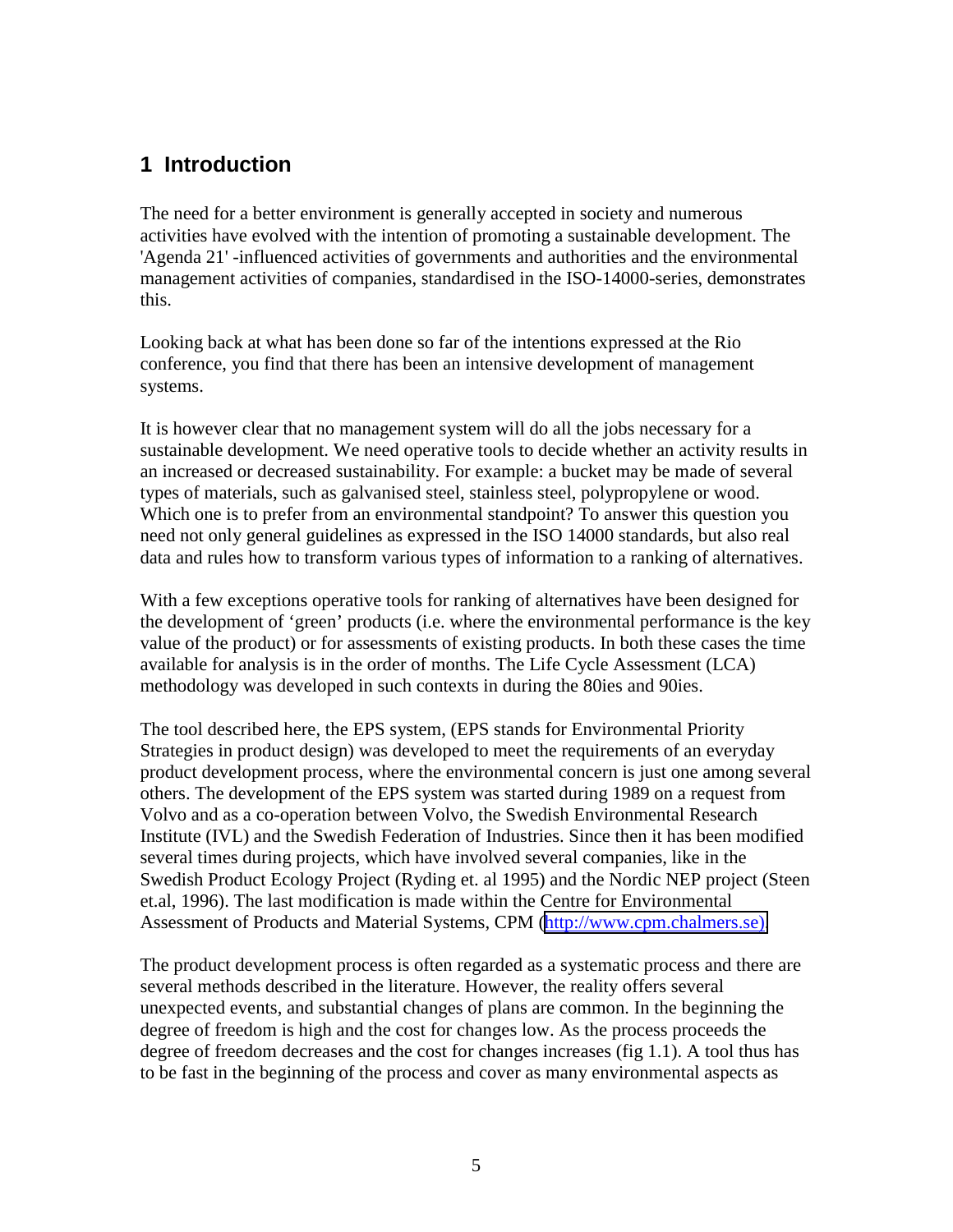# <span id="page-5-0"></span>**1 Introduction**

The need for a better environment is generally accepted in society and numerous activities have evolved with the intention of promoting a sustainable development. The 'Agenda 21' -influenced activities of governments and authorities and the environmental management activities of companies, standardised in the ISO-14000-series, demonstrates this.

Looking back at what has been done so far of the intentions expressed at the Rio conference, you find that there has been an intensive development of management systems.

It is however clear that no management system will do all the jobs necessary for a sustainable development. We need operative tools to decide whether an activity results in an increased or decreased sustainability. For example: a bucket may be made of several types of materials, such as galvanised steel, stainless steel, polypropylene or wood. Which one is to prefer from an environmental standpoint? To answer this question you need not only general guidelines as expressed in the ISO 14000 standards, but also real data and rules how to transform various types of information to a ranking of alternatives.

With a few exceptions operative tools for ranking of alternatives have been designed for the development of 'green' products (i.e. where the environmental performance is the key value of the product) or for assessments of existing products. In both these cases the time available for analysis is in the order of months. The Life Cycle Assessment (LCA) methodology was developed in such contexts in during the 80ies and 90ies.

The tool described here, the EPS system, (EPS stands for Environmental Priority Strategies in product design) was developed to meet the requirements of an everyday product development process, where the environmental concern is just one among several others. The development of the EPS system was started during 1989 on a request from Volvo and as a co-operation between Volvo, the Swedish Environmental Research Institute (IVL) and the Swedish Federation of Industries. Since then it has been modified several times during projects, which have involved several companies, like in the Swedish Product Ecology Project (Ryding et. al 1995) and the Nordic NEP project (Steen et.al, 1996). The last modification is made within the Centre for Environmental Assessment of Products and Material Systems, CPM [\(http://www.cpm.chalmers.se\).](http://www.cpm.chalmers.se)/)

The product development process is often regarded as a systematic process and there are several methods described in the literature. However, the reality offers several unexpected events, and substantial changes of plans are common. In the beginning the degree of freedom is high and the cost for changes low. As the process proceeds the degree of freedom decreases and the cost for changes increases (fig 1.1). A tool thus has to be fast in the beginning of the process and cover as many environmental aspects as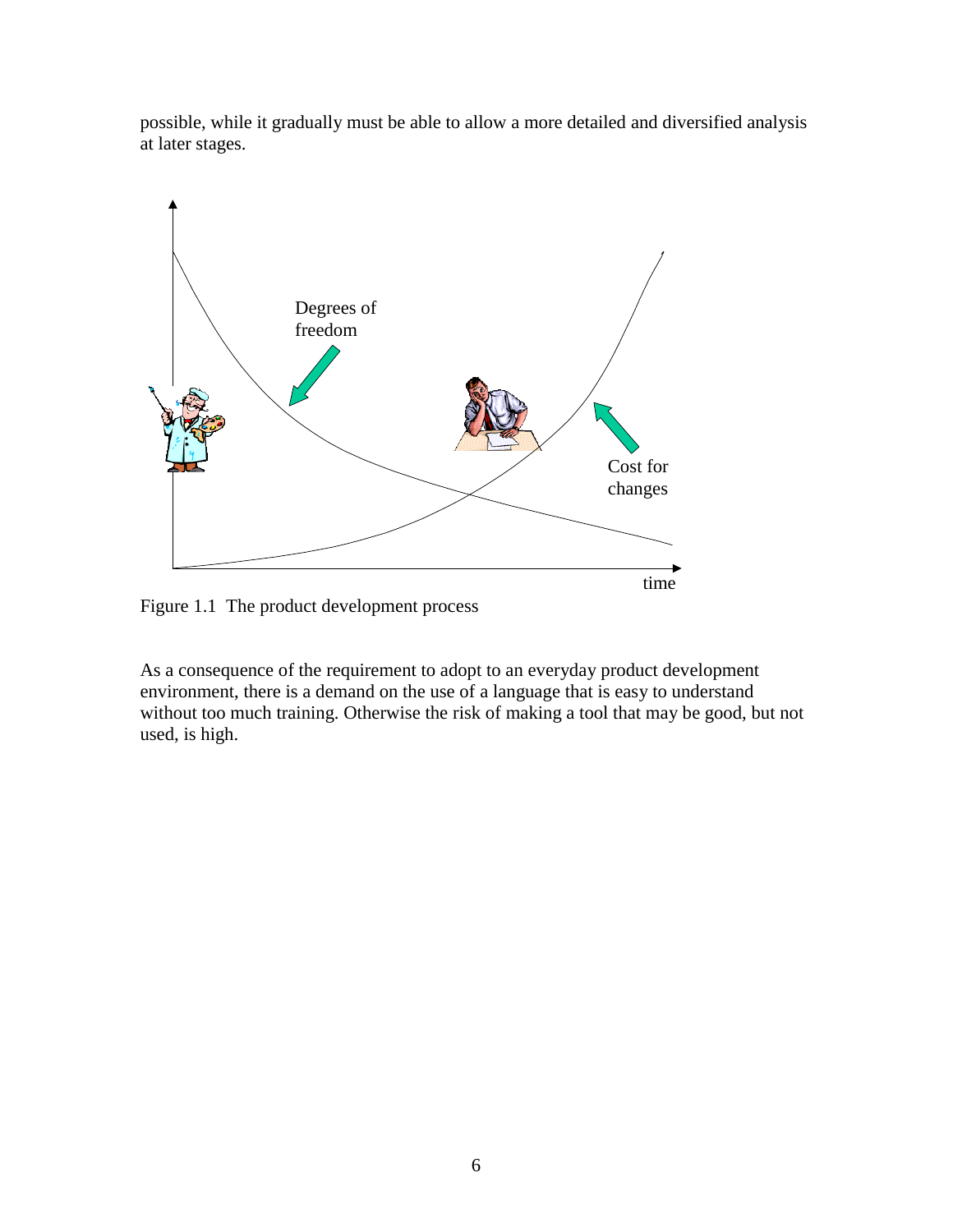possible, while it gradually must be able to allow a more detailed and diversified analysis at later stages.



Figure 1.1 The product development process

As a consequence of the requirement to adopt to an everyday product development environment, there is a demand on the use of a language that is easy to understand without too much training. Otherwise the risk of making a tool that may be good, but not used, is high.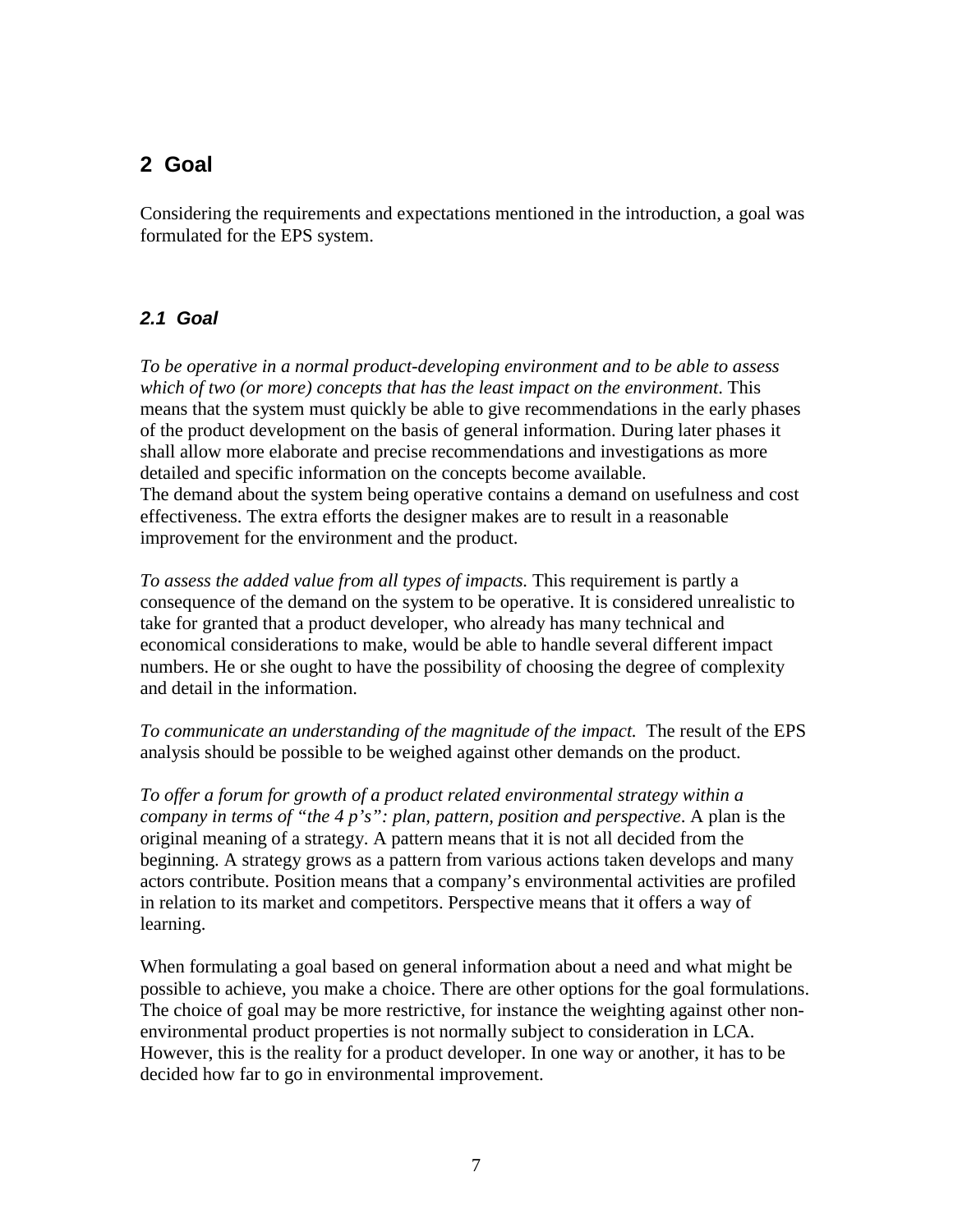# <span id="page-7-0"></span>**2 Goal**

Considering the requirements and expectations mentioned in the introduction, a goal was formulated for the EPS system.

# *2.1 Goal*

*To be operative in a normal product-developing environment and to be able to assess which of two (or more) concepts that has the least impact on the environment*. This means that the system must quickly be able to give recommendations in the early phases of the product development on the basis of general information. During later phases it shall allow more elaborate and precise recommendations and investigations as more detailed and specific information on the concepts become available. The demand about the system being operative contains a demand on usefulness and cost effectiveness. The extra efforts the designer makes are to result in a reasonable improvement for the environment and the product.

*To assess the added value from all types of impacts.* This requirement is partly a consequence of the demand on the system to be operative. It is considered unrealistic to take for granted that a product developer, who already has many technical and economical considerations to make, would be able to handle several different impact numbers. He or she ought to have the possibility of choosing the degree of complexity and detail in the information.

*To communicate an understanding of the magnitude of the impact.* The result of the EPS analysis should be possible to be weighed against other demands on the product.

*To offer a forum for growth of a product related environmental strategy within a company in terms of "the 4 p's": plan, pattern, position and perspective*. A plan is the original meaning of a strategy. A pattern means that it is not all decided from the beginning. A strategy grows as a pattern from various actions taken develops and many actors contribute. Position means that a company's environmental activities are profiled in relation to its market and competitors. Perspective means that it offers a way of learning.

When formulating a goal based on general information about a need and what might be possible to achieve, you make a choice. There are other options for the goal formulations. The choice of goal may be more restrictive, for instance the weighting against other nonenvironmental product properties is not normally subject to consideration in LCA. However, this is the reality for a product developer. In one way or another, it has to be decided how far to go in environmental improvement.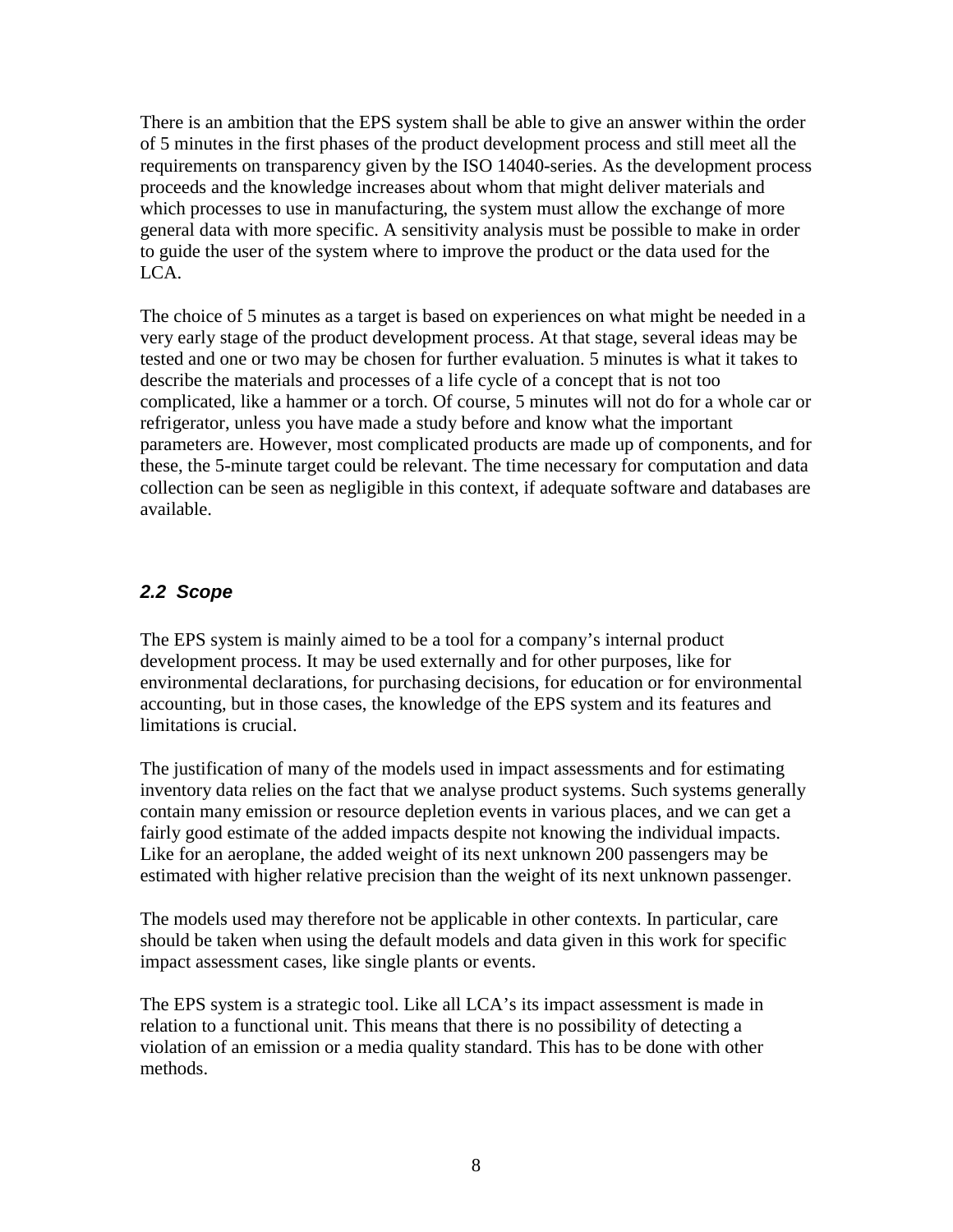<span id="page-8-0"></span>There is an ambition that the EPS system shall be able to give an answer within the order of 5 minutes in the first phases of the product development process and still meet all the requirements on transparency given by the ISO 14040-series. As the development process proceeds and the knowledge increases about whom that might deliver materials and which processes to use in manufacturing, the system must allow the exchange of more general data with more specific. A sensitivity analysis must be possible to make in order to guide the user of the system where to improve the product or the data used for the LCA.

The choice of 5 minutes as a target is based on experiences on what might be needed in a very early stage of the product development process. At that stage, several ideas may be tested and one or two may be chosen for further evaluation. 5 minutes is what it takes to describe the materials and processes of a life cycle of a concept that is not too complicated, like a hammer or a torch. Of course, 5 minutes will not do for a whole car or refrigerator, unless you have made a study before and know what the important parameters are. However, most complicated products are made up of components, and for these, the 5-minute target could be relevant. The time necessary for computation and data collection can be seen as negligible in this context, if adequate software and databases are available.

# *2.2 Scope*

The EPS system is mainly aimed to be a tool for a company's internal product development process. It may be used externally and for other purposes, like for environmental declarations, for purchasing decisions, for education or for environmental accounting, but in those cases, the knowledge of the EPS system and its features and limitations is crucial.

The justification of many of the models used in impact assessments and for estimating inventory data relies on the fact that we analyse product systems. Such systems generally contain many emission or resource depletion events in various places, and we can get a fairly good estimate of the added impacts despite not knowing the individual impacts. Like for an aeroplane, the added weight of its next unknown 200 passengers may be estimated with higher relative precision than the weight of its next unknown passenger.

The models used may therefore not be applicable in other contexts. In particular, care should be taken when using the default models and data given in this work for specific impact assessment cases, like single plants or events.

The EPS system is a strategic tool. Like all LCA's its impact assessment is made in relation to a functional unit. This means that there is no possibility of detecting a violation of an emission or a media quality standard. This has to be done with other methods.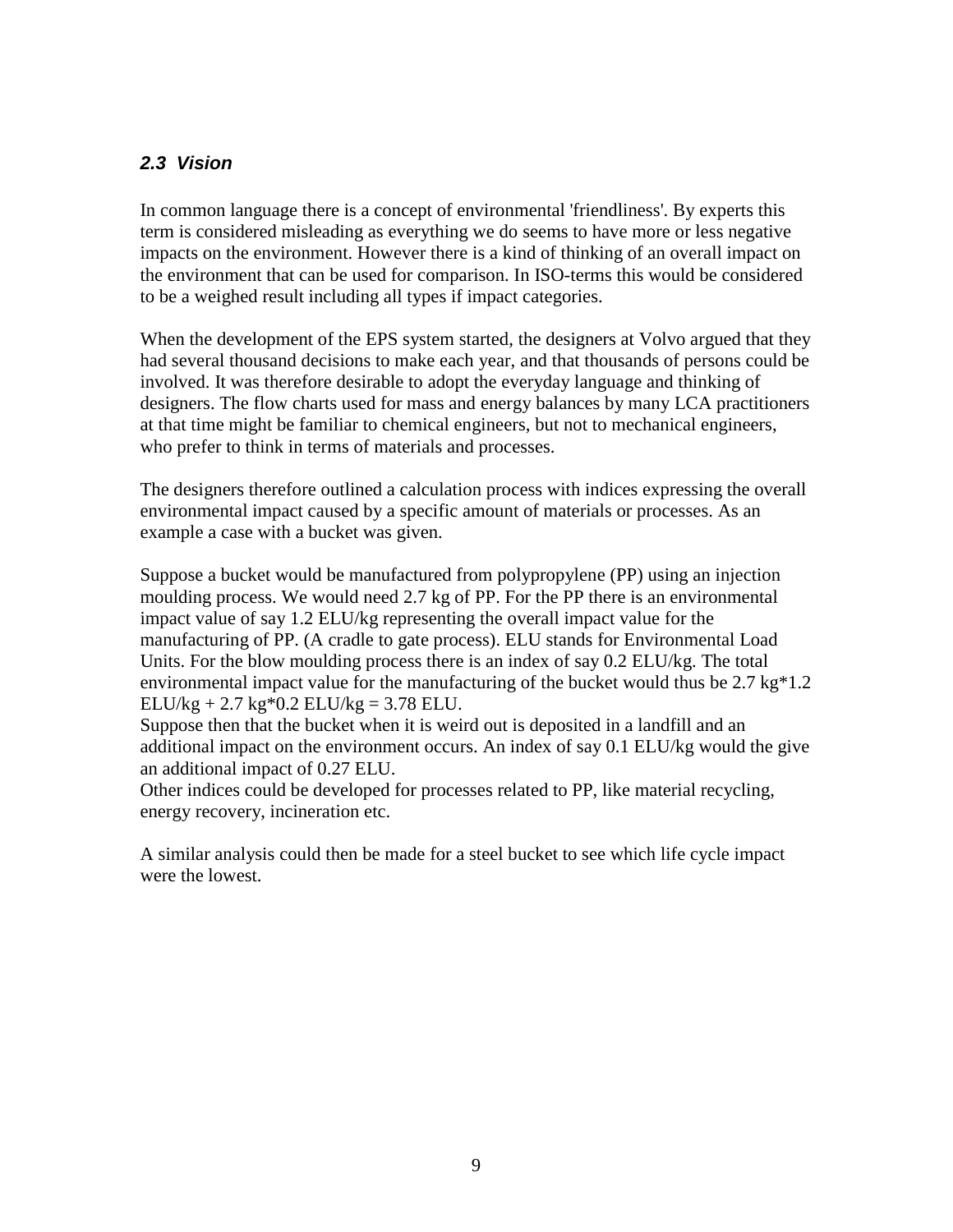# <span id="page-9-0"></span>*2.3 Vision*

In common language there is a concept of environmental 'friendliness'. By experts this term is considered misleading as everything we do seems to have more or less negative impacts on the environment. However there is a kind of thinking of an overall impact on the environment that can be used for comparison. In ISO-terms this would be considered to be a weighed result including all types if impact categories.

When the development of the EPS system started, the designers at Volvo argued that they had several thousand decisions to make each year, and that thousands of persons could be involved. It was therefore desirable to adopt the everyday language and thinking of designers. The flow charts used for mass and energy balances by many LCA practitioners at that time might be familiar to chemical engineers, but not to mechanical engineers, who prefer to think in terms of materials and processes.

The designers therefore outlined a calculation process with indices expressing the overall environmental impact caused by a specific amount of materials or processes. As an example a case with a bucket was given.

Suppose a bucket would be manufactured from polypropylene (PP) using an injection moulding process. We would need 2.7 kg of PP. For the PP there is an environmental impact value of say 1.2 ELU/kg representing the overall impact value for the manufacturing of PP. (A cradle to gate process). ELU stands for Environmental Load Units. For the blow moulding process there is an index of say 0.2 ELU/kg. The total environmental impact value for the manufacturing of the bucket would thus be 2.7 kg\*1.2 ELU/kg + 2.7 kg\*0.2 ELU/kg = 3.78 ELU.

Suppose then that the bucket when it is weird out is deposited in a landfill and an additional impact on the environment occurs. An index of say 0.1 ELU/kg would the give an additional impact of 0.27 ELU.

Other indices could be developed for processes related to PP, like material recycling, energy recovery, incineration etc.

A similar analysis could then be made for a steel bucket to see which life cycle impact were the lowest.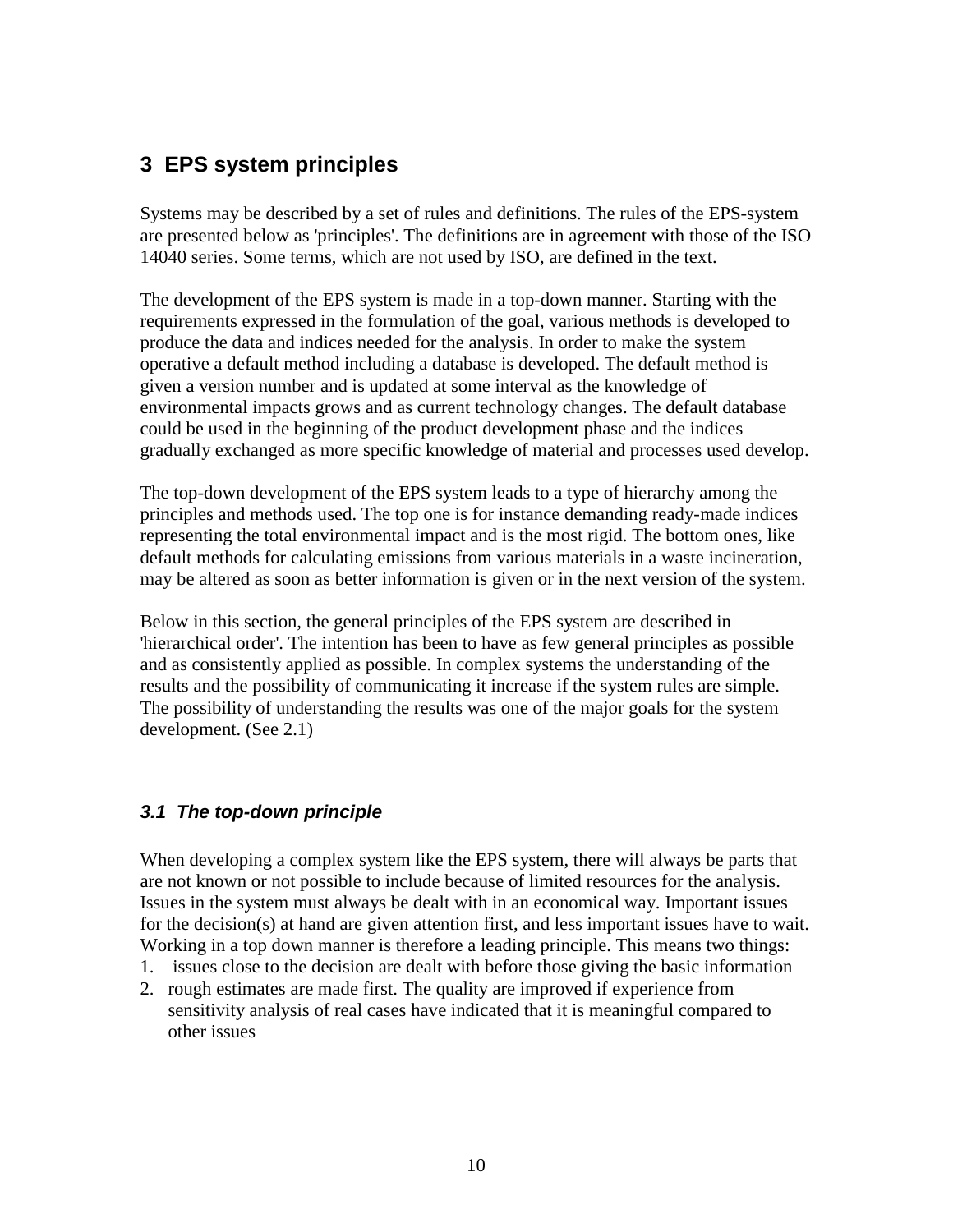# <span id="page-10-0"></span>**3 EPS system principles**

Systems may be described by a set of rules and definitions. The rules of the EPS-system are presented below as 'principles'. The definitions are in agreement with those of the ISO 14040 series. Some terms, which are not used by ISO, are defined in the text.

The development of the EPS system is made in a top-down manner. Starting with the requirements expressed in the formulation of the goal, various methods is developed to produce the data and indices needed for the analysis. In order to make the system operative a default method including a database is developed. The default method is given a version number and is updated at some interval as the knowledge of environmental impacts grows and as current technology changes. The default database could be used in the beginning of the product development phase and the indices gradually exchanged as more specific knowledge of material and processes used develop.

The top-down development of the EPS system leads to a type of hierarchy among the principles and methods used. The top one is for instance demanding ready-made indices representing the total environmental impact and is the most rigid. The bottom ones, like default methods for calculating emissions from various materials in a waste incineration, may be altered as soon as better information is given or in the next version of the system.

Below in this section, the general principles of the EPS system are described in 'hierarchical order'. The intention has been to have as few general principles as possible and as consistently applied as possible. In complex systems the understanding of the results and the possibility of communicating it increase if the system rules are simple. The possibility of understanding the results was one of the major goals for the system development. (See 2.1)

# *3.1 The top-down principle*

When developing a complex system like the EPS system, there will always be parts that are not known or not possible to include because of limited resources for the analysis. Issues in the system must always be dealt with in an economical way. Important issues for the decision(s) at hand are given attention first, and less important issues have to wait. Working in a top down manner is therefore a leading principle. This means two things:

- 1. issues close to the decision are dealt with before those giving the basic information
- 2. rough estimates are made first. The quality are improved if experience from sensitivity analysis of real cases have indicated that it is meaningful compared to other issues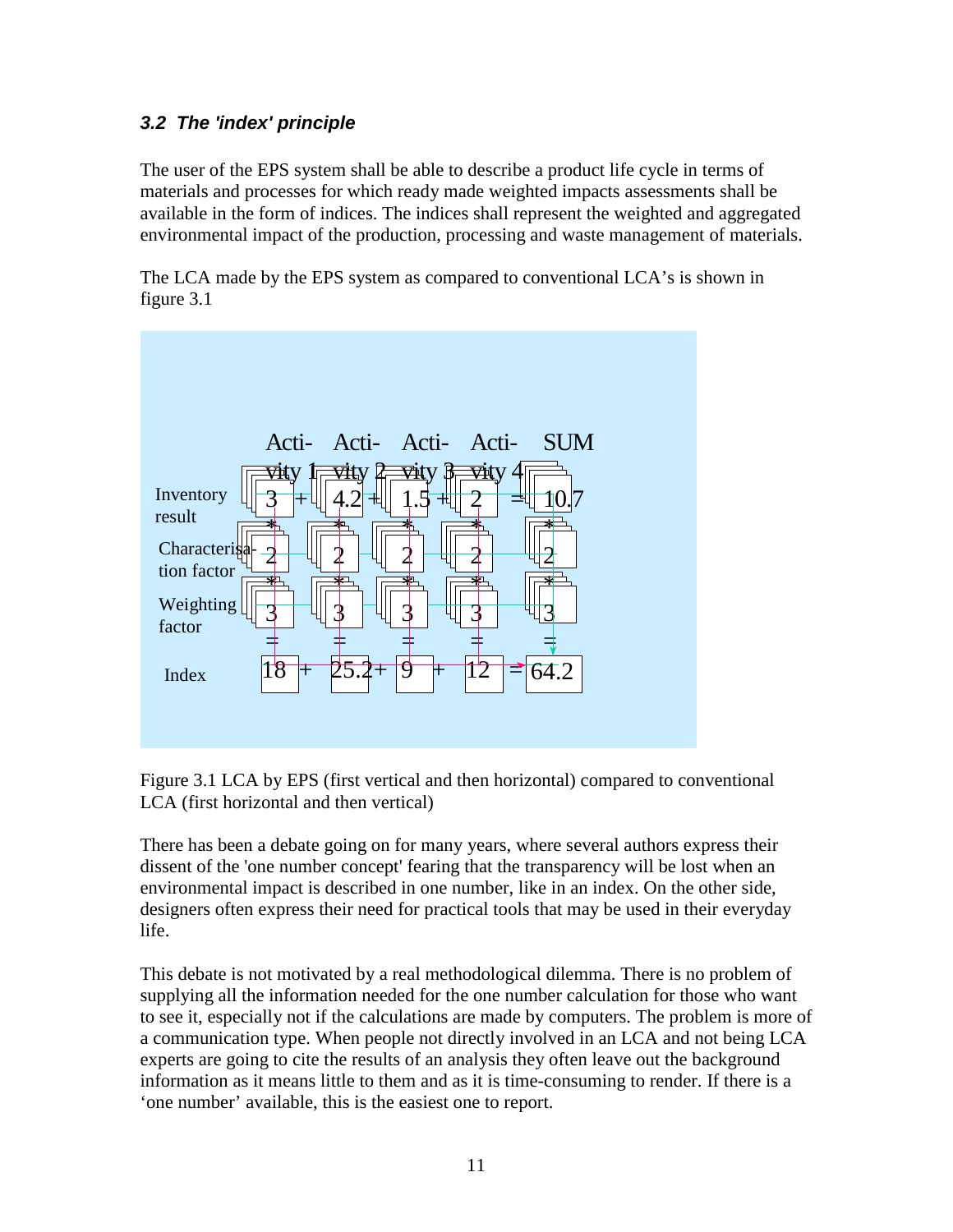# <span id="page-11-0"></span>*3.2 The 'index' principle*

The user of the EPS system shall be able to describe a product life cycle in terms of materials and processes for which ready made weighted impacts assessments shall be available in the form of indices. The indices shall represent the weighted and aggregated environmental impact of the production, processing and waste management of materials.

The LCA made by the EPS system as compared to conventional LCA's is shown in figure 3.1



Figure 3.1 LCA by EPS (first vertical and then horizontal) compared to conventional LCA (first horizontal and then vertical)

There has been a debate going on for many years, where several authors express their dissent of the 'one number concept' fearing that the transparency will be lost when an environmental impact is described in one number, like in an index. On the other side, designers often express their need for practical tools that may be used in their everyday life.

This debate is not motivated by a real methodological dilemma. There is no problem of supplying all the information needed for the one number calculation for those who want to see it, especially not if the calculations are made by computers. The problem is more of a communication type. When people not directly involved in an LCA and not being LCA experts are going to cite the results of an analysis they often leave out the background information as it means little to them and as it is time-consuming to render. If there is a 'one number' available, this is the easiest one to report.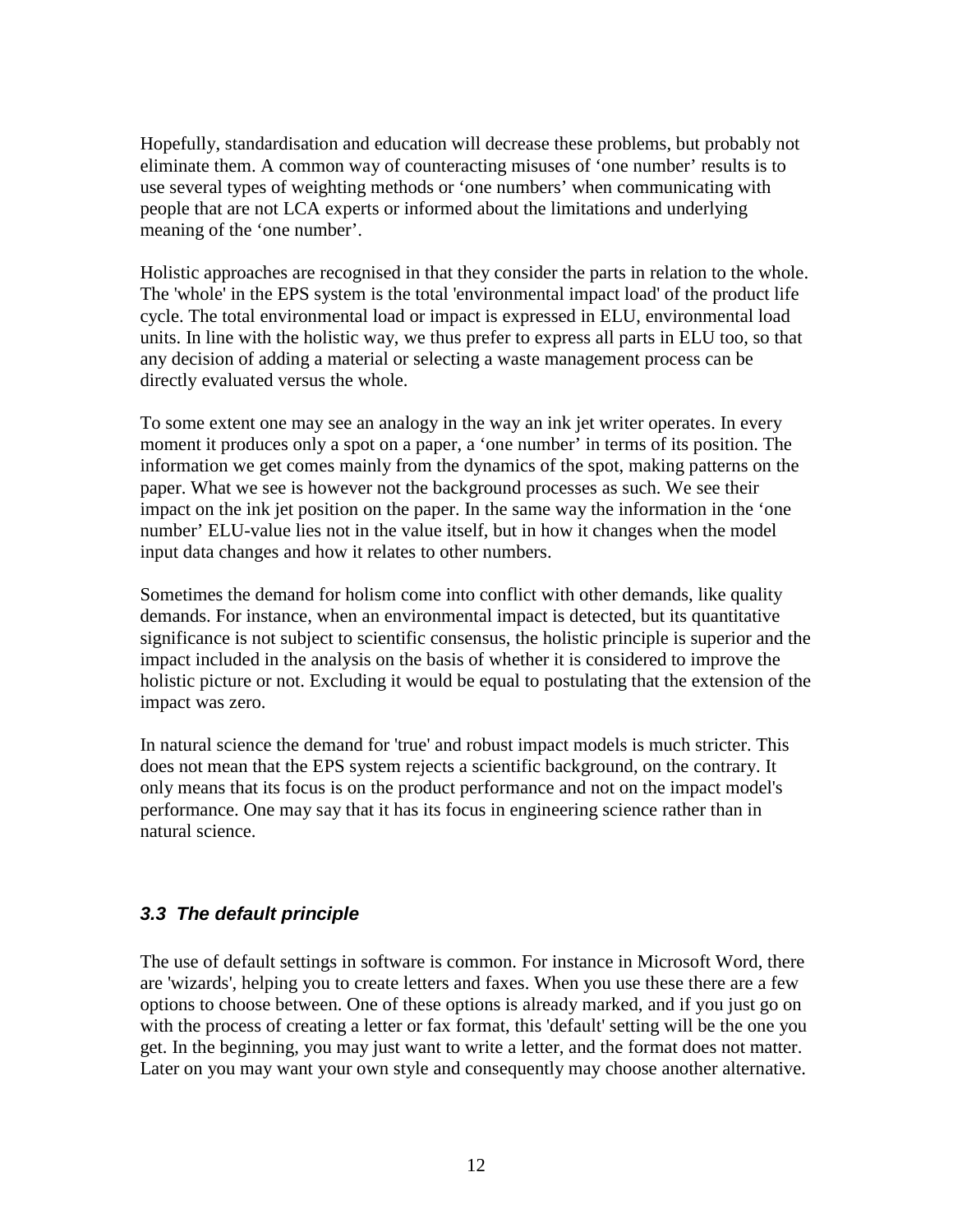<span id="page-12-0"></span>Hopefully, standardisation and education will decrease these problems, but probably not eliminate them. A common way of counteracting misuses of 'one number' results is to use several types of weighting methods or 'one numbers' when communicating with people that are not LCA experts or informed about the limitations and underlying meaning of the 'one number'.

Holistic approaches are recognised in that they consider the parts in relation to the whole. The 'whole' in the EPS system is the total 'environmental impact load' of the product life cycle. The total environmental load or impact is expressed in ELU, environmental load units. In line with the holistic way, we thus prefer to express all parts in ELU too, so that any decision of adding a material or selecting a waste management process can be directly evaluated versus the whole.

To some extent one may see an analogy in the way an ink jet writer operates. In every moment it produces only a spot on a paper, a 'one number' in terms of its position. The information we get comes mainly from the dynamics of the spot, making patterns on the paper. What we see is however not the background processes as such. We see their impact on the ink jet position on the paper. In the same way the information in the 'one number' ELU-value lies not in the value itself, but in how it changes when the model input data changes and how it relates to other numbers.

Sometimes the demand for holism come into conflict with other demands, like quality demands. For instance, when an environmental impact is detected, but its quantitative significance is not subject to scientific consensus, the holistic principle is superior and the impact included in the analysis on the basis of whether it is considered to improve the holistic picture or not. Excluding it would be equal to postulating that the extension of the impact was zero.

In natural science the demand for 'true' and robust impact models is much stricter. This does not mean that the EPS system rejects a scientific background, on the contrary. It only means that its focus is on the product performance and not on the impact model's performance. One may say that it has its focus in engineering science rather than in natural science.

# *3.3 The default principle*

The use of default settings in software is common. For instance in Microsoft Word, there are 'wizards', helping you to create letters and faxes. When you use these there are a few options to choose between. One of these options is already marked, and if you just go on with the process of creating a letter or fax format, this 'default' setting will be the one you get. In the beginning, you may just want to write a letter, and the format does not matter. Later on you may want your own style and consequently may choose another alternative.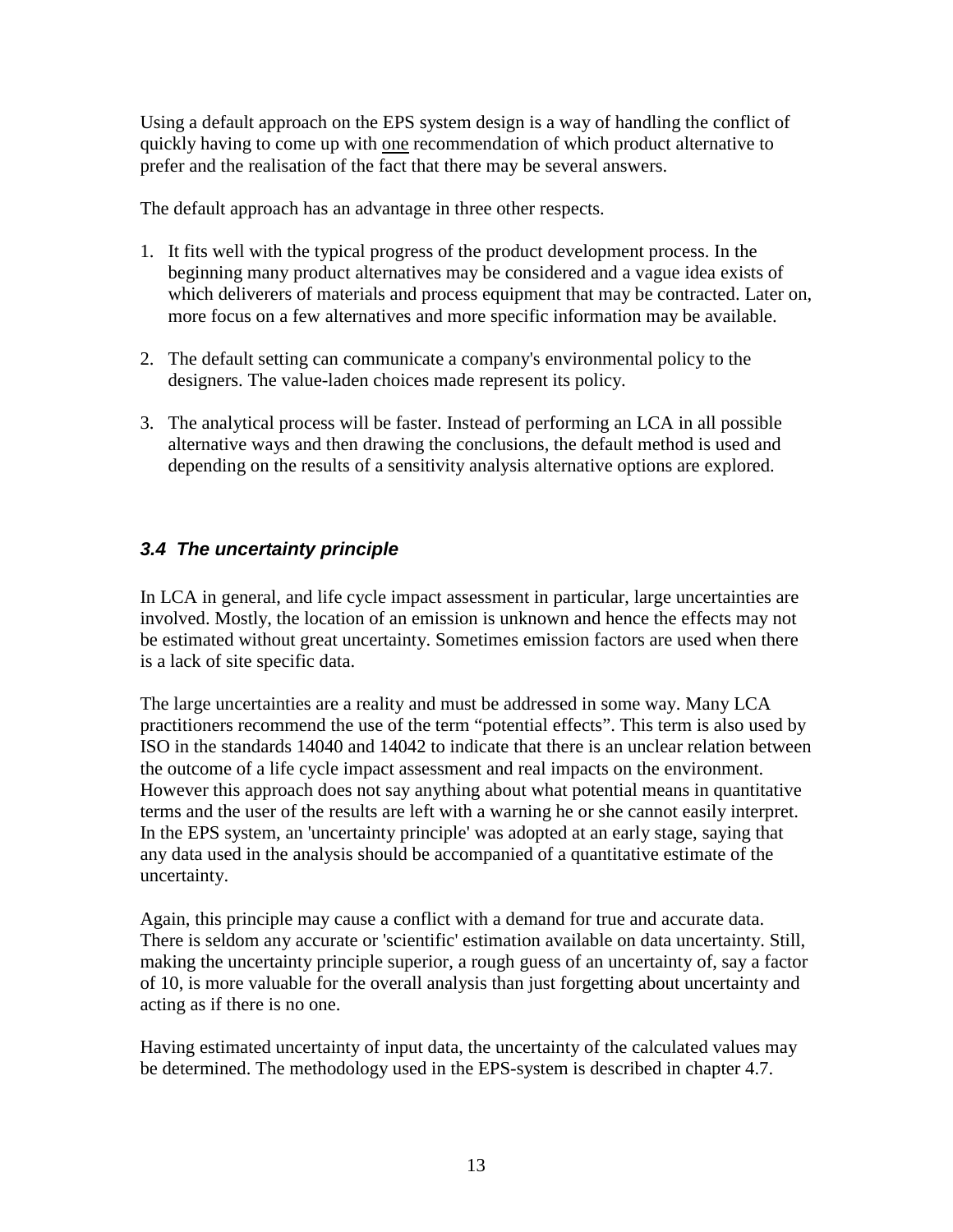<span id="page-13-0"></span>Using a default approach on the EPS system design is a way of handling the conflict of quickly having to come up with one recommendation of which product alternative to prefer and the realisation of the fact that there may be several answers.

The default approach has an advantage in three other respects.

- 1. It fits well with the typical progress of the product development process. In the beginning many product alternatives may be considered and a vague idea exists of which deliverers of materials and process equipment that may be contracted. Later on, more focus on a few alternatives and more specific information may be available.
- 2. The default setting can communicate a company's environmental policy to the designers. The value-laden choices made represent its policy.
- 3. The analytical process will be faster. Instead of performing an LCA in all possible alternative ways and then drawing the conclusions, the default method is used and depending on the results of a sensitivity analysis alternative options are explored.

# *3.4 The uncertainty principle*

In LCA in general, and life cycle impact assessment in particular, large uncertainties are involved. Mostly, the location of an emission is unknown and hence the effects may not be estimated without great uncertainty. Sometimes emission factors are used when there is a lack of site specific data.

The large uncertainties are a reality and must be addressed in some way. Many LCA practitioners recommend the use of the term "potential effects". This term is also used by ISO in the standards 14040 and 14042 to indicate that there is an unclear relation between the outcome of a life cycle impact assessment and real impacts on the environment. However this approach does not say anything about what potential means in quantitative terms and the user of the results are left with a warning he or she cannot easily interpret. In the EPS system, an 'uncertainty principle' was adopted at an early stage, saying that any data used in the analysis should be accompanied of a quantitative estimate of the uncertainty.

Again, this principle may cause a conflict with a demand for true and accurate data. There is seldom any accurate or 'scientific' estimation available on data uncertainty. Still, making the uncertainty principle superior, a rough guess of an uncertainty of, say a factor of 10, is more valuable for the overall analysis than just forgetting about uncertainty and acting as if there is no one.

Having estimated uncertainty of input data, the uncertainty of the calculated values may be determined. The methodology used in the EPS-system is described in chapter 4.7.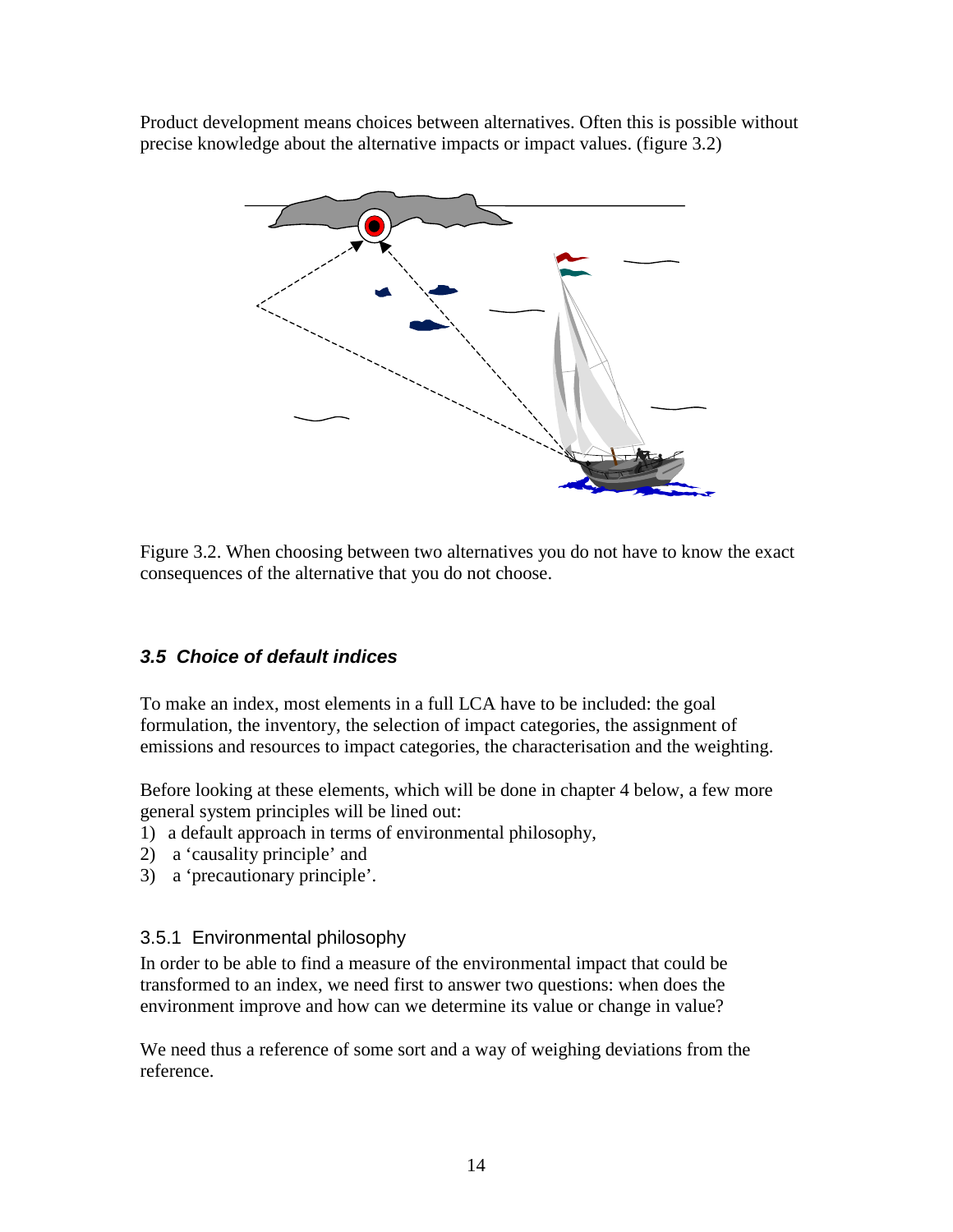<span id="page-14-0"></span>Product development means choices between alternatives. Often this is possible without precise knowledge about the alternative impacts or impact values. (figure 3.2)



Figure 3.2. When choosing between two alternatives you do not have to know the exact consequences of the alternative that you do not choose.

# *3.5 Choice of default indices*

To make an index, most elements in a full LCA have to be included: the goal formulation, the inventory, the selection of impact categories, the assignment of emissions and resources to impact categories, the characterisation and the weighting.

Before looking at these elements, which will be done in chapter 4 below, a few more general system principles will be lined out:

- 1) a default approach in terms of environmental philosophy,
- 2) a 'causality principle' and
- 3) a 'precautionary principle'.

# 3.5.1 Environmental philosophy

In order to be able to find a measure of the environmental impact that could be transformed to an index, we need first to answer two questions: when does the environment improve and how can we determine its value or change in value?

We need thus a reference of some sort and a way of weighing deviations from the reference.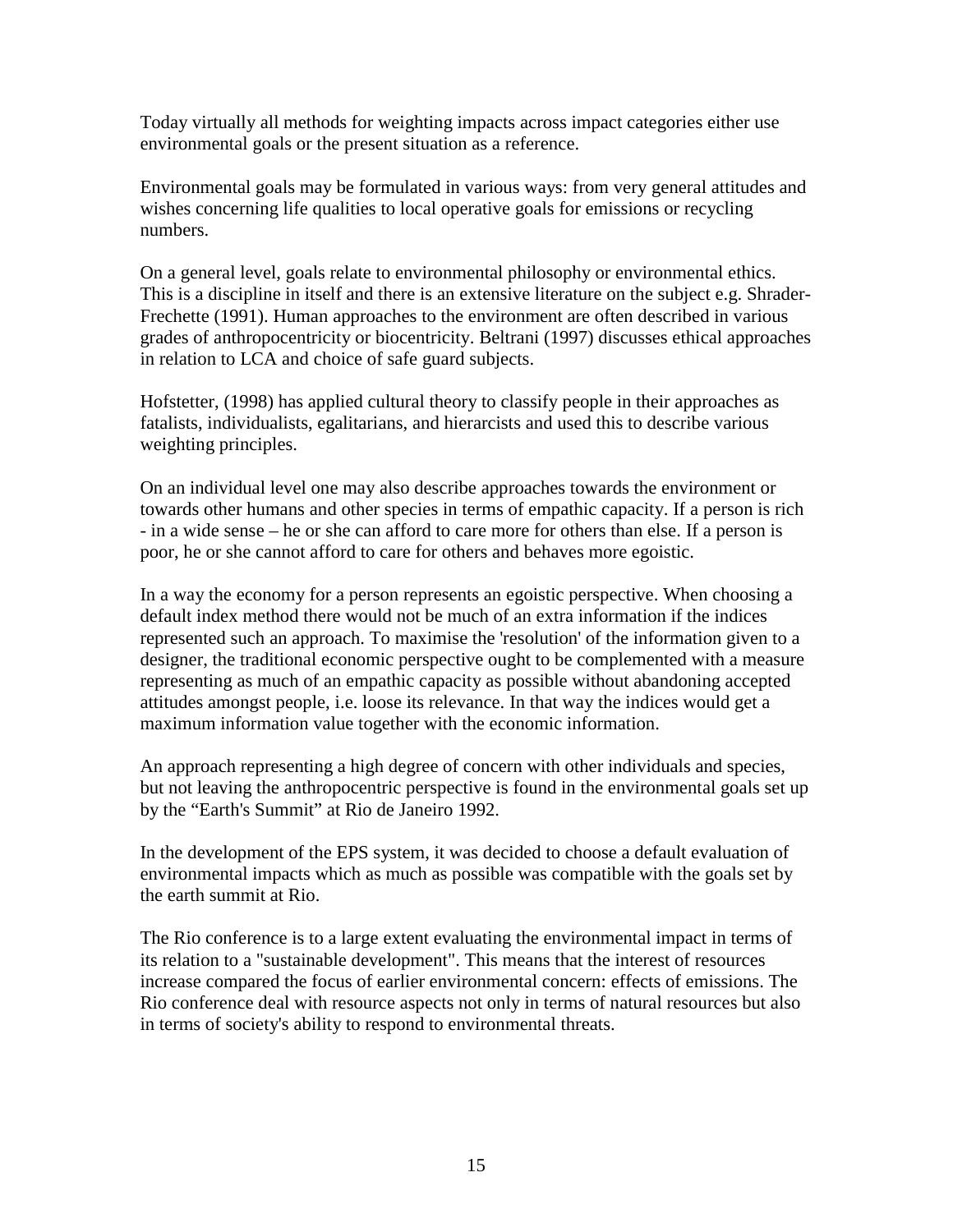Today virtually all methods for weighting impacts across impact categories either use environmental goals or the present situation as a reference.

Environmental goals may be formulated in various ways: from very general attitudes and wishes concerning life qualities to local operative goals for emissions or recycling numbers.

On a general level, goals relate to environmental philosophy or environmental ethics. This is a discipline in itself and there is an extensive literature on the subject e.g. Shrader-Frechette (1991). Human approaches to the environment are often described in various grades of anthropocentricity or biocentricity. Beltrani (1997) discusses ethical approaches in relation to LCA and choice of safe guard subjects.

Hofstetter, (1998) has applied cultural theory to classify people in their approaches as fatalists, individualists, egalitarians, and hierarcists and used this to describe various weighting principles.

On an individual level one may also describe approaches towards the environment or towards other humans and other species in terms of empathic capacity. If a person is rich - in a wide sense – he or she can afford to care more for others than else. If a person is poor, he or she cannot afford to care for others and behaves more egoistic.

In a way the economy for a person represents an egoistic perspective. When choosing a default index method there would not be much of an extra information if the indices represented such an approach. To maximise the 'resolution' of the information given to a designer, the traditional economic perspective ought to be complemented with a measure representing as much of an empathic capacity as possible without abandoning accepted attitudes amongst people, i.e. loose its relevance. In that way the indices would get a maximum information value together with the economic information.

An approach representing a high degree of concern with other individuals and species, but not leaving the anthropocentric perspective is found in the environmental goals set up by the "Earth's Summit" at Rio de Janeiro 1992.

In the development of the EPS system, it was decided to choose a default evaluation of environmental impacts which as much as possible was compatible with the goals set by the earth summit at Rio.

The Rio conference is to a large extent evaluating the environmental impact in terms of its relation to a "sustainable development". This means that the interest of resources increase compared the focus of earlier environmental concern: effects of emissions. The Rio conference deal with resource aspects not only in terms of natural resources but also in terms of society's ability to respond to environmental threats.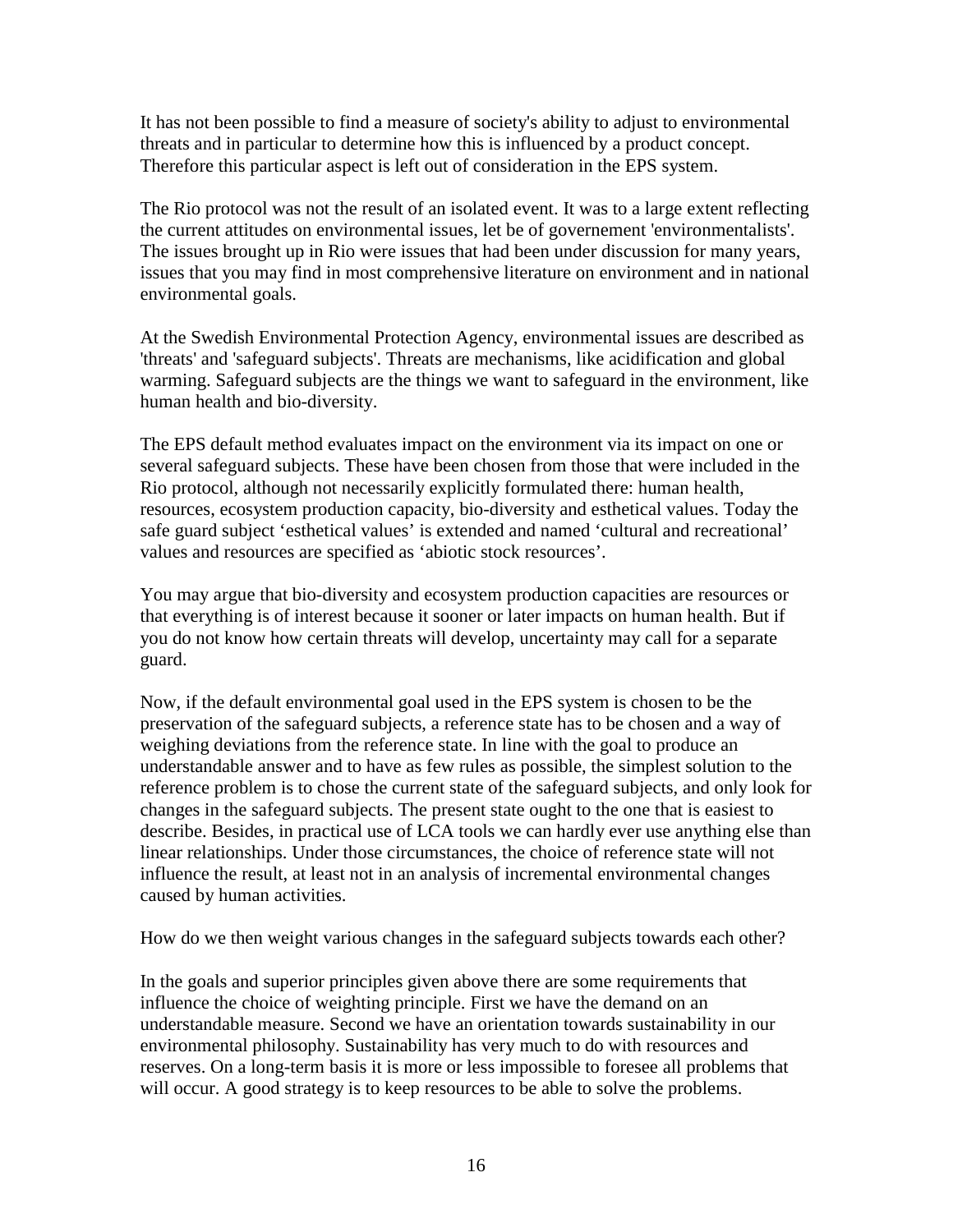It has not been possible to find a measure of society's ability to adjust to environmental threats and in particular to determine how this is influenced by a product concept. Therefore this particular aspect is left out of consideration in the EPS system.

The Rio protocol was not the result of an isolated event. It was to a large extent reflecting the current attitudes on environmental issues, let be of governement 'environmentalists'. The issues brought up in Rio were issues that had been under discussion for many years, issues that you may find in most comprehensive literature on environment and in national environmental goals.

At the Swedish Environmental Protection Agency, environmental issues are described as 'threats' and 'safeguard subjects'. Threats are mechanisms, like acidification and global warming. Safeguard subjects are the things we want to safeguard in the environment, like human health and bio-diversity.

The EPS default method evaluates impact on the environment via its impact on one or several safeguard subjects. These have been chosen from those that were included in the Rio protocol, although not necessarily explicitly formulated there: human health, resources, ecosystem production capacity, bio-diversity and esthetical values. Today the safe guard subject 'esthetical values' is extended and named 'cultural and recreational' values and resources are specified as 'abiotic stock resources'.

You may argue that bio-diversity and ecosystem production capacities are resources or that everything is of interest because it sooner or later impacts on human health. But if you do not know how certain threats will develop, uncertainty may call for a separate guard.

Now, if the default environmental goal used in the EPS system is chosen to be the preservation of the safeguard subjects, a reference state has to be chosen and a way of weighing deviations from the reference state. In line with the goal to produce an understandable answer and to have as few rules as possible, the simplest solution to the reference problem is to chose the current state of the safeguard subjects, and only look for changes in the safeguard subjects. The present state ought to the one that is easiest to describe. Besides, in practical use of LCA tools we can hardly ever use anything else than linear relationships. Under those circumstances, the choice of reference state will not influence the result, at least not in an analysis of incremental environmental changes caused by human activities.

How do we then weight various changes in the safeguard subjects towards each other?

In the goals and superior principles given above there are some requirements that influence the choice of weighting principle. First we have the demand on an understandable measure. Second we have an orientation towards sustainability in our environmental philosophy. Sustainability has very much to do with resources and reserves. On a long-term basis it is more or less impossible to foresee all problems that will occur. A good strategy is to keep resources to be able to solve the problems.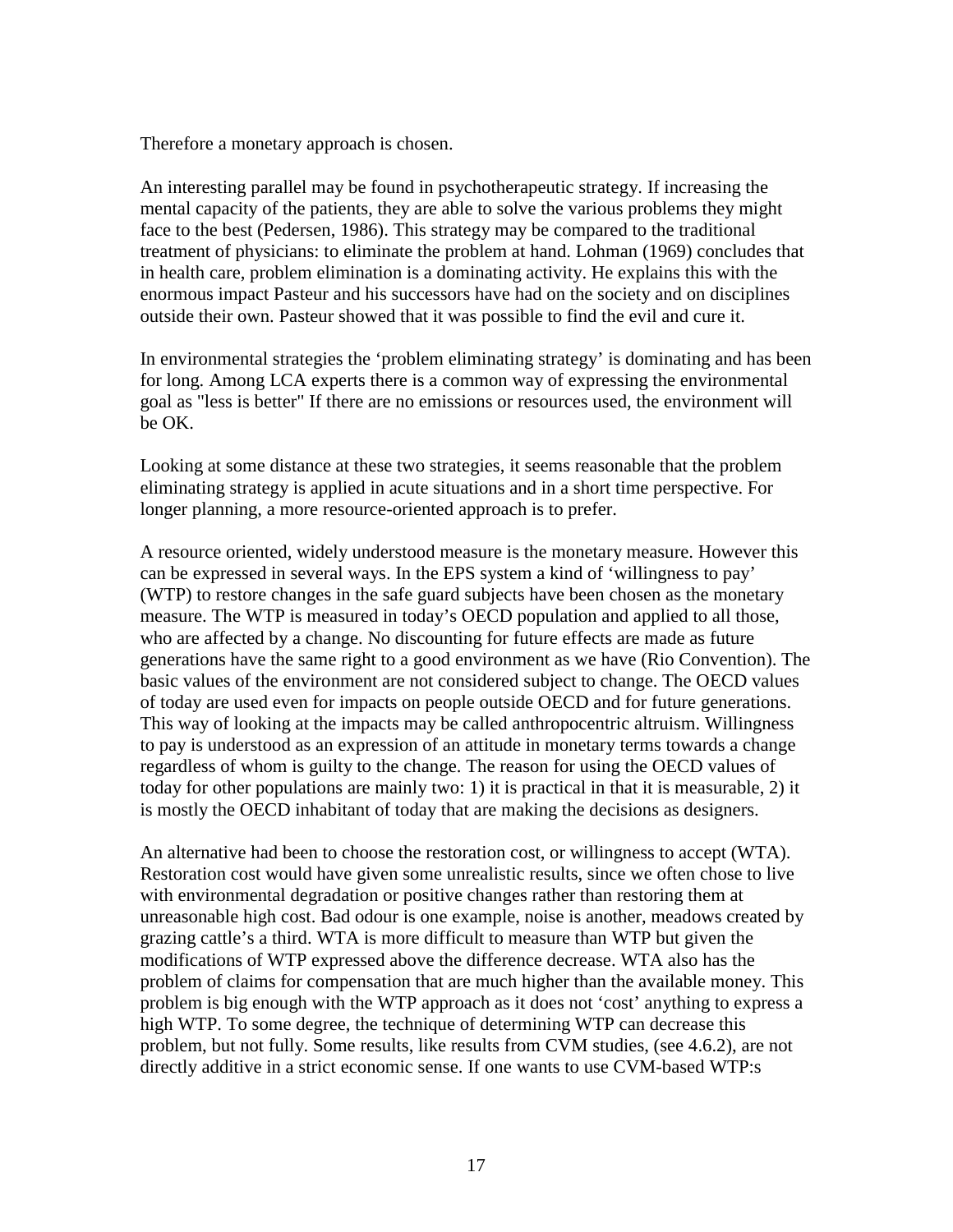Therefore a monetary approach is chosen.

An interesting parallel may be found in psychotherapeutic strategy. If increasing the mental capacity of the patients, they are able to solve the various problems they might face to the best (Pedersen, 1986). This strategy may be compared to the traditional treatment of physicians: to eliminate the problem at hand. Lohman (1969) concludes that in health care, problem elimination is a dominating activity. He explains this with the enormous impact Pasteur and his successors have had on the society and on disciplines outside their own. Pasteur showed that it was possible to find the evil and cure it.

In environmental strategies the 'problem eliminating strategy' is dominating and has been for long. Among LCA experts there is a common way of expressing the environmental goal as "less is better" If there are no emissions or resources used, the environment will be OK.

Looking at some distance at these two strategies, it seems reasonable that the problem eliminating strategy is applied in acute situations and in a short time perspective. For longer planning, a more resource-oriented approach is to prefer.

A resource oriented, widely understood measure is the monetary measure. However this can be expressed in several ways. In the EPS system a kind of 'willingness to pay' (WTP) to restore changes in the safe guard subjects have been chosen as the monetary measure. The WTP is measured in today's OECD population and applied to all those, who are affected by a change. No discounting for future effects are made as future generations have the same right to a good environment as we have (Rio Convention). The basic values of the environment are not considered subject to change. The OECD values of today are used even for impacts on people outside OECD and for future generations. This way of looking at the impacts may be called anthropocentric altruism. Willingness to pay is understood as an expression of an attitude in monetary terms towards a change regardless of whom is guilty to the change. The reason for using the OECD values of today for other populations are mainly two: 1) it is practical in that it is measurable, 2) it is mostly the OECD inhabitant of today that are making the decisions as designers.

An alternative had been to choose the restoration cost, or willingness to accept (WTA). Restoration cost would have given some unrealistic results, since we often chose to live with environmental degradation or positive changes rather than restoring them at unreasonable high cost. Bad odour is one example, noise is another, meadows created by grazing cattle's a third. WTA is more difficult to measure than WTP but given the modifications of WTP expressed above the difference decrease. WTA also has the problem of claims for compensation that are much higher than the available money. This problem is big enough with the WTP approach as it does not 'cost' anything to express a high WTP. To some degree, the technique of determining WTP can decrease this problem, but not fully. Some results, like results from CVM studies, (see 4.6.2), are not directly additive in a strict economic sense. If one wants to use CVM-based WTP:s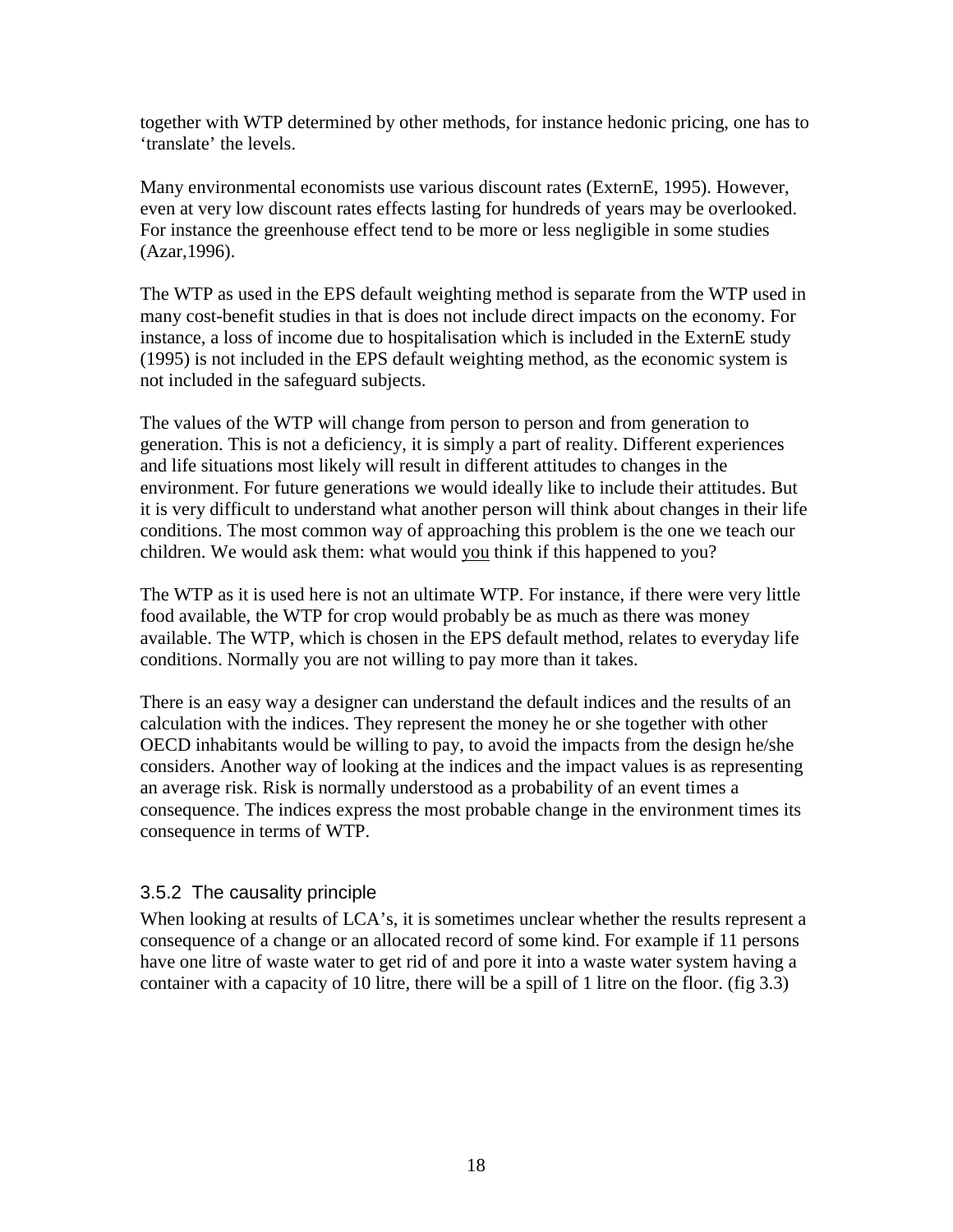<span id="page-18-0"></span>together with WTP determined by other methods, for instance hedonic pricing, one has to 'translate' the levels.

Many environmental economists use various discount rates (ExternE, 1995). However, even at very low discount rates effects lasting for hundreds of years may be overlooked. For instance the greenhouse effect tend to be more or less negligible in some studies (Azar,1996).

The WTP as used in the EPS default weighting method is separate from the WTP used in many cost-benefit studies in that is does not include direct impacts on the economy. For instance, a loss of income due to hospitalisation which is included in the ExternE study (1995) is not included in the EPS default weighting method, as the economic system is not included in the safeguard subjects.

The values of the WTP will change from person to person and from generation to generation. This is not a deficiency, it is simply a part of reality. Different experiences and life situations most likely will result in different attitudes to changes in the environment. For future generations we would ideally like to include their attitudes. But it is very difficult to understand what another person will think about changes in their life conditions. The most common way of approaching this problem is the one we teach our children. We would ask them: what would you think if this happened to you?

The WTP as it is used here is not an ultimate WTP. For instance, if there were very little food available, the WTP for crop would probably be as much as there was money available. The WTP, which is chosen in the EPS default method, relates to everyday life conditions. Normally you are not willing to pay more than it takes.

There is an easy way a designer can understand the default indices and the results of an calculation with the indices. They represent the money he or she together with other OECD inhabitants would be willing to pay, to avoid the impacts from the design he/she considers. Another way of looking at the indices and the impact values is as representing an average risk. Risk is normally understood as a probability of an event times a consequence. The indices express the most probable change in the environment times its consequence in terms of WTP.

# 3.5.2 The causality principle

When looking at results of LCA's, it is sometimes unclear whether the results represent a consequence of a change or an allocated record of some kind. For example if 11 persons have one litre of waste water to get rid of and pore it into a waste water system having a container with a capacity of 10 litre, there will be a spill of 1 litre on the floor. (fig 3.3)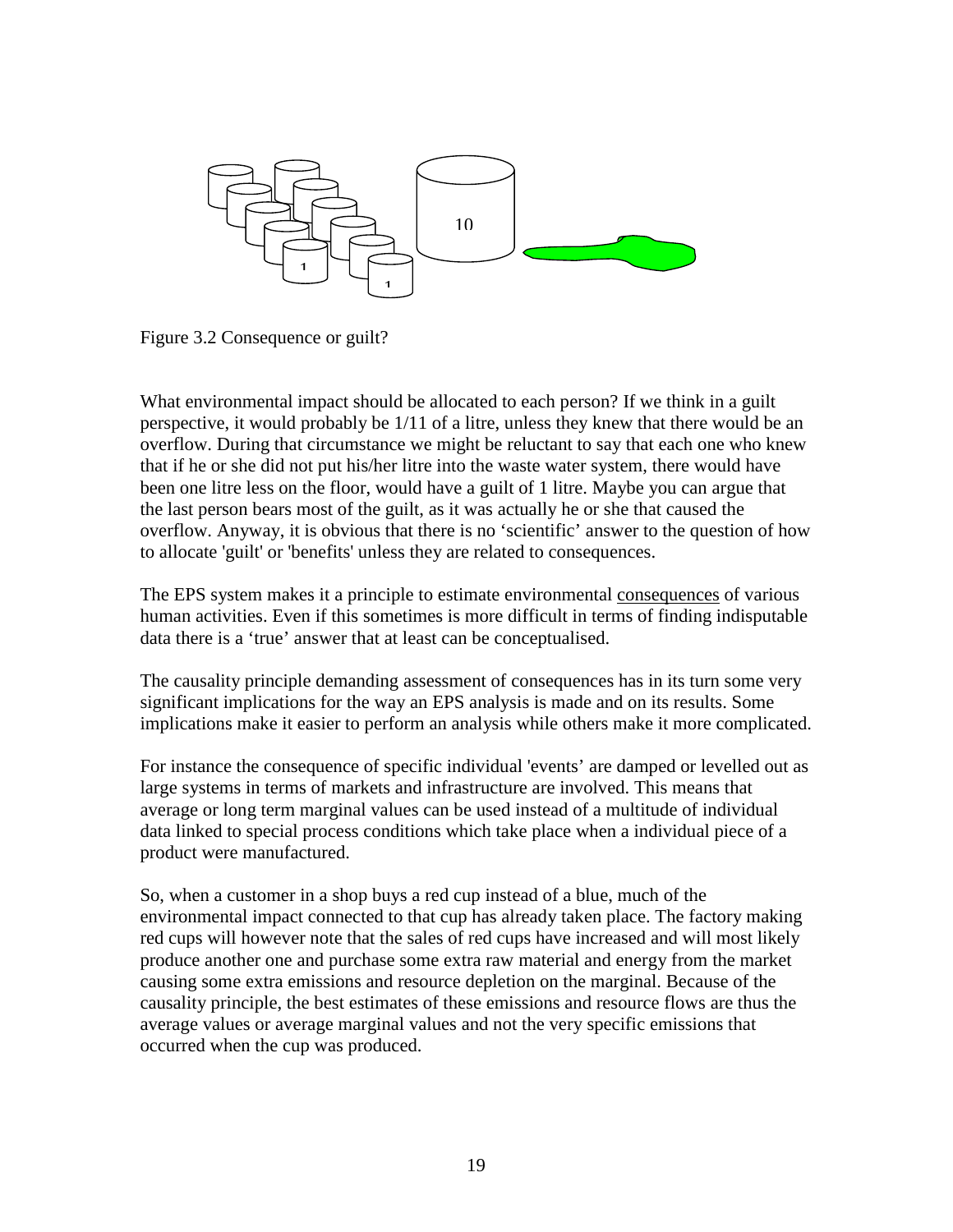

Figure 3.2 Consequence or guilt?

What environmental impact should be allocated to each person? If we think in a guilt perspective, it would probably be 1/11 of a litre, unless they knew that there would be an overflow. During that circumstance we might be reluctant to say that each one who knew that if he or she did not put his/her litre into the waste water system, there would have been one litre less on the floor, would have a guilt of 1 litre. Maybe you can argue that the last person bears most of the guilt, as it was actually he or she that caused the overflow. Anyway, it is obvious that there is no 'scientific' answer to the question of how to allocate 'guilt' or 'benefits' unless they are related to consequences.

The EPS system makes it a principle to estimate environmental consequences of various human activities. Even if this sometimes is more difficult in terms of finding indisputable data there is a 'true' answer that at least can be conceptualised.

The causality principle demanding assessment of consequences has in its turn some very significant implications for the way an EPS analysis is made and on its results. Some implications make it easier to perform an analysis while others make it more complicated.

For instance the consequence of specific individual 'events' are damped or levelled out as large systems in terms of markets and infrastructure are involved. This means that average or long term marginal values can be used instead of a multitude of individual data linked to special process conditions which take place when a individual piece of a product were manufactured.

So, when a customer in a shop buys a red cup instead of a blue, much of the environmental impact connected to that cup has already taken place. The factory making red cups will however note that the sales of red cups have increased and will most likely produce another one and purchase some extra raw material and energy from the market causing some extra emissions and resource depletion on the marginal. Because of the causality principle, the best estimates of these emissions and resource flows are thus the average values or average marginal values and not the very specific emissions that occurred when the cup was produced.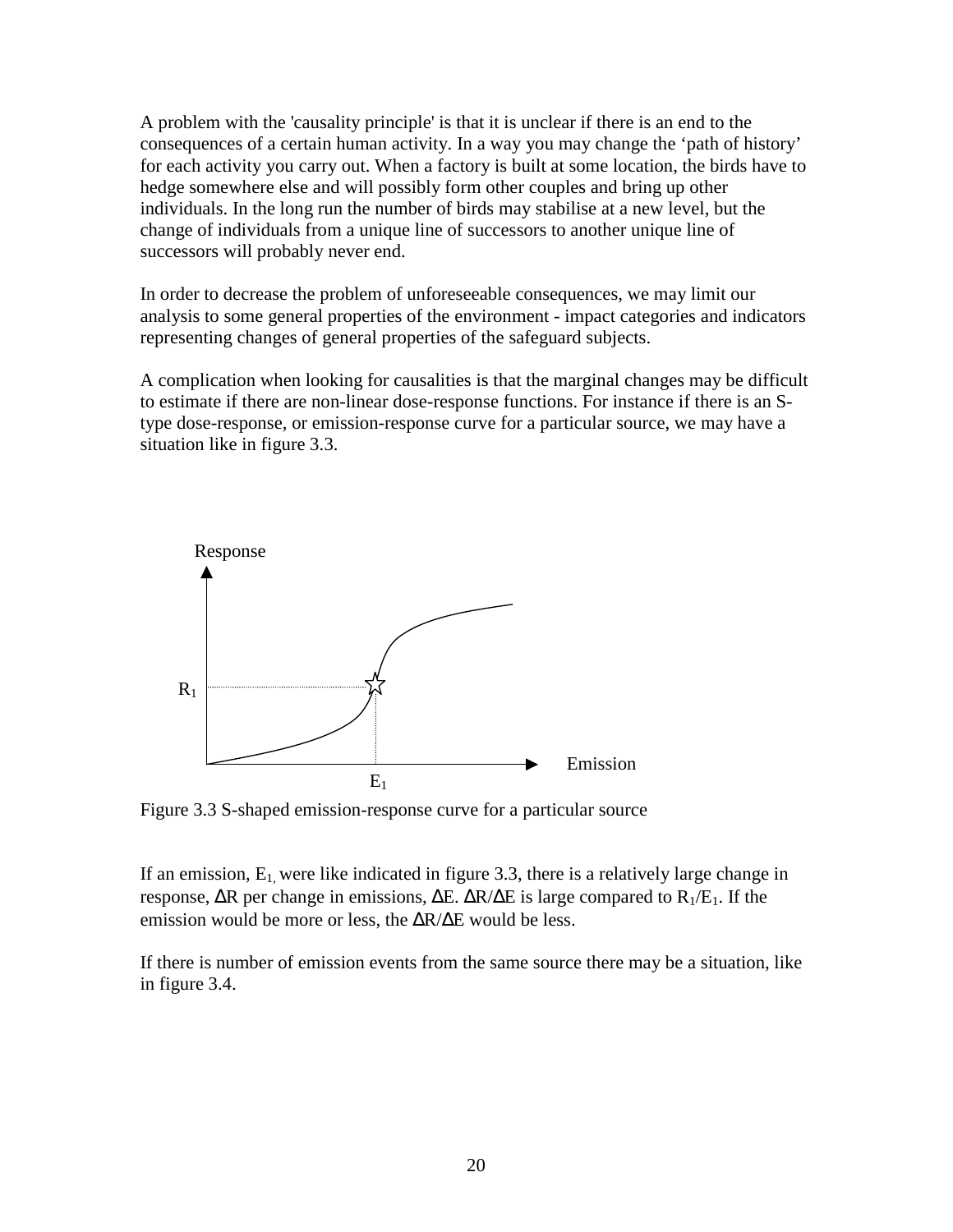A problem with the 'causality principle' is that it is unclear if there is an end to the consequences of a certain human activity. In a way you may change the 'path of history' for each activity you carry out. When a factory is built at some location, the birds have to hedge somewhere else and will possibly form other couples and bring up other individuals. In the long run the number of birds may stabilise at a new level, but the change of individuals from a unique line of successors to another unique line of successors will probably never end.

In order to decrease the problem of unforeseeable consequences, we may limit our analysis to some general properties of the environment - impact categories and indicators representing changes of general properties of the safeguard subjects.

A complication when looking for causalities is that the marginal changes may be difficult to estimate if there are non-linear dose-response functions. For instance if there is an Stype dose-response, or emission-response curve for a particular source, we may have a situation like in figure 3.3.



Figure 3.3 S-shaped emission-response curve for a particular source

If an emission,  $E_1$ , were like indicated in figure 3.3, there is a relatively large change in response,  $\Delta R$  per change in emissions,  $\Delta E$ .  $\Delta R/\Delta E$  is large compared to  $R_1/E_1$ . If the emission would be more or less, the ∆R/∆E would be less.

If there is number of emission events from the same source there may be a situation, like in figure 3.4.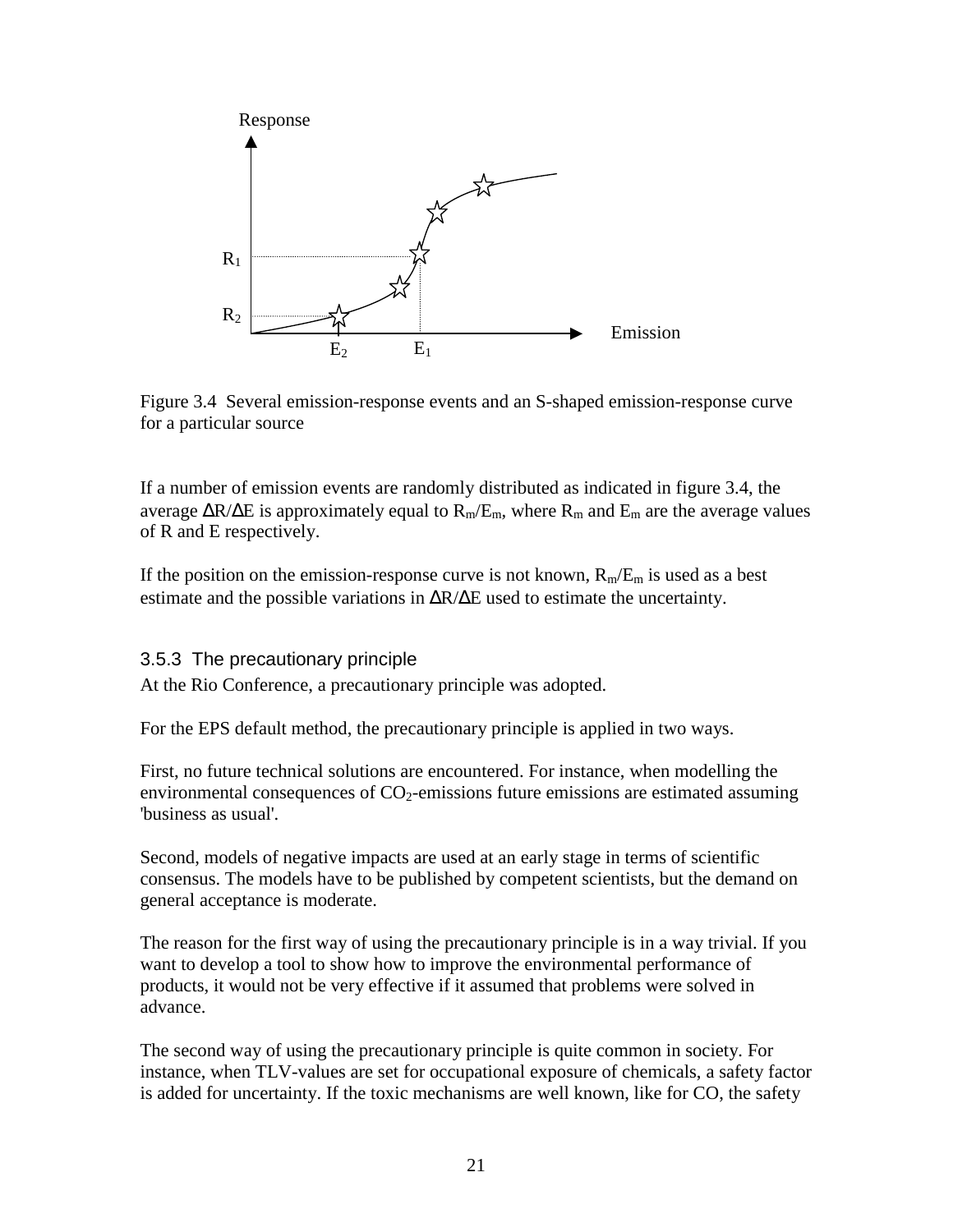<span id="page-21-0"></span>

Figure 3.4 Several emission-response events and an S-shaped emission-response curve for a particular source

If a number of emission events are randomly distributed as indicated in figure 3.4, the average  $\Delta R/\Delta E$  is approximately equal to  $R_m/E_m$ , where  $R_m$  and  $E_m$  are the average values of R and E respectively.

If the position on the emission-response curve is not known,  $R_m/E_m$  is used as a best estimate and the possible variations in ∆R/∆E used to estimate the uncertainty.

# 3.5.3 The precautionary principle

At the Rio Conference, a precautionary principle was adopted.

For the EPS default method, the precautionary principle is applied in two ways.

First, no future technical solutions are encountered. For instance, when modelling the environmental consequences of  $CO<sub>2</sub>$ -emissions future emissions are estimated assuming 'business as usual'.

Second, models of negative impacts are used at an early stage in terms of scientific consensus. The models have to be published by competent scientists, but the demand on general acceptance is moderate.

The reason for the first way of using the precautionary principle is in a way trivial. If you want to develop a tool to show how to improve the environmental performance of products, it would not be very effective if it assumed that problems were solved in advance.

The second way of using the precautionary principle is quite common in society. For instance, when TLV-values are set for occupational exposure of chemicals, a safety factor is added for uncertainty. If the toxic mechanisms are well known, like for CO, the safety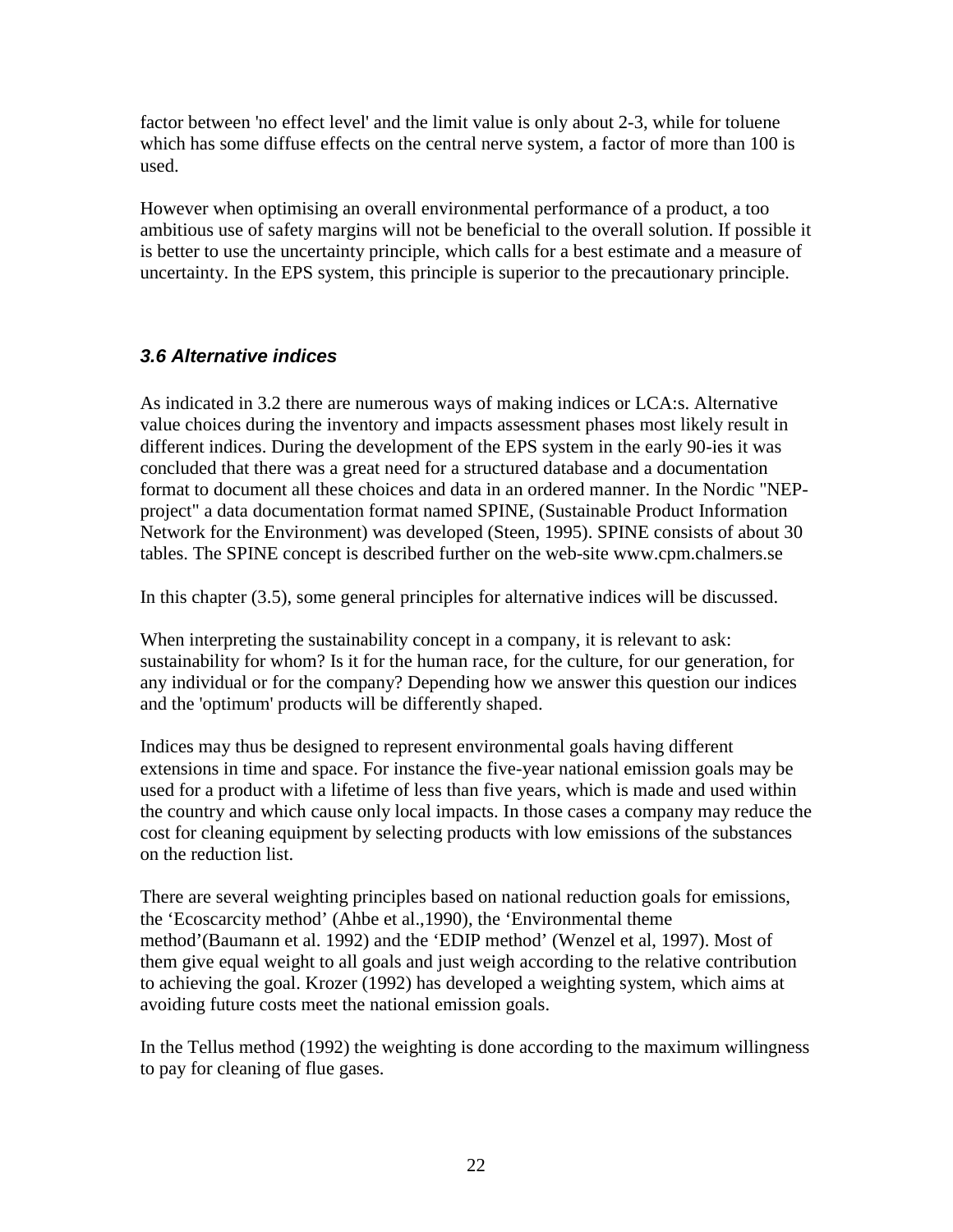<span id="page-22-0"></span>factor between 'no effect level' and the limit value is only about 2-3, while for toluene which has some diffuse effects on the central nerve system, a factor of more than 100 is used.

However when optimising an overall environmental performance of a product, a too ambitious use of safety margins will not be beneficial to the overall solution. If possible it is better to use the uncertainty principle, which calls for a best estimate and a measure of uncertainty. In the EPS system, this principle is superior to the precautionary principle.

# *3.6 Alternative indices*

As indicated in 3.2 there are numerous ways of making indices or LCA:s. Alternative value choices during the inventory and impacts assessment phases most likely result in different indices. During the development of the EPS system in the early 90-ies it was concluded that there was a great need for a structured database and a documentation format to document all these choices and data in an ordered manner. In the Nordic "NEPproject" a data documentation format named SPINE, (Sustainable Product Information Network for the Environment) was developed (Steen, 1995). SPINE consists of about 30 tables. The SPINE concept is described further on the web-site www.cpm.chalmers.se

In this chapter (3.5), some general principles for alternative indices will be discussed.

When interpreting the sustainability concept in a company, it is relevant to ask: sustainability for whom? Is it for the human race, for the culture, for our generation, for any individual or for the company? Depending how we answer this question our indices and the 'optimum' products will be differently shaped.

Indices may thus be designed to represent environmental goals having different extensions in time and space. For instance the five-year national emission goals may be used for a product with a lifetime of less than five years, which is made and used within the country and which cause only local impacts. In those cases a company may reduce the cost for cleaning equipment by selecting products with low emissions of the substances on the reduction list.

There are several weighting principles based on national reduction goals for emissions, the 'Ecoscarcity method' (Ahbe et al.,1990), the 'Environmental theme method'(Baumann et al. 1992) and the 'EDIP method' (Wenzel et al, 1997). Most of them give equal weight to all goals and just weigh according to the relative contribution to achieving the goal. Krozer (1992) has developed a weighting system, which aims at avoiding future costs meet the national emission goals.

In the Tellus method (1992) the weighting is done according to the maximum willingness to pay for cleaning of flue gases.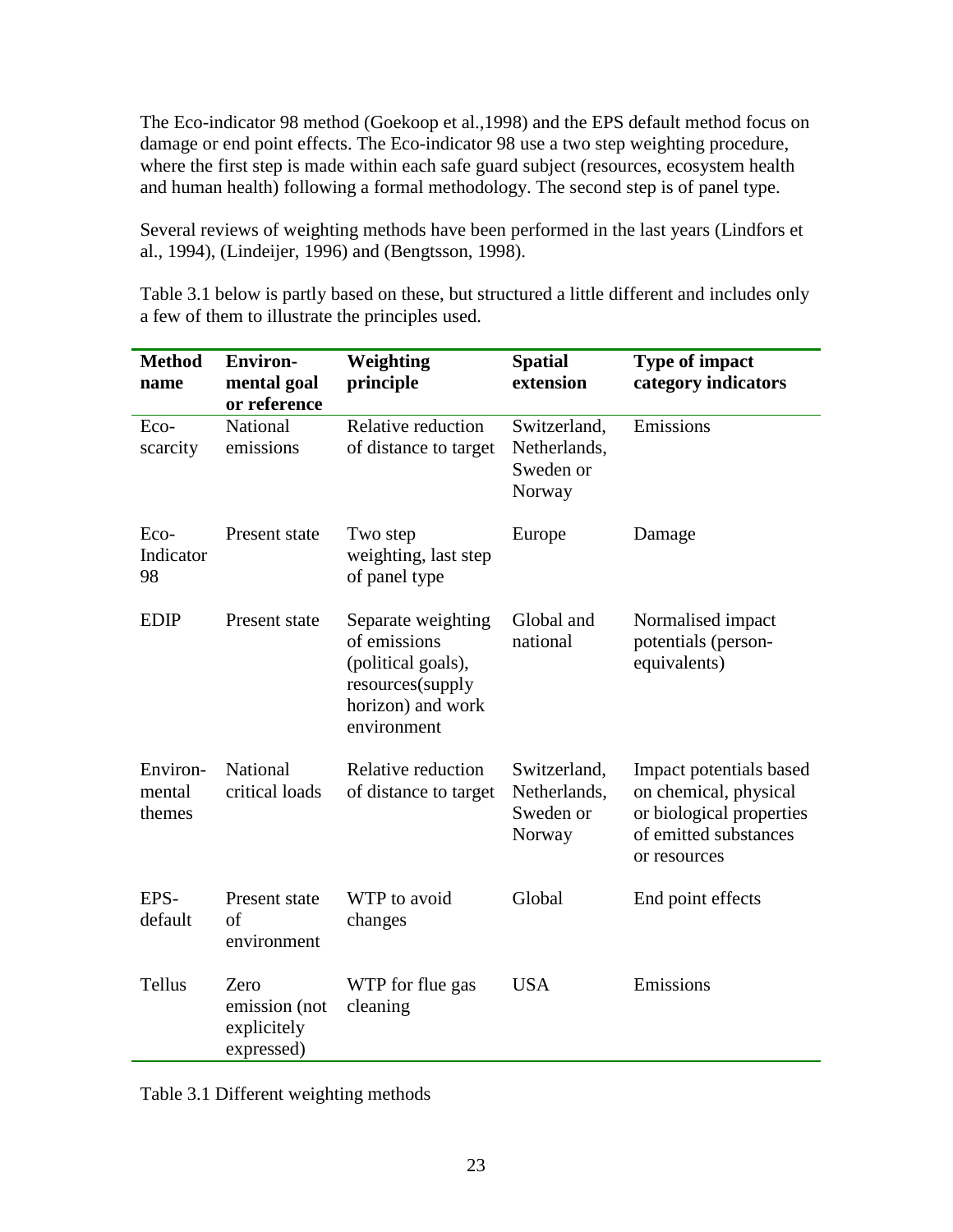The Eco-indicator 98 method (Goekoop et al.,1998) and the EPS default method focus on damage or end point effects. The Eco-indicator 98 use a two step weighting procedure, where the first step is made within each safe guard subject (resources, ecosystem health and human health) following a formal methodology. The second step is of panel type.

Several reviews of weighting methods have been performed in the last years (Lindfors et al., 1994), (Lindeijer, 1996) and (Bengtsson, 1998).

Table 3.1 below is partly based on these, but structured a little different and includes only a few of them to illustrate the principles used.

| <b>Method</b><br>name        | <b>Environ-</b><br>mental goal<br>or reference     | Weighting<br>principle                                                                                           | <b>Spatial</b><br>extension                         | <b>Type of impact</b><br>category indicators                                                                          |
|------------------------------|----------------------------------------------------|------------------------------------------------------------------------------------------------------------------|-----------------------------------------------------|-----------------------------------------------------------------------------------------------------------------------|
| Eco-<br>scarcity             | National<br>emissions                              | Relative reduction<br>of distance to target                                                                      | Switzerland,<br>Netherlands,<br>Sweden or<br>Norway | Emissions                                                                                                             |
| Eco-<br>Indicator<br>98      | Present state                                      | Two step<br>weighting, last step<br>of panel type                                                                | Europe                                              | Damage                                                                                                                |
| <b>EDIP</b>                  | Present state                                      | Separate weighting<br>of emissions<br>(political goals),<br>resources(supply<br>horizon) and work<br>environment | Global and<br>national                              | Normalised impact<br>potentials (person-<br>equivalents)                                                              |
| Environ-<br>mental<br>themes | National<br>critical loads                         | Relative reduction<br>of distance to target                                                                      | Switzerland,<br>Netherlands,<br>Sweden or<br>Norway | Impact potentials based<br>on chemical, physical<br>or biological properties<br>of emitted substances<br>or resources |
| EPS-<br>default              | Present state<br>of<br>environment                 | WTP to avoid<br>changes                                                                                          | Global                                              | End point effects                                                                                                     |
| Tellus                       | Zero<br>emission (not<br>explicitely<br>expressed) | WTP for flue gas<br>cleaning                                                                                     | <b>USA</b>                                          | Emissions                                                                                                             |

Table 3.1 Different weighting methods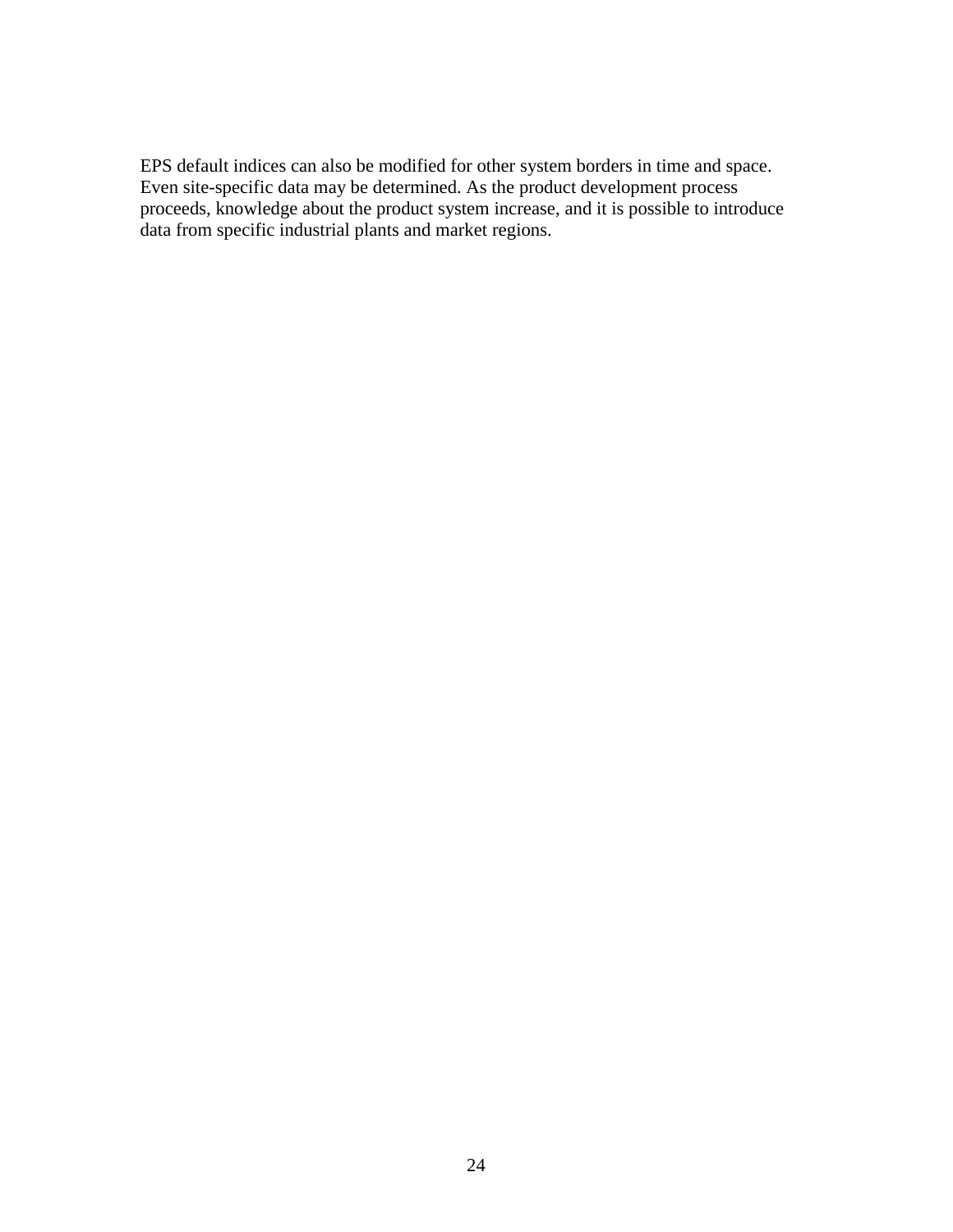EPS default indices can also be modified for other system borders in time and space. Even site-specific data may be determined. As the product development process proceeds, knowledge about the product system increase, and it is possible to introduce data from specific industrial plants and market regions.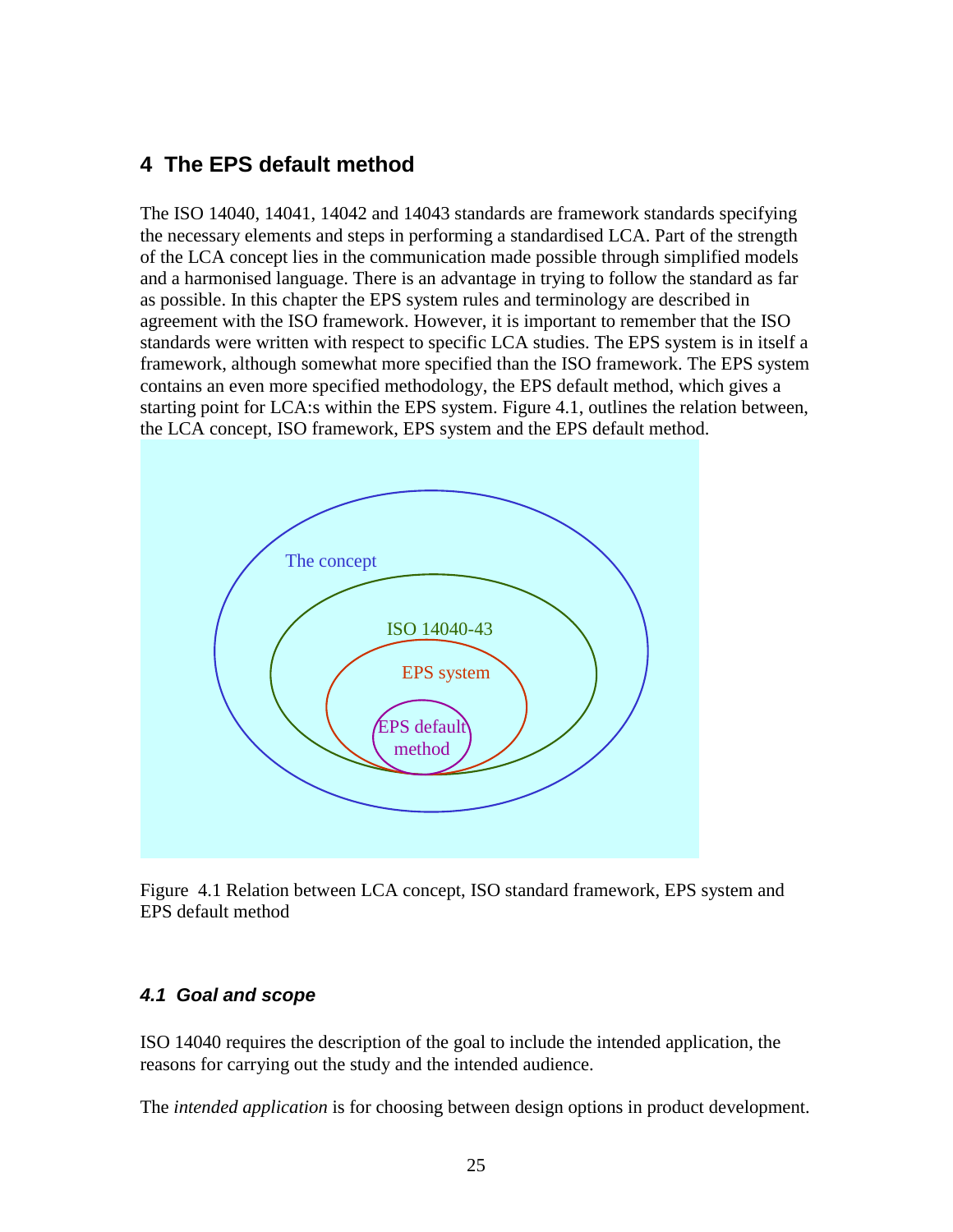# <span id="page-25-0"></span>**4 The EPS default method**

The ISO 14040, 14041, 14042 and 14043 standards are framework standards specifying the necessary elements and steps in performing a standardised LCA. Part of the strength of the LCA concept lies in the communication made possible through simplified models and a harmonised language. There is an advantage in trying to follow the standard as far as possible. In this chapter the EPS system rules and terminology are described in agreement with the ISO framework. However, it is important to remember that the ISO standards were written with respect to specific LCA studies. The EPS system is in itself a framework, although somewhat more specified than the ISO framework. The EPS system contains an even more specified methodology, the EPS default method, which gives a starting point for LCA:s within the EPS system. Figure 4.1, outlines the relation between, the LCA concept, ISO framework, EPS system and the EPS default method.



Figure 4.1 Relation between LCA concept, ISO standard framework, EPS system and EPS default method

# *4.1 Goal and scope*

ISO 14040 requires the description of the goal to include the intended application, the reasons for carrying out the study and the intended audience.

The *intended application* is for choosing between design options in product development.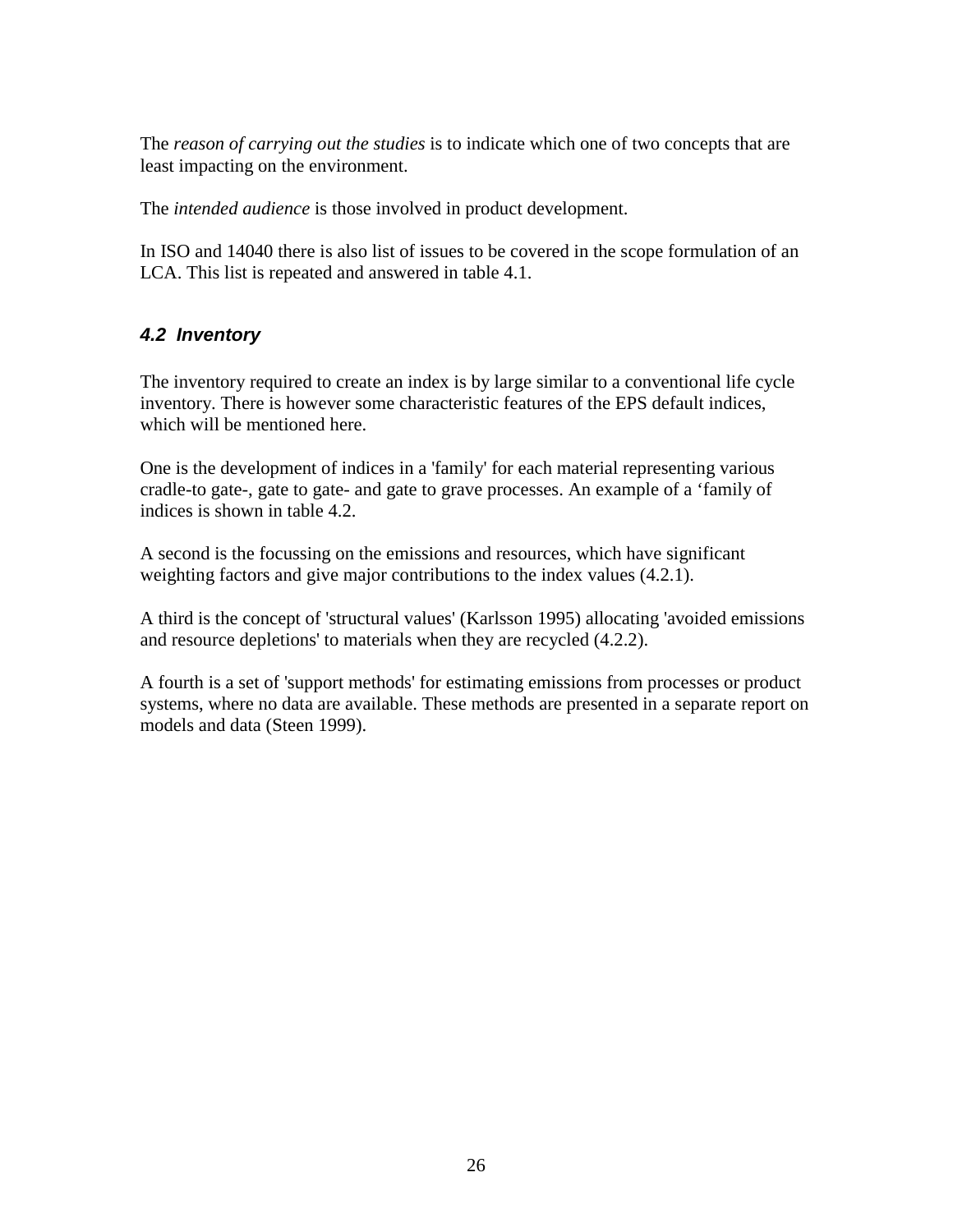<span id="page-26-0"></span>The *reason of carrying out the studies* is to indicate which one of two concepts that are least impacting on the environment.

The *intended audience* is those involved in product development.

In ISO and 14040 there is also list of issues to be covered in the scope formulation of an LCA. This list is repeated and answered in table 4.1.

# *4.2 Inventory*

The inventory required to create an index is by large similar to a conventional life cycle inventory. There is however some characteristic features of the EPS default indices, which will be mentioned here.

One is the development of indices in a 'family' for each material representing various cradle-to gate-, gate to gate- and gate to grave processes. An example of a 'family of indices is shown in table 4.2.

A second is the focussing on the emissions and resources, which have significant weighting factors and give major contributions to the index values (4.2.1).

A third is the concept of 'structural values' (Karlsson 1995) allocating 'avoided emissions and resource depletions' to materials when they are recycled (4.2.2).

A fourth is a set of 'support methods' for estimating emissions from processes or product systems, where no data are available. These methods are presented in a separate report on models and data (Steen 1999).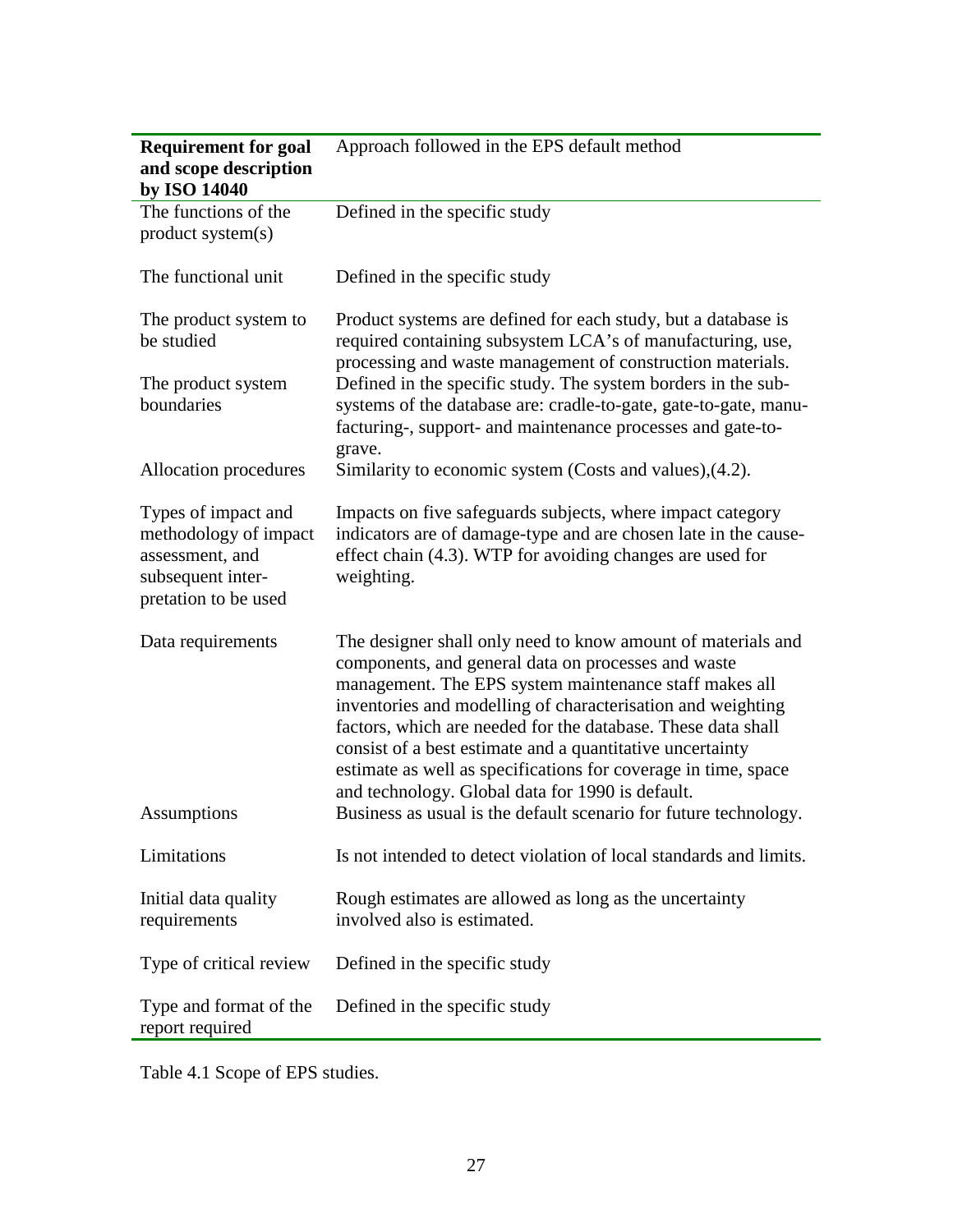| <b>Requirement for goal</b><br>and scope description<br>by ISO 14040                                         | Approach followed in the EPS default method                                                                                                                                                                                                                                                                                                                                                                                                                                                     |
|--------------------------------------------------------------------------------------------------------------|-------------------------------------------------------------------------------------------------------------------------------------------------------------------------------------------------------------------------------------------------------------------------------------------------------------------------------------------------------------------------------------------------------------------------------------------------------------------------------------------------|
| The functions of the<br>product system(s)                                                                    | Defined in the specific study                                                                                                                                                                                                                                                                                                                                                                                                                                                                   |
| The functional unit                                                                                          | Defined in the specific study                                                                                                                                                                                                                                                                                                                                                                                                                                                                   |
| The product system to<br>be studied                                                                          | Product systems are defined for each study, but a database is<br>required containing subsystem LCA's of manufacturing, use,<br>processing and waste management of construction materials.                                                                                                                                                                                                                                                                                                       |
| The product system<br>boundaries                                                                             | Defined in the specific study. The system borders in the sub-<br>systems of the database are: cradle-to-gate, gate-to-gate, manu-<br>facturing-, support- and maintenance processes and gate-to-<br>grave.                                                                                                                                                                                                                                                                                      |
| Allocation procedures                                                                                        | Similarity to economic system (Costs and values), (4.2).                                                                                                                                                                                                                                                                                                                                                                                                                                        |
| Types of impact and<br>methodology of impact<br>assessment, and<br>subsequent inter-<br>pretation to be used | Impacts on five safeguards subjects, where impact category<br>indicators are of damage-type and are chosen late in the cause-<br>effect chain (4.3). WTP for avoiding changes are used for<br>weighting.                                                                                                                                                                                                                                                                                        |
| Data requirements                                                                                            | The designer shall only need to know amount of materials and<br>components, and general data on processes and waste<br>management. The EPS system maintenance staff makes all<br>inventories and modelling of characterisation and weighting<br>factors, which are needed for the database. These data shall<br>consist of a best estimate and a quantitative uncertainty<br>estimate as well as specifications for coverage in time, space<br>and technology. Global data for 1990 is default. |
| Assumptions                                                                                                  | Business as usual is the default scenario for future technology.                                                                                                                                                                                                                                                                                                                                                                                                                                |
| Limitations                                                                                                  | Is not intended to detect violation of local standards and limits.                                                                                                                                                                                                                                                                                                                                                                                                                              |
| Initial data quality<br>requirements                                                                         | Rough estimates are allowed as long as the uncertainty<br>involved also is estimated.                                                                                                                                                                                                                                                                                                                                                                                                           |
| Type of critical review                                                                                      | Defined in the specific study                                                                                                                                                                                                                                                                                                                                                                                                                                                                   |
| Type and format of the<br>report required                                                                    | Defined in the specific study                                                                                                                                                                                                                                                                                                                                                                                                                                                                   |

Table 4.1 Scope of EPS studies.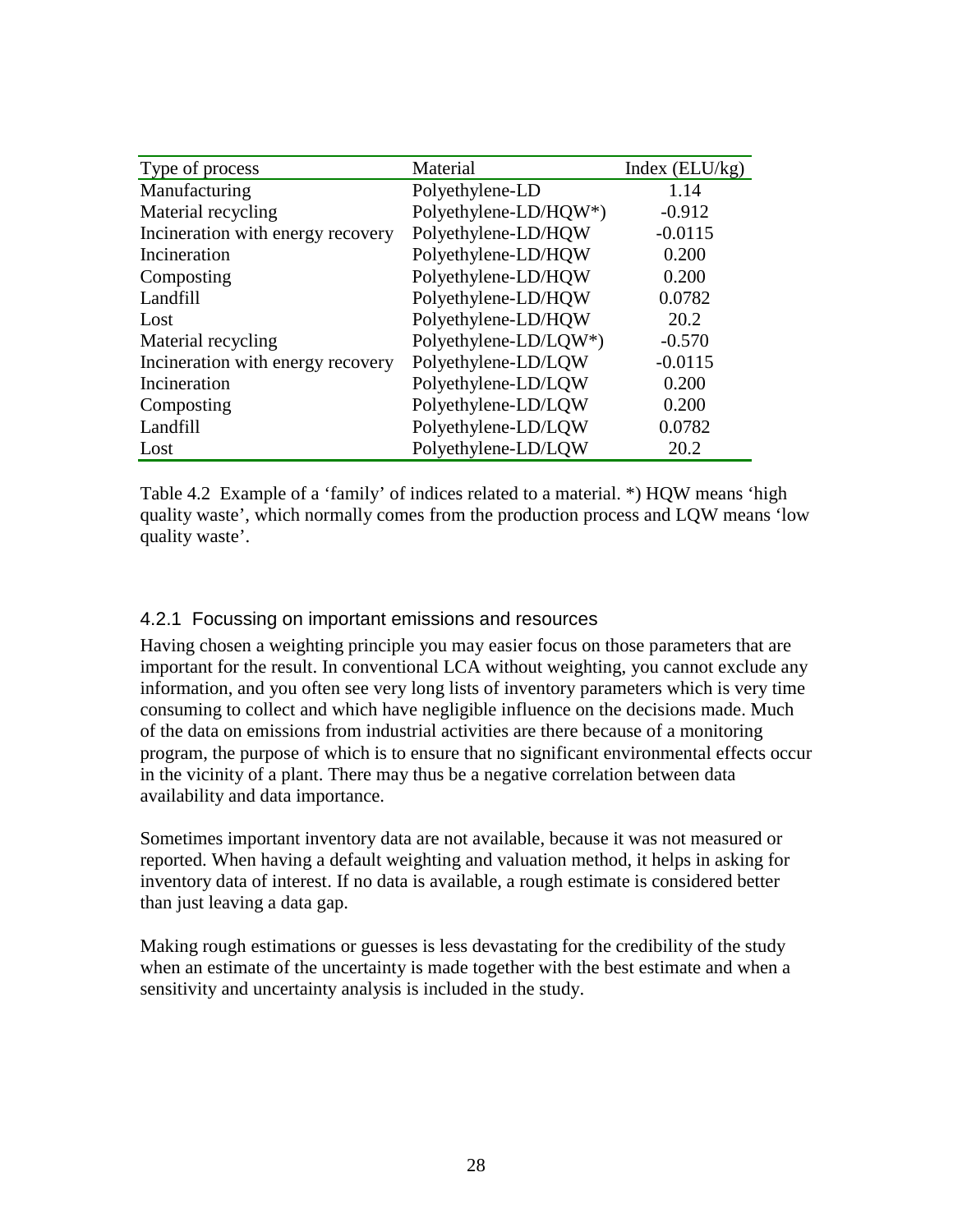<span id="page-28-0"></span>

| Type of process                   | Material              | Index $(ELU/kg)$ |
|-----------------------------------|-----------------------|------------------|
| Manufacturing                     | Polyethylene-LD       | 1.14             |
| Material recycling                | Polyethylene-LD/HQW*) | $-0.912$         |
| Incineration with energy recovery | Polyethylene-LD/HQW   | $-0.0115$        |
| Incineration                      | Polyethylene-LD/HQW   | 0.200            |
| Composting                        | Polyethylene-LD/HQW   | 0.200            |
| Landfill                          | Polyethylene-LD/HQW   | 0.0782           |
| Lost                              | Polyethylene-LD/HQW   | 20.2             |
| Material recycling                | Polyethylene-LD/LQW*) | $-0.570$         |
| Incineration with energy recovery | Polyethylene-LD/LQW   | $-0.0115$        |
| Incineration                      | Polyethylene-LD/LQW   | 0.200            |
| Composting                        | Polyethylene-LD/LQW   | 0.200            |
| Landfill                          | Polyethylene-LD/LQW   | 0.0782           |
| Lost                              | Polyethylene-LD/LQW   | 20.2             |

Table 4.2 Example of a 'family' of indices related to a material. \*) HQW means 'high quality waste', which normally comes from the production process and LQW means 'low quality waste'.

# 4.2.1 Focussing on important emissions and resources

Having chosen a weighting principle you may easier focus on those parameters that are important for the result. In conventional LCA without weighting, you cannot exclude any information, and you often see very long lists of inventory parameters which is very time consuming to collect and which have negligible influence on the decisions made. Much of the data on emissions from industrial activities are there because of a monitoring program, the purpose of which is to ensure that no significant environmental effects occur in the vicinity of a plant. There may thus be a negative correlation between data availability and data importance.

Sometimes important inventory data are not available, because it was not measured or reported. When having a default weighting and valuation method, it helps in asking for inventory data of interest. If no data is available, a rough estimate is considered better than just leaving a data gap.

Making rough estimations or guesses is less devastating for the credibility of the study when an estimate of the uncertainty is made together with the best estimate and when a sensitivity and uncertainty analysis is included in the study.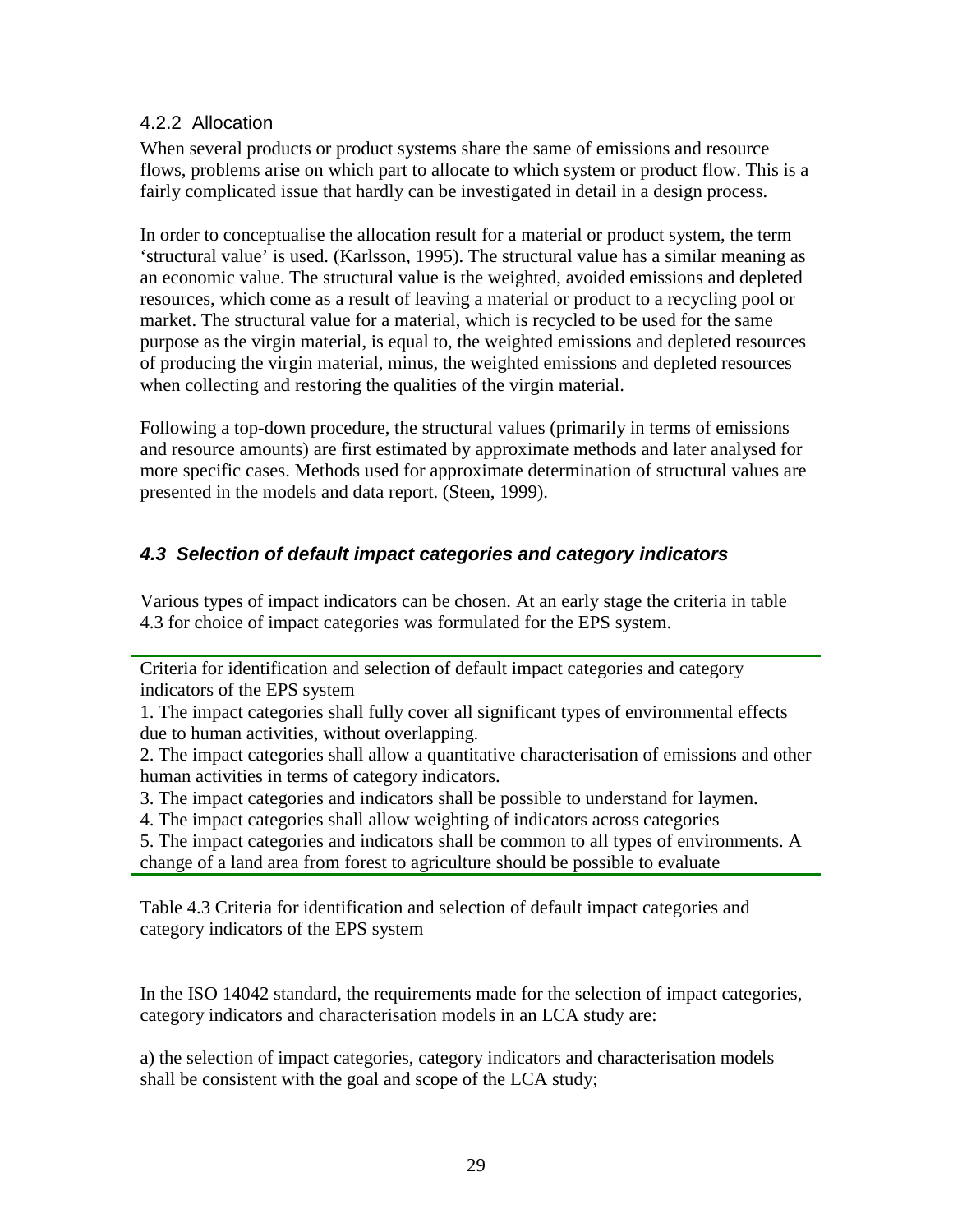# <span id="page-29-0"></span>4.2.2 Allocation

When several products or product systems share the same of emissions and resource flows, problems arise on which part to allocate to which system or product flow. This is a fairly complicated issue that hardly can be investigated in detail in a design process.

In order to conceptualise the allocation result for a material or product system, the term 'structural value' is used. (Karlsson, 1995). The structural value has a similar meaning as an economic value. The structural value is the weighted, avoided emissions and depleted resources, which come as a result of leaving a material or product to a recycling pool or market. The structural value for a material, which is recycled to be used for the same purpose as the virgin material, is equal to, the weighted emissions and depleted resources of producing the virgin material, minus, the weighted emissions and depleted resources when collecting and restoring the qualities of the virgin material.

Following a top-down procedure, the structural values (primarily in terms of emissions and resource amounts) are first estimated by approximate methods and later analysed for more specific cases. Methods used for approximate determination of structural values are presented in the models and data report. (Steen, 1999).

# *4.3 Selection of default impact categories and category indicators*

Various types of impact indicators can be chosen. At an early stage the criteria in table 4.3 for choice of impact categories was formulated for the EPS system.

Criteria for identification and selection of default impact categories and category indicators of the EPS system

1. The impact categories shall fully cover all significant types of environmental effects due to human activities, without overlapping.

2. The impact categories shall allow a quantitative characterisation of emissions and other human activities in terms of category indicators.

3. The impact categories and indicators shall be possible to understand for laymen.

4. The impact categories shall allow weighting of indicators across categories

5. The impact categories and indicators shall be common to all types of environments. A change of a land area from forest to agriculture should be possible to evaluate

Table 4.3 Criteria for identification and selection of default impact categories and category indicators of the EPS system

In the ISO 14042 standard, the requirements made for the selection of impact categories, category indicators and characterisation models in an LCA study are:

a) the selection of impact categories, category indicators and characterisation models shall be consistent with the goal and scope of the LCA study;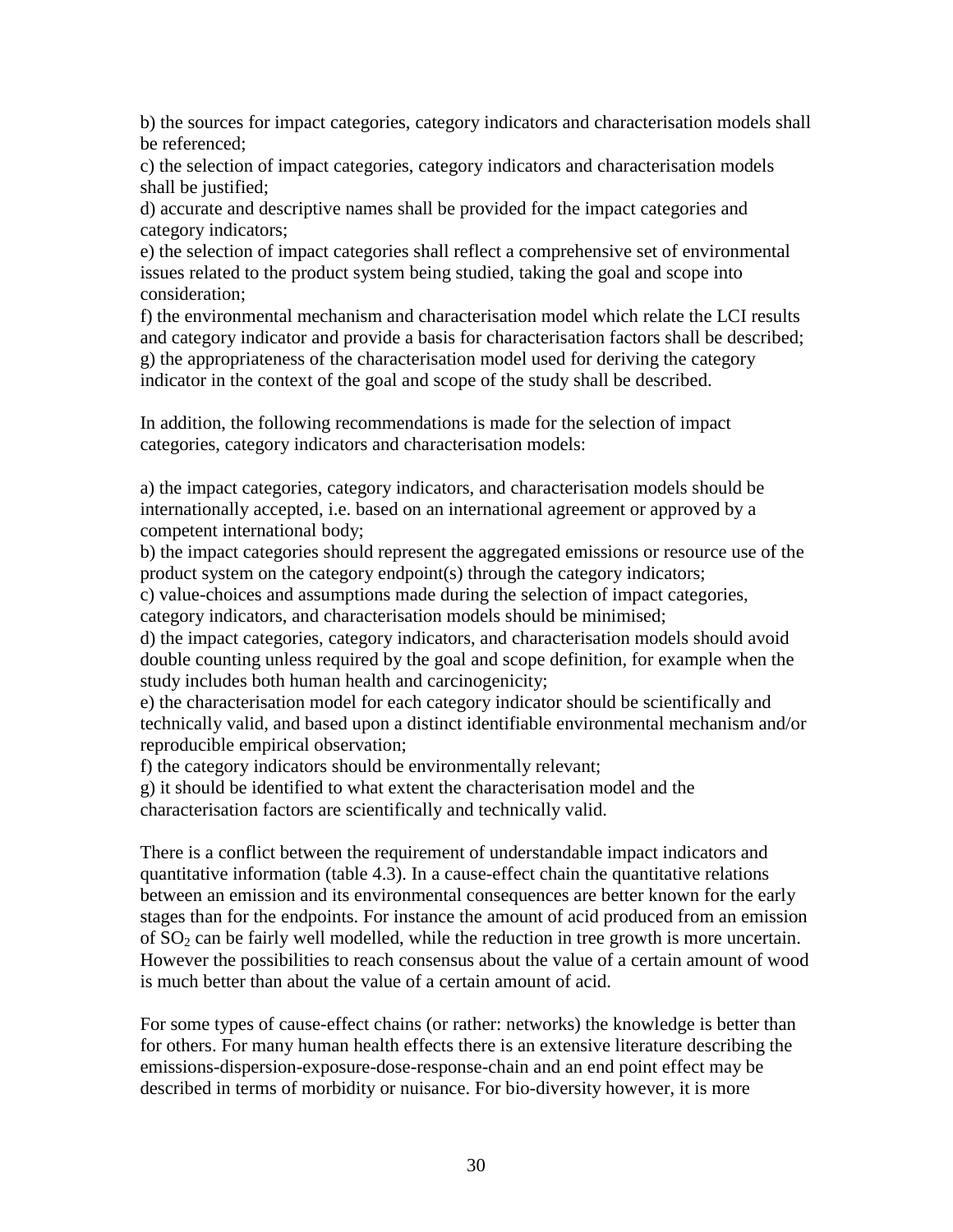b) the sources for impact categories, category indicators and characterisation models shall be referenced;

c) the selection of impact categories, category indicators and characterisation models shall be justified;

d) accurate and descriptive names shall be provided for the impact categories and category indicators;

e) the selection of impact categories shall reflect a comprehensive set of environmental issues related to the product system being studied, taking the goal and scope into consideration;

f) the environmental mechanism and characterisation model which relate the LCI results and category indicator and provide a basis for characterisation factors shall be described; g) the appropriateness of the characterisation model used for deriving the category indicator in the context of the goal and scope of the study shall be described.

In addition, the following recommendations is made for the selection of impact categories, category indicators and characterisation models:

a) the impact categories, category indicators, and characterisation models should be internationally accepted, i.e. based on an international agreement or approved by a competent international body;

b) the impact categories should represent the aggregated emissions or resource use of the product system on the category endpoint(s) through the category indicators;

c) value-choices and assumptions made during the selection of impact categories, category indicators, and characterisation models should be minimised;

d) the impact categories, category indicators, and characterisation models should avoid double counting unless required by the goal and scope definition, for example when the study includes both human health and carcinogenicity;

e) the characterisation model for each category indicator should be scientifically and technically valid, and based upon a distinct identifiable environmental mechanism and/or reproducible empirical observation;

f) the category indicators should be environmentally relevant;

g) it should be identified to what extent the characterisation model and the characterisation factors are scientifically and technically valid.

There is a conflict between the requirement of understandable impact indicators and quantitative information (table 4.3). In a cause-effect chain the quantitative relations between an emission and its environmental consequences are better known for the early stages than for the endpoints. For instance the amount of acid produced from an emission of  $SO_2$  can be fairly well modelled, while the reduction in tree growth is more uncertain. However the possibilities to reach consensus about the value of a certain amount of wood is much better than about the value of a certain amount of acid.

For some types of cause-effect chains (or rather: networks) the knowledge is better than for others. For many human health effects there is an extensive literature describing the emissions-dispersion-exposure-dose-response-chain and an end point effect may be described in terms of morbidity or nuisance. For bio-diversity however, it is more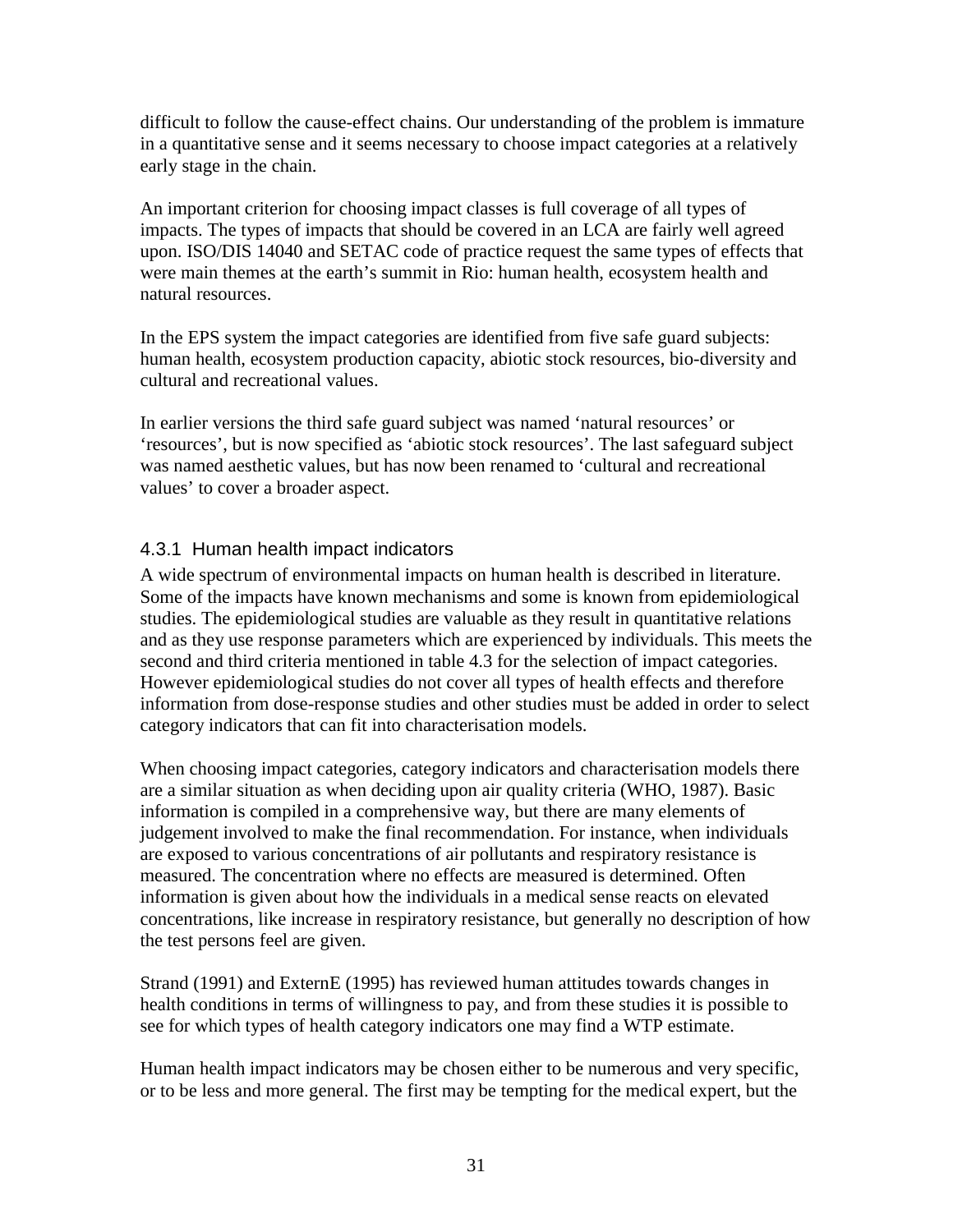<span id="page-31-0"></span>difficult to follow the cause-effect chains. Our understanding of the problem is immature in a quantitative sense and it seems necessary to choose impact categories at a relatively early stage in the chain.

An important criterion for choosing impact classes is full coverage of all types of impacts. The types of impacts that should be covered in an LCA are fairly well agreed upon. ISO/DIS 14040 and SETAC code of practice request the same types of effects that were main themes at the earth's summit in Rio: human health, ecosystem health and natural resources.

In the EPS system the impact categories are identified from five safe guard subjects: human health, ecosystem production capacity, abiotic stock resources, bio-diversity and cultural and recreational values.

In earlier versions the third safe guard subject was named 'natural resources' or 'resources', but is now specified as 'abiotic stock resources'. The last safeguard subject was named aesthetic values, but has now been renamed to 'cultural and recreational values' to cover a broader aspect.

# 4.3.1 Human health impact indicators

A wide spectrum of environmental impacts on human health is described in literature. Some of the impacts have known mechanisms and some is known from epidemiological studies. The epidemiological studies are valuable as they result in quantitative relations and as they use response parameters which are experienced by individuals. This meets the second and third criteria mentioned in table 4.3 for the selection of impact categories. However epidemiological studies do not cover all types of health effects and therefore information from dose-response studies and other studies must be added in order to select category indicators that can fit into characterisation models.

When choosing impact categories, category indicators and characterisation models there are a similar situation as when deciding upon air quality criteria (WHO, 1987). Basic information is compiled in a comprehensive way, but there are many elements of judgement involved to make the final recommendation. For instance, when individuals are exposed to various concentrations of air pollutants and respiratory resistance is measured. The concentration where no effects are measured is determined. Often information is given about how the individuals in a medical sense reacts on elevated concentrations, like increase in respiratory resistance, but generally no description of how the test persons feel are given.

Strand (1991) and ExternE (1995) has reviewed human attitudes towards changes in health conditions in terms of willingness to pay, and from these studies it is possible to see for which types of health category indicators one may find a WTP estimate.

Human health impact indicators may be chosen either to be numerous and very specific, or to be less and more general. The first may be tempting for the medical expert, but the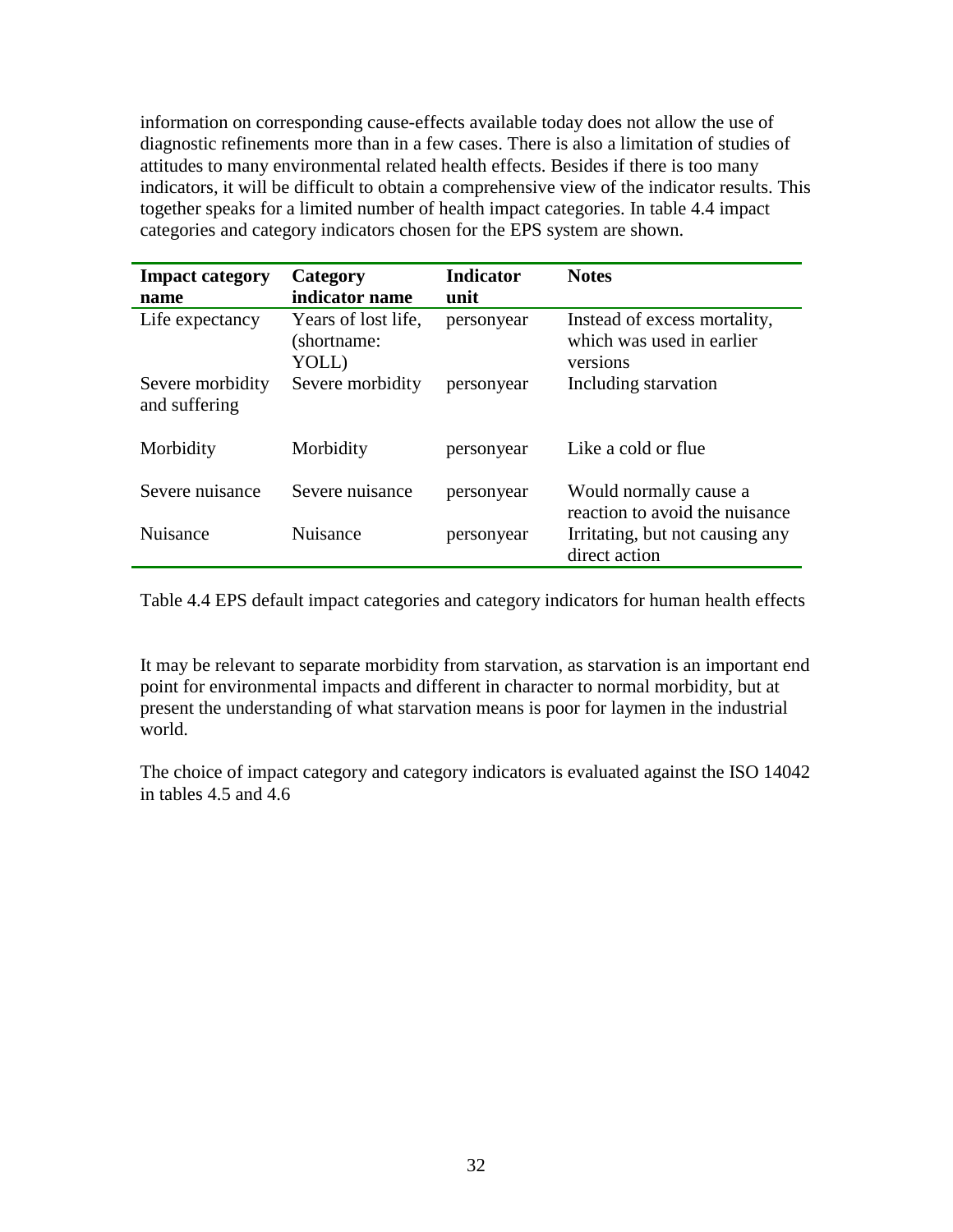information on corresponding cause-effects available today does not allow the use of diagnostic refinements more than in a few cases. There is also a limitation of studies of attitudes to many environmental related health effects. Besides if there is too many indicators, it will be difficult to obtain a comprehensive view of the indicator results. This together speaks for a limited number of health impact categories. In table 4.4 impact categories and category indicators chosen for the EPS system are shown.

| <b>Impact category</b><br>name    | Category<br>indicator name                  | <b>Indicator</b><br>unit | <b>Notes</b>                                                          |
|-----------------------------------|---------------------------------------------|--------------------------|-----------------------------------------------------------------------|
| Life expectancy                   | Years of lost life,<br>(shortname:<br>YOLL) | personyear               | Instead of excess mortality,<br>which was used in earlier<br>versions |
| Severe morbidity<br>and suffering | Severe morbidity                            | personyear               | Including starvation                                                  |
| Morbidity                         | Morbidity                                   | personyear               | Like a cold or flue                                                   |
| Severe nuisance                   | Severe nuisance                             | personyear               | Would normally cause a<br>reaction to avoid the nuisance              |
| Nuisance                          | Nuisance                                    | personyear               | Irritating, but not causing any<br>direct action                      |

Table 4.4 EPS default impact categories and category indicators for human health effects

It may be relevant to separate morbidity from starvation, as starvation is an important end point for environmental impacts and different in character to normal morbidity, but at present the understanding of what starvation means is poor for laymen in the industrial world.

The choice of impact category and category indicators is evaluated against the ISO 14042 in tables 4.5 and 4.6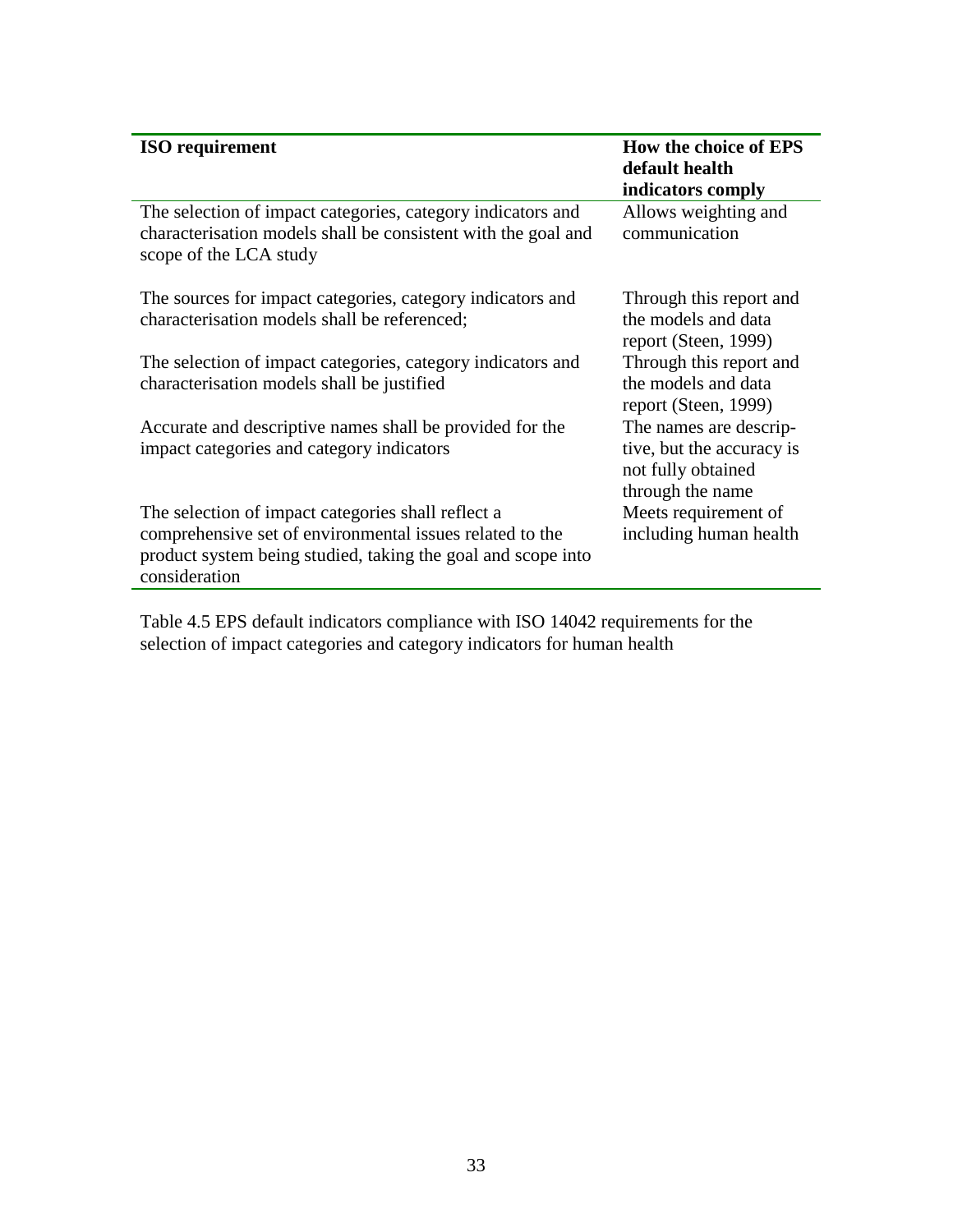| <b>ISO</b> requirement                                                                                                                                 | How the choice of EPS<br>default health                                |
|--------------------------------------------------------------------------------------------------------------------------------------------------------|------------------------------------------------------------------------|
|                                                                                                                                                        | indicators comply                                                      |
| The selection of impact categories, category indicators and<br>characterisation models shall be consistent with the goal and<br>scope of the LCA study | Allows weighting and<br>communication                                  |
| The sources for impact categories, category indicators and                                                                                             | Through this report and                                                |
| characterisation models shall be referenced;                                                                                                           | the models and data<br>report (Steen, 1999)                            |
| The selection of impact categories, category indicators and<br>characterisation models shall be justified                                              | Through this report and<br>the models and data<br>report (Steen, 1999) |
| Accurate and descriptive names shall be provided for the                                                                                               | The names are descrip-                                                 |
| impact categories and category indicators                                                                                                              | tive, but the accuracy is<br>not fully obtained<br>through the name    |
| The selection of impact categories shall reflect a                                                                                                     | Meets requirement of                                                   |
| comprehensive set of environmental issues related to the                                                                                               | including human health                                                 |
| product system being studied, taking the goal and scope into<br>consideration                                                                          |                                                                        |
|                                                                                                                                                        |                                                                        |

Table 4.5 EPS default indicators compliance with ISO 14042 requirements for the selection of impact categories and category indicators for human health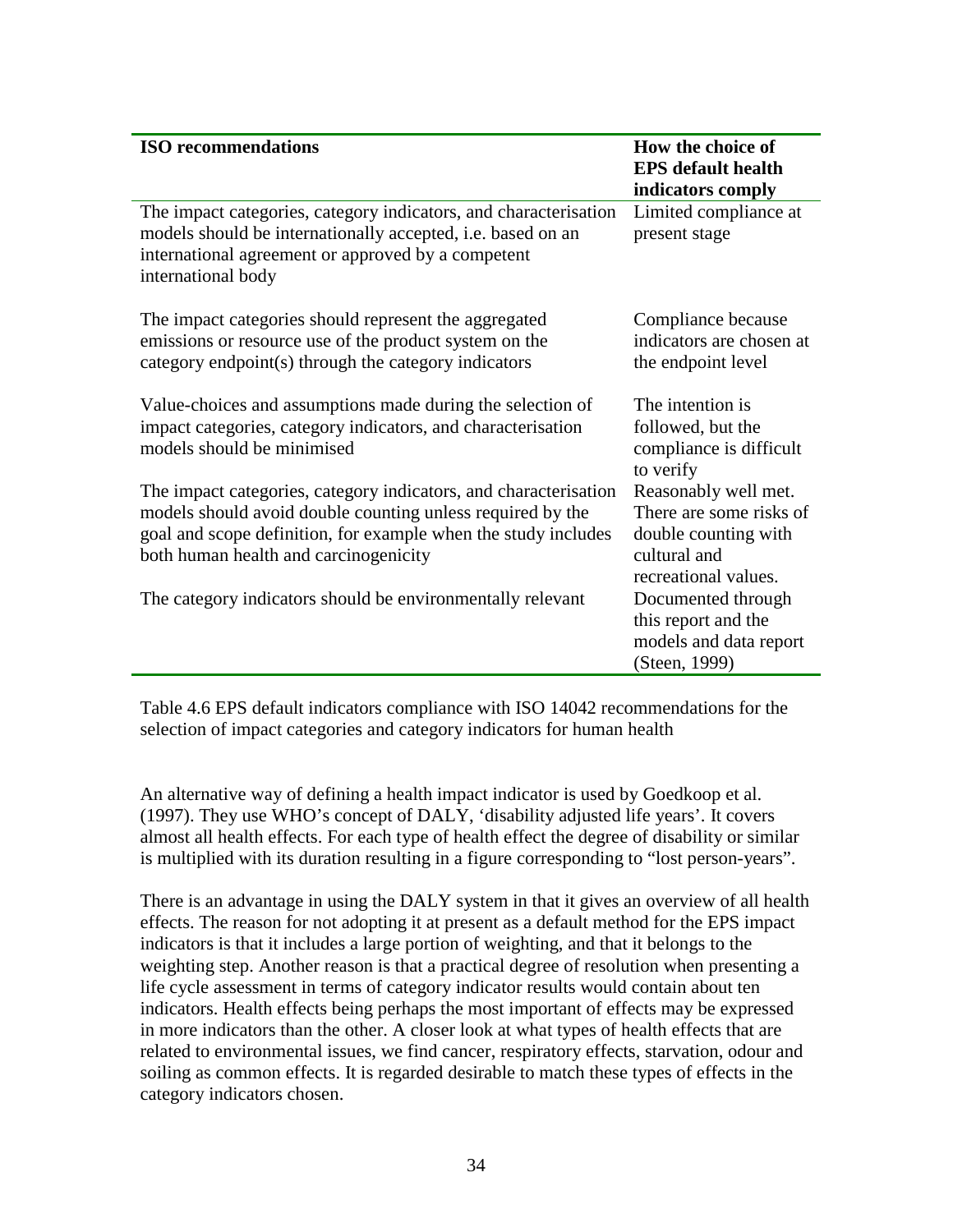| <b>ISO</b> recommendations                                                                                                                                                                                                                | How the choice of<br><b>EPS</b> default health                                                                  |
|-------------------------------------------------------------------------------------------------------------------------------------------------------------------------------------------------------------------------------------------|-----------------------------------------------------------------------------------------------------------------|
|                                                                                                                                                                                                                                           | indicators comply                                                                                               |
| The impact categories, category indicators, and characterisation<br>models should be internationally accepted, i.e. based on an<br>international agreement or approved by a competent<br>international body                               | Limited compliance at<br>present stage                                                                          |
| The impact categories should represent the aggregated<br>emissions or resource use of the product system on the<br>category endpoint(s) through the category indicators                                                                   | Compliance because<br>indicators are chosen at<br>the endpoint level                                            |
| Value-choices and assumptions made during the selection of<br>impact categories, category indicators, and characterisation<br>models should be minimised                                                                                  | The intention is<br>followed, but the<br>compliance is difficult<br>to verify                                   |
| The impact categories, category indicators, and characterisation<br>models should avoid double counting unless required by the<br>goal and scope definition, for example when the study includes<br>both human health and carcinogenicity | Reasonably well met.<br>There are some risks of<br>double counting with<br>cultural and<br>recreational values. |
| The category indicators should be environmentally relevant                                                                                                                                                                                | Documented through<br>this report and the<br>models and data report<br>(Steen, 1999)                            |

Table 4.6 EPS default indicators compliance with ISO 14042 recommendations for the selection of impact categories and category indicators for human health

An alternative way of defining a health impact indicator is used by Goedkoop et al. (1997). They use WHO's concept of DALY, 'disability adjusted life years'. It covers almost all health effects. For each type of health effect the degree of disability or similar is multiplied with its duration resulting in a figure corresponding to "lost person-years".

There is an advantage in using the DALY system in that it gives an overview of all health effects. The reason for not adopting it at present as a default method for the EPS impact indicators is that it includes a large portion of weighting, and that it belongs to the weighting step. Another reason is that a practical degree of resolution when presenting a life cycle assessment in terms of category indicator results would contain about ten indicators. Health effects being perhaps the most important of effects may be expressed in more indicators than the other. A closer look at what types of health effects that are related to environmental issues, we find cancer, respiratory effects, starvation, odour and soiling as common effects. It is regarded desirable to match these types of effects in the category indicators chosen.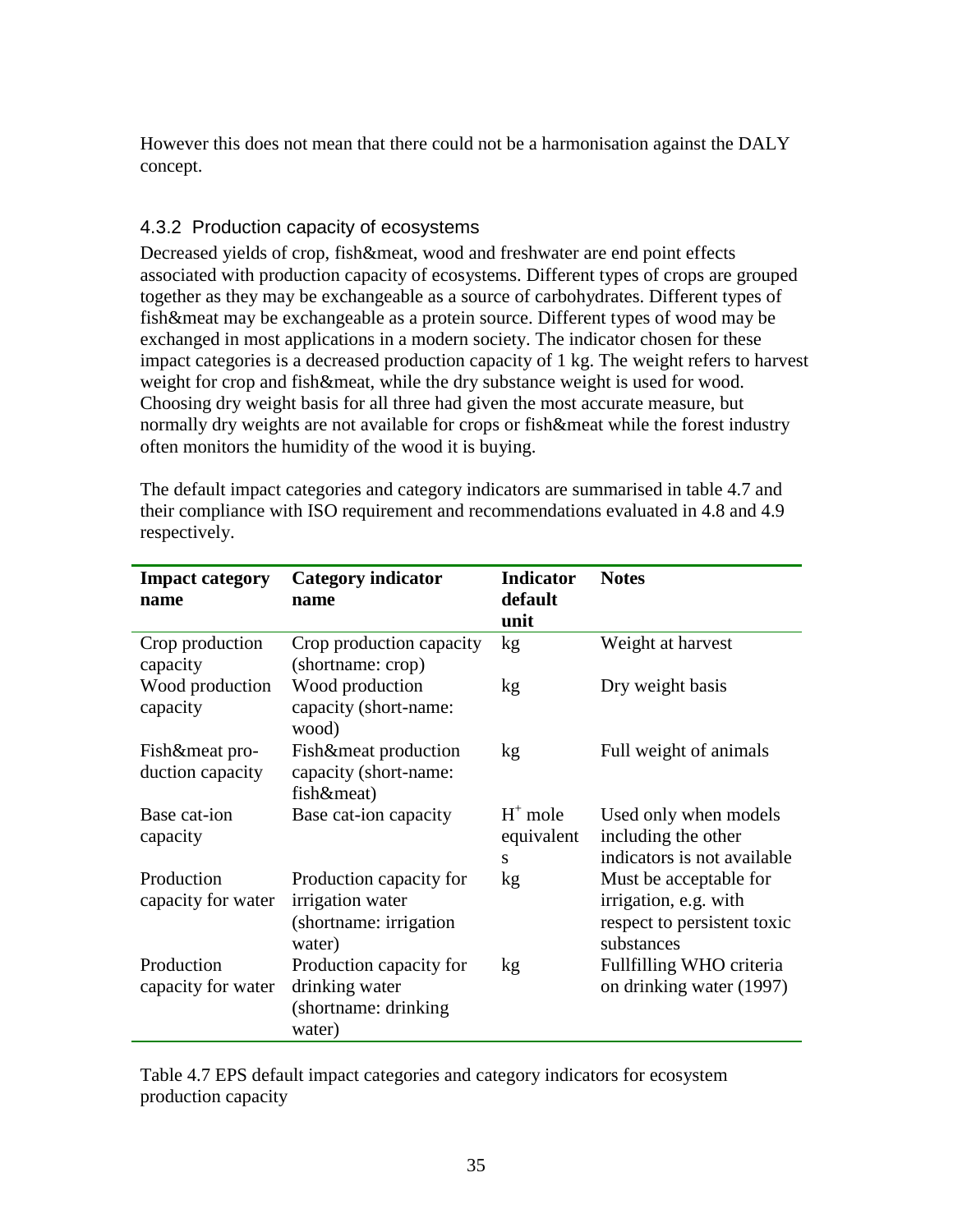<span id="page-35-0"></span>However this does not mean that there could not be a harmonisation against the DALY concept.

# 4.3.2 Production capacity of ecosystems

Decreased yields of crop, fish&meat, wood and freshwater are end point effects associated with production capacity of ecosystems. Different types of crops are grouped together as they may be exchangeable as a source of carbohydrates. Different types of fish&meat may be exchangeable as a protein source. Different types of wood may be exchanged in most applications in a modern society. The indicator chosen for these impact categories is a decreased production capacity of 1 kg. The weight refers to harvest weight for crop and fish&meat, while the dry substance weight is used for wood. Choosing dry weight basis for all three had given the most accurate measure, but normally dry weights are not available for crops or fish&meat while the forest industry often monitors the humidity of the wood it is buying.

| <b>Impact category</b><br>name     | <b>Category indicator</b><br>name                                                | <b>Indicator</b><br>default<br>unit | <b>Notes</b>                                                                                 |
|------------------------------------|----------------------------------------------------------------------------------|-------------------------------------|----------------------------------------------------------------------------------------------|
| Crop production<br>capacity        | Crop production capacity<br>(shortname: crop)                                    | kg                                  | Weight at harvest                                                                            |
| Wood production<br>capacity        | Wood production<br>capacity (short-name:<br>wood)                                | kg                                  | Dry weight basis                                                                             |
| Fish&meat pro-<br>duction capacity | Fish&meat production<br>capacity (short-name:<br>fish&meat)                      | kg                                  | Full weight of animals                                                                       |
| Base cat-ion<br>capacity           | Base cat-ion capacity                                                            | $H^+$ mole<br>equivalent<br>S       | Used only when models<br>including the other<br>indicators is not available                  |
| Production<br>capacity for water   | Production capacity for<br>irrigation water<br>(shortname: irrigation)<br>water) | kg                                  | Must be acceptable for<br>irrigation, e.g. with<br>respect to persistent toxic<br>substances |
| Production<br>capacity for water   | Production capacity for<br>drinking water<br>(shortname: drinking)<br>water)     | kg                                  | Fullfilling WHO criteria<br>on drinking water (1997)                                         |

The default impact categories and category indicators are summarised in table 4.7 and their compliance with ISO requirement and recommendations evaluated in 4.8 and 4.9 respectively.

Table 4.7 EPS default impact categories and category indicators for ecosystem production capacity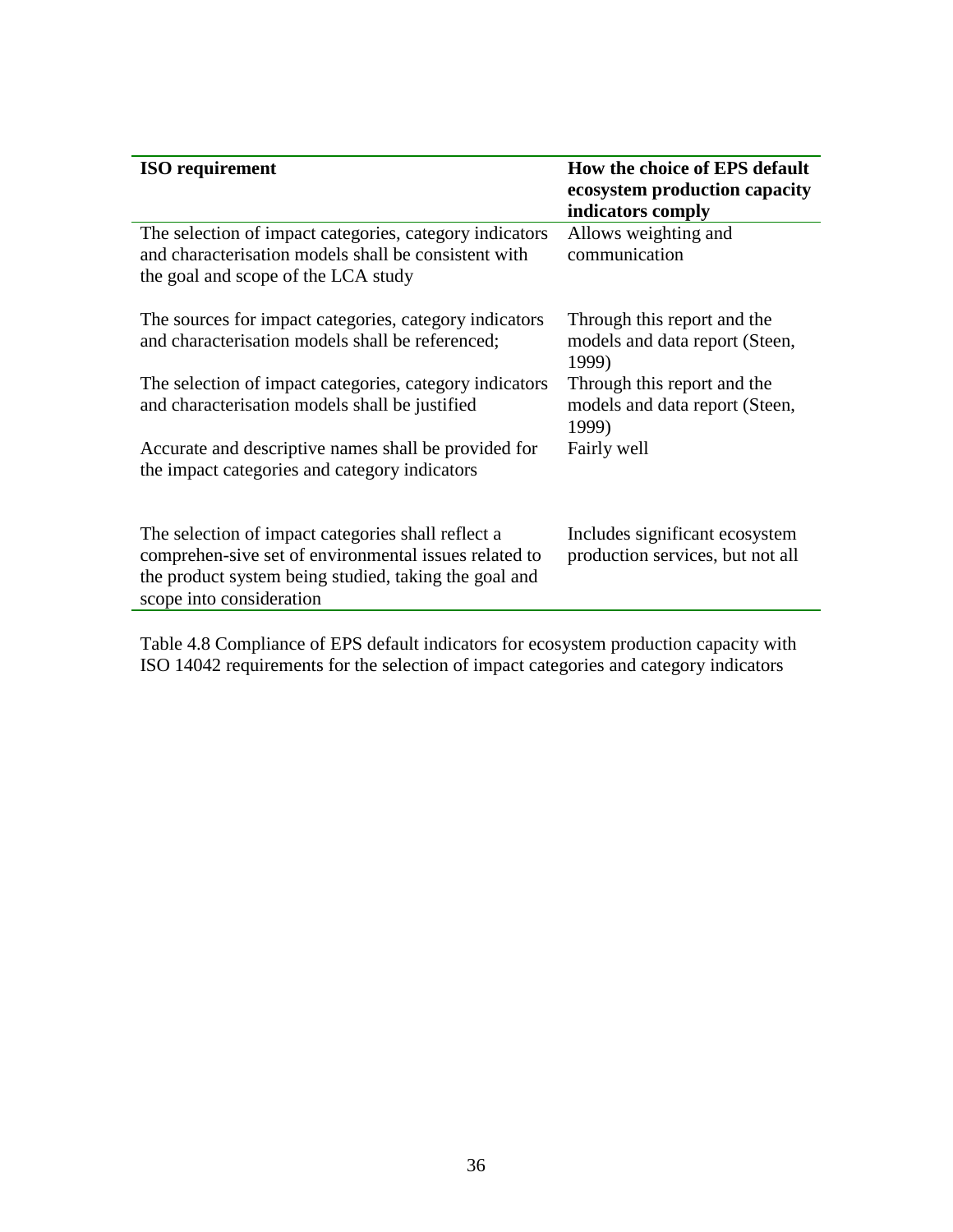| <b>ISO</b> requirement                                                                                                                                                                           | <b>How the choice of EPS default</b><br>ecosystem production capacity<br>indicators comply |
|--------------------------------------------------------------------------------------------------------------------------------------------------------------------------------------------------|--------------------------------------------------------------------------------------------|
| The selection of impact categories, category indicators<br>and characterisation models shall be consistent with<br>the goal and scope of the LCA study                                           | Allows weighting and<br>communication                                                      |
| The sources for impact categories, category indicators<br>and characterisation models shall be referenced;                                                                                       | Through this report and the<br>models and data report (Steen,<br>1999)                     |
| The selection of impact categories, category indicators<br>and characterisation models shall be justified                                                                                        | Through this report and the<br>models and data report (Steen,<br>1999)                     |
| Accurate and descriptive names shall be provided for<br>the impact categories and category indicators                                                                                            | Fairly well                                                                                |
| The selection of impact categories shall reflect a<br>comprehen-sive set of environmental issues related to<br>the product system being studied, taking the goal and<br>scope into consideration | Includes significant ecosystem<br>production services, but not all                         |

Table 4.8 Compliance of EPS default indicators for ecosystem production capacity with ISO 14042 requirements for the selection of impact categories and category indicators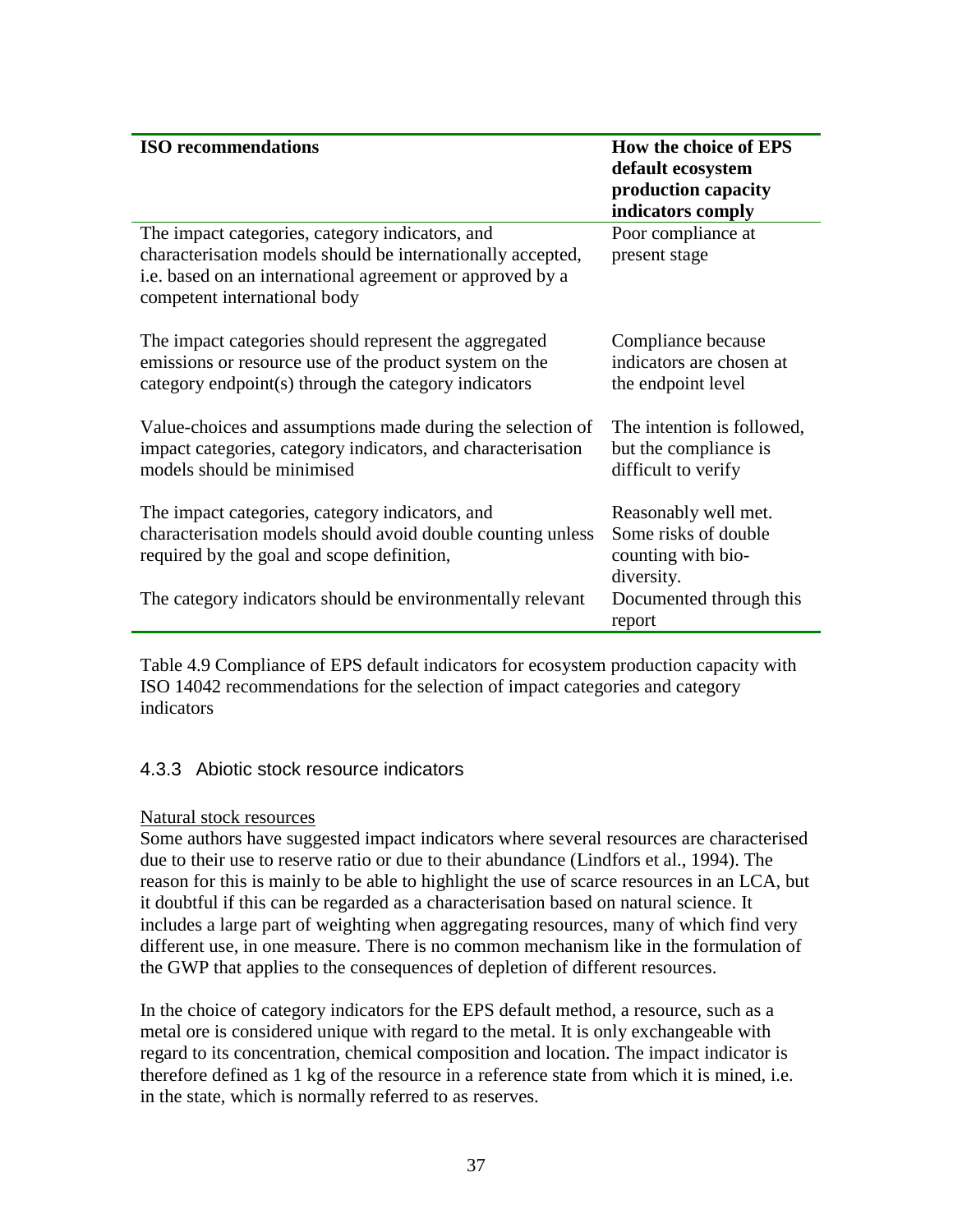<span id="page-37-0"></span>

| <b>ISO</b> recommendations                                                                                                                                                                                  | <b>How the choice of EPS</b><br>default ecosystem<br>production capacity<br>indicators comply |
|-------------------------------------------------------------------------------------------------------------------------------------------------------------------------------------------------------------|-----------------------------------------------------------------------------------------------|
| The impact categories, category indicators, and<br>characterisation models should be internationally accepted,<br>i.e. based on an international agreement or approved by a<br>competent international body | Poor compliance at<br>present stage                                                           |
| The impact categories should represent the aggregated<br>emissions or resource use of the product system on the<br>category endpoint(s) through the category indicators                                     | Compliance because<br>indicators are chosen at<br>the endpoint level                          |
| Value-choices and assumptions made during the selection of<br>impact categories, category indicators, and characterisation<br>models should be minimised                                                    | The intention is followed,<br>but the compliance is<br>difficult to verify                    |
| The impact categories, category indicators, and<br>characterisation models should avoid double counting unless<br>required by the goal and scope definition,                                                | Reasonably well met.<br>Some risks of double<br>counting with bio-<br>diversity.              |
| The category indicators should be environmentally relevant                                                                                                                                                  | Documented through this<br>report                                                             |

Table 4.9 Compliance of EPS default indicators for ecosystem production capacity with ISO 14042 recommendations for the selection of impact categories and category indicators

# 4.3.3 Abiotic stock resource indicators

#### Natural stock resources

Some authors have suggested impact indicators where several resources are characterised due to their use to reserve ratio or due to their abundance (Lindfors et al., 1994). The reason for this is mainly to be able to highlight the use of scarce resources in an LCA, but it doubtful if this can be regarded as a characterisation based on natural science. It includes a large part of weighting when aggregating resources, many of which find very different use, in one measure. There is no common mechanism like in the formulation of the GWP that applies to the consequences of depletion of different resources.

In the choice of category indicators for the EPS default method, a resource, such as a metal ore is considered unique with regard to the metal. It is only exchangeable with regard to its concentration, chemical composition and location. The impact indicator is therefore defined as 1 kg of the resource in a reference state from which it is mined, i.e. in the state, which is normally referred to as reserves.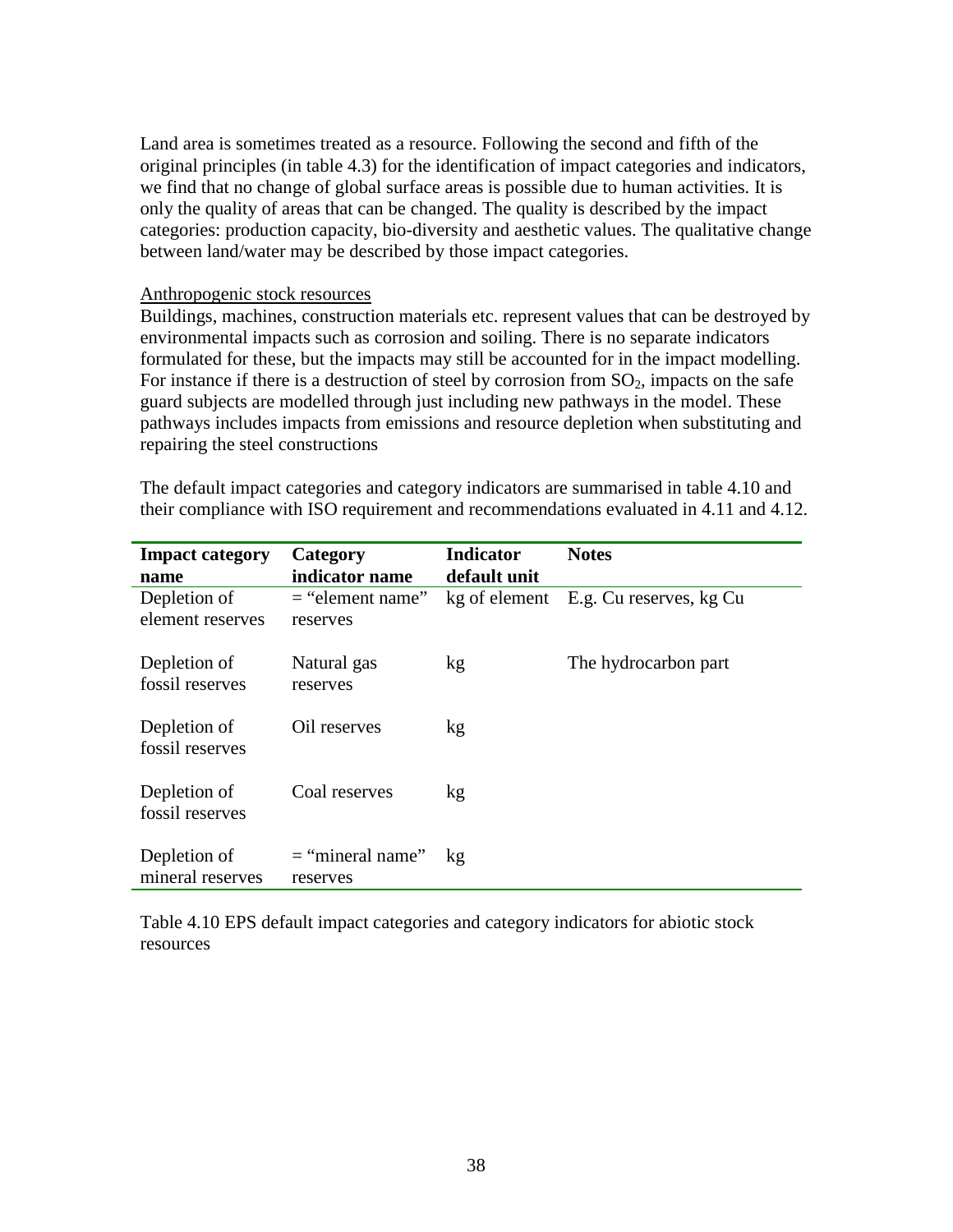Land area is sometimes treated as a resource. Following the second and fifth of the original principles (in table 4.3) for the identification of impact categories and indicators, we find that no change of global surface areas is possible due to human activities. It is only the quality of areas that can be changed. The quality is described by the impact categories: production capacity, bio-diversity and aesthetic values. The qualitative change between land/water may be described by those impact categories.

#### Anthropogenic stock resources

Buildings, machines, construction materials etc. represent values that can be destroyed by environmental impacts such as corrosion and soiling. There is no separate indicators formulated for these, but the impacts may still be accounted for in the impact modelling. For instance if there is a destruction of steel by corrosion from  $SO<sub>2</sub>$ , impacts on the safe guard subjects are modelled through just including new pathways in the model. These pathways includes impacts from emissions and resource depletion when substituting and repairing the steel constructions

The default impact categories and category indicators are summarised in table 4.10 and their compliance with ISO requirement and recommendations evaluated in 4.11 and 4.12.

| <b>Impact category</b><br>name   | Category<br>indicator name     | <b>Indicator</b><br>default unit | <b>Notes</b>            |
|----------------------------------|--------------------------------|----------------------------------|-------------------------|
| Depletion of<br>element reserves | $=$ "element name"<br>reserves | kg of element                    | E.g. Cu reserves, kg Cu |
| Depletion of<br>fossil reserves  | Natural gas<br>reserves        | kg                               | The hydrocarbon part    |
| Depletion of<br>fossil reserves  | Oil reserves                   | kg                               |                         |
| Depletion of<br>fossil reserves  | Coal reserves                  | kg                               |                         |
| Depletion of<br>mineral reserves | $=$ "mineral name"<br>reserves | kg                               |                         |

Table 4.10 EPS default impact categories and category indicators for abiotic stock resources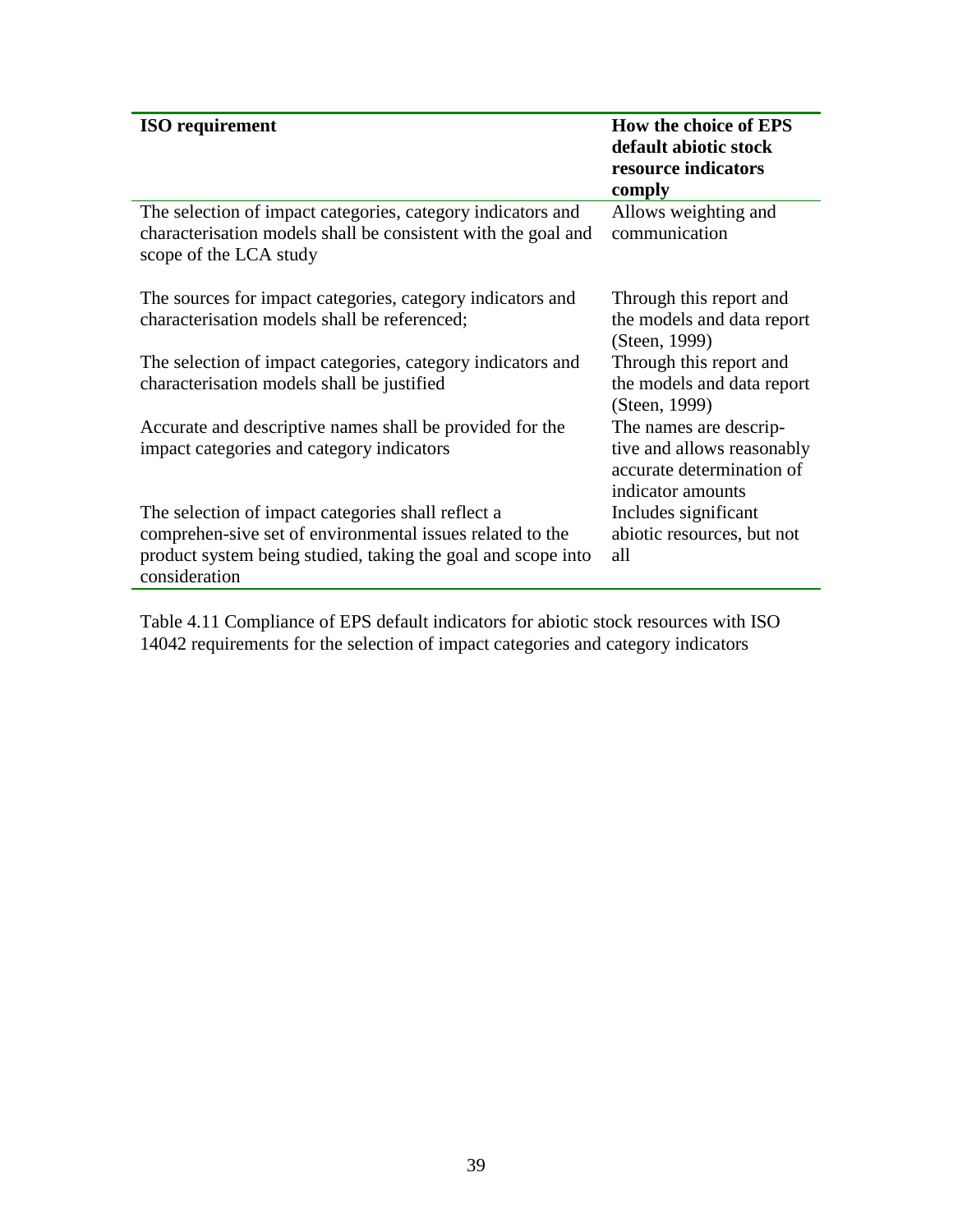| <b>ISO</b> requirement                                                                                                                                                                           | <b>How the choice of EPS</b><br>default abiotic stock<br>resource indicators<br>comply                 |
|--------------------------------------------------------------------------------------------------------------------------------------------------------------------------------------------------|--------------------------------------------------------------------------------------------------------|
| The selection of impact categories, category indicators and<br>characterisation models shall be consistent with the goal and<br>scope of the LCA study                                           | Allows weighting and<br>communication                                                                  |
| The sources for impact categories, category indicators and<br>characterisation models shall be referenced;                                                                                       | Through this report and<br>the models and data report<br>(Steen, 1999)                                 |
| The selection of impact categories, category indicators and<br>characterisation models shall be justified                                                                                        | Through this report and<br>the models and data report<br>(Steen, 1999)                                 |
| Accurate and descriptive names shall be provided for the<br>impact categories and category indicators                                                                                            | The names are descrip-<br>tive and allows reasonably<br>accurate determination of<br>indicator amounts |
| The selection of impact categories shall reflect a<br>comprehen-sive set of environmental issues related to the<br>product system being studied, taking the goal and scope into<br>consideration | Includes significant<br>abiotic resources, but not<br>all                                              |

Table 4.11 Compliance of EPS default indicators for abiotic stock resources with ISO 14042 requirements for the selection of impact categories and category indicators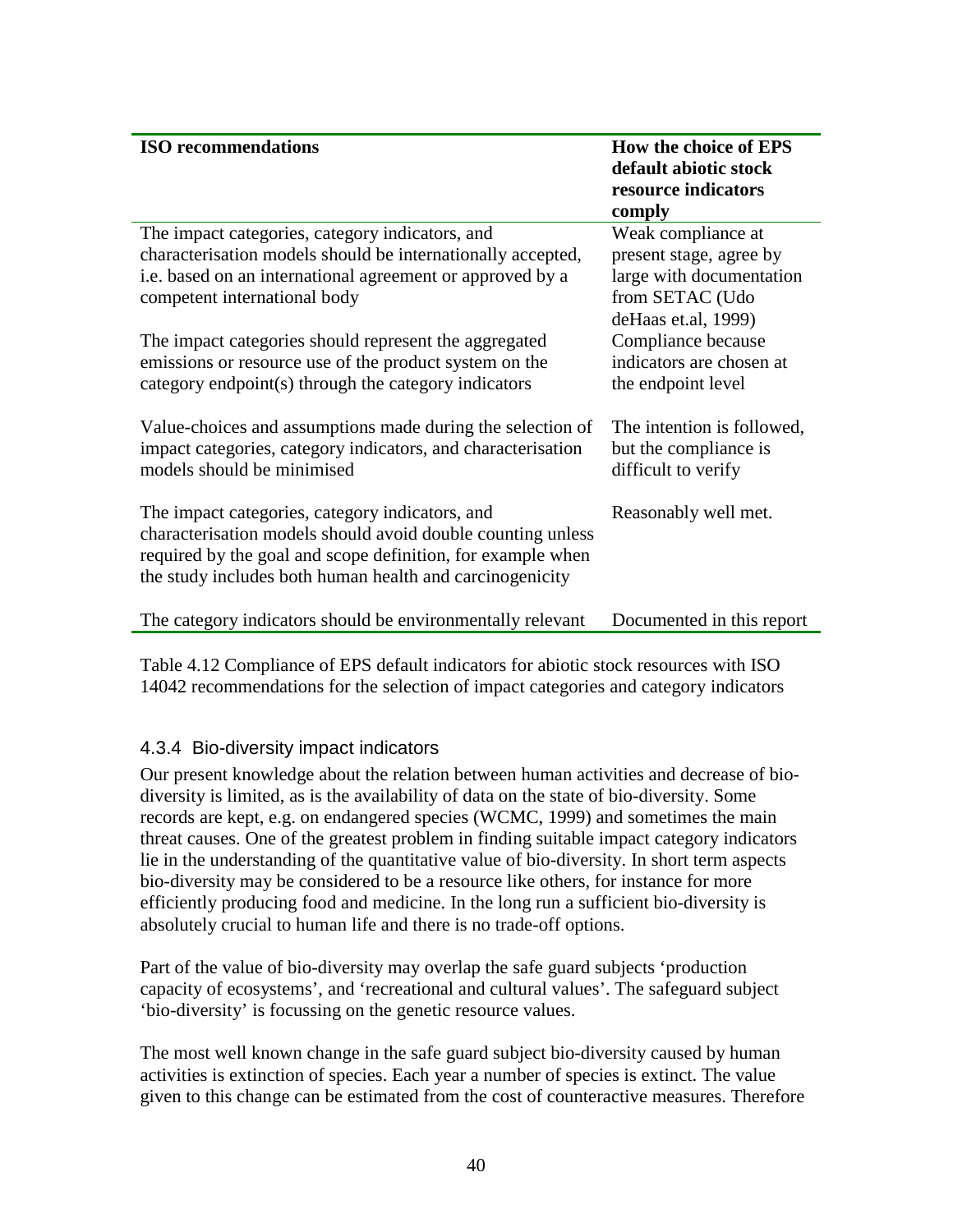<span id="page-40-0"></span>

| <b>ISO</b> recommendations                                   | How the choice of EPS      |
|--------------------------------------------------------------|----------------------------|
|                                                              | default abiotic stock      |
|                                                              | resource indicators        |
|                                                              | comply                     |
| The impact categories, category indicators, and              | Weak compliance at         |
| characterisation models should be internationally accepted,  | present stage, agree by    |
| i.e. based on an international agreement or approved by a    | large with documentation   |
| competent international body                                 | from SETAC (Udo            |
|                                                              | deHaas et.al, 1999)        |
| The impact categories should represent the aggregated        | Compliance because         |
| emissions or resource use of the product system on the       | indicators are chosen at   |
| category endpoint(s) through the category indicators         | the endpoint level         |
|                                                              |                            |
| Value-choices and assumptions made during the selection of   | The intention is followed, |
| impact categories, category indicators, and characterisation | but the compliance is      |
| models should be minimised                                   | difficult to verify        |
|                                                              |                            |
| The impact categories, category indicators, and              | Reasonably well met.       |
| characterisation models should avoid double counting unless  |                            |
| required by the goal and scope definition, for example when  |                            |
| the study includes both human health and carcinogenicity     |                            |
|                                                              |                            |
| The category indicators should be environmentally relevant   | Documented in this report  |

Table 4.12 Compliance of EPS default indicators for abiotic stock resources with ISO 14042 recommendations for the selection of impact categories and category indicators

# 4.3.4 Bio-diversity impact indicators

Our present knowledge about the relation between human activities and decrease of biodiversity is limited, as is the availability of data on the state of bio-diversity. Some records are kept, e.g. on endangered species (WCMC, 1999) and sometimes the main threat causes. One of the greatest problem in finding suitable impact category indicators lie in the understanding of the quantitative value of bio-diversity. In short term aspects bio-diversity may be considered to be a resource like others, for instance for more efficiently producing food and medicine. In the long run a sufficient bio-diversity is absolutely crucial to human life and there is no trade-off options.

Part of the value of bio-diversity may overlap the safe guard subjects 'production capacity of ecosystems', and 'recreational and cultural values'. The safeguard subject 'bio-diversity' is focussing on the genetic resource values.

The most well known change in the safe guard subject bio-diversity caused by human activities is extinction of species. Each year a number of species is extinct. The value given to this change can be estimated from the cost of counteractive measures. Therefore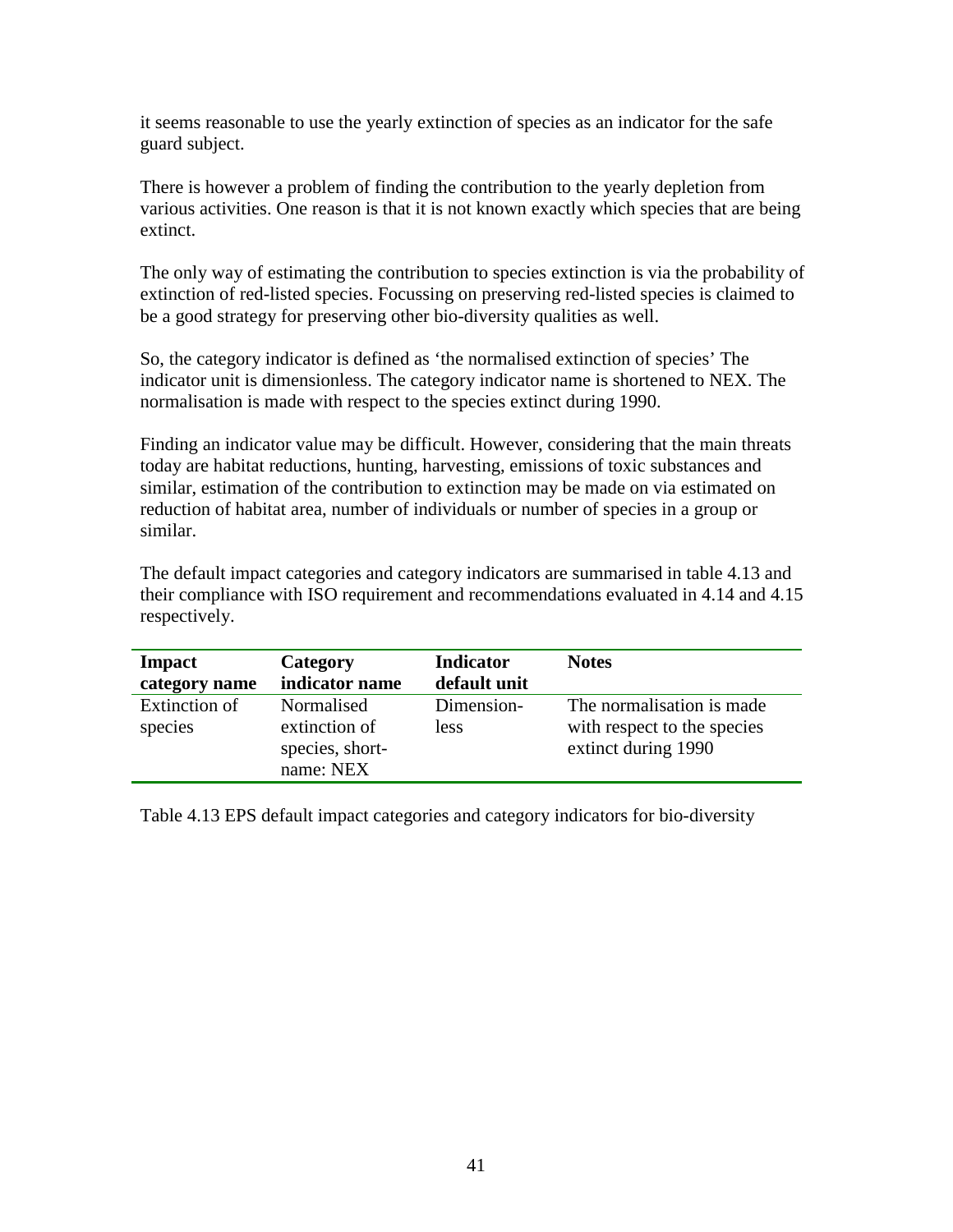it seems reasonable to use the yearly extinction of species as an indicator for the safe guard subject.

There is however a problem of finding the contribution to the yearly depletion from various activities. One reason is that it is not known exactly which species that are being extinct.

The only way of estimating the contribution to species extinction is via the probability of extinction of red-listed species. Focussing on preserving red-listed species is claimed to be a good strategy for preserving other bio-diversity qualities as well.

So, the category indicator is defined as 'the normalised extinction of species' The indicator unit is dimensionless. The category indicator name is shortened to NEX. The normalisation is made with respect to the species extinct during 1990.

Finding an indicator value may be difficult. However, considering that the main threats today are habitat reductions, hunting, harvesting, emissions of toxic substances and similar, estimation of the contribution to extinction may be made on via estimated on reduction of habitat area, number of individuals or number of species in a group or similar.

The default impact categories and category indicators are summarised in table 4.13 and their compliance with ISO requirement and recommendations evaluated in 4.14 and 4.15 respectively.

| <b>Impact</b>            | Category                                                    | <b>Indicator</b>   | <b>Notes</b>                                                                     |
|--------------------------|-------------------------------------------------------------|--------------------|----------------------------------------------------------------------------------|
| category name            | indicator name                                              | default unit       |                                                                                  |
| Extinction of<br>species | Normalised<br>extinction of<br>species, short-<br>name: NEX | Dimension-<br>less | The normalisation is made.<br>with respect to the species<br>extinct during 1990 |

Table 4.13 EPS default impact categories and category indicators for bio-diversity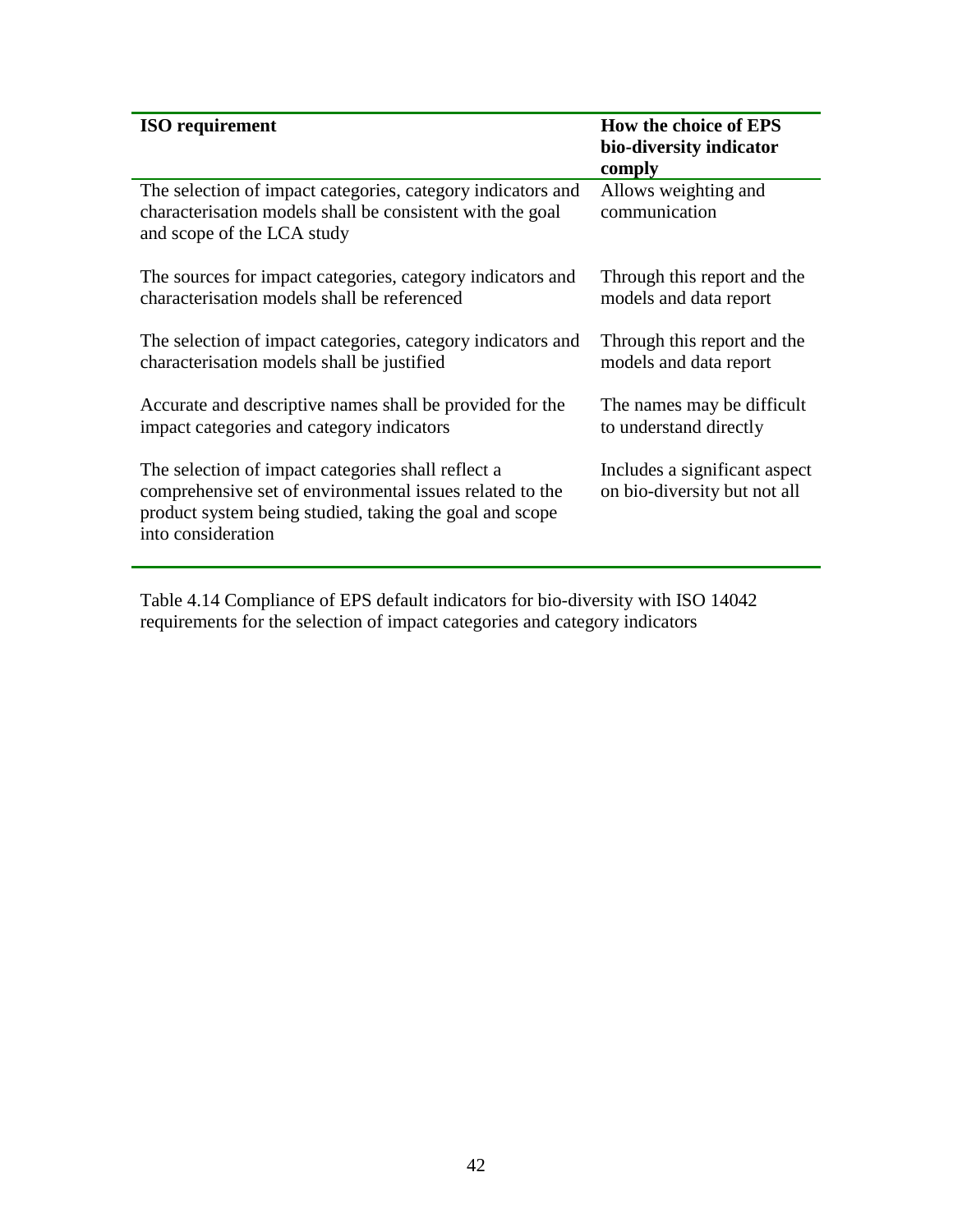| <b>ISO</b> requirement                                                                                                                                                                          | How the choice of EPS<br>bio-diversity indicator<br>comply    |
|-------------------------------------------------------------------------------------------------------------------------------------------------------------------------------------------------|---------------------------------------------------------------|
| The selection of impact categories, category indicators and<br>characterisation models shall be consistent with the goal<br>and scope of the LCA study                                          | Allows weighting and<br>communication                         |
| The sources for impact categories, category indicators and                                                                                                                                      | Through this report and the                                   |
| characterisation models shall be referenced                                                                                                                                                     | models and data report                                        |
| The selection of impact categories, category indicators and                                                                                                                                     | Through this report and the                                   |
| characterisation models shall be justified                                                                                                                                                      | models and data report                                        |
| Accurate and descriptive names shall be provided for the                                                                                                                                        | The names may be difficult                                    |
| impact categories and category indicators                                                                                                                                                       | to understand directly                                        |
| The selection of impact categories shall reflect a<br>comprehensive set of environmental issues related to the<br>product system being studied, taking the goal and scope<br>into consideration | Includes a significant aspect<br>on bio-diversity but not all |

Table 4.14 Compliance of EPS default indicators for bio-diversity with ISO 14042 requirements for the selection of impact categories and category indicators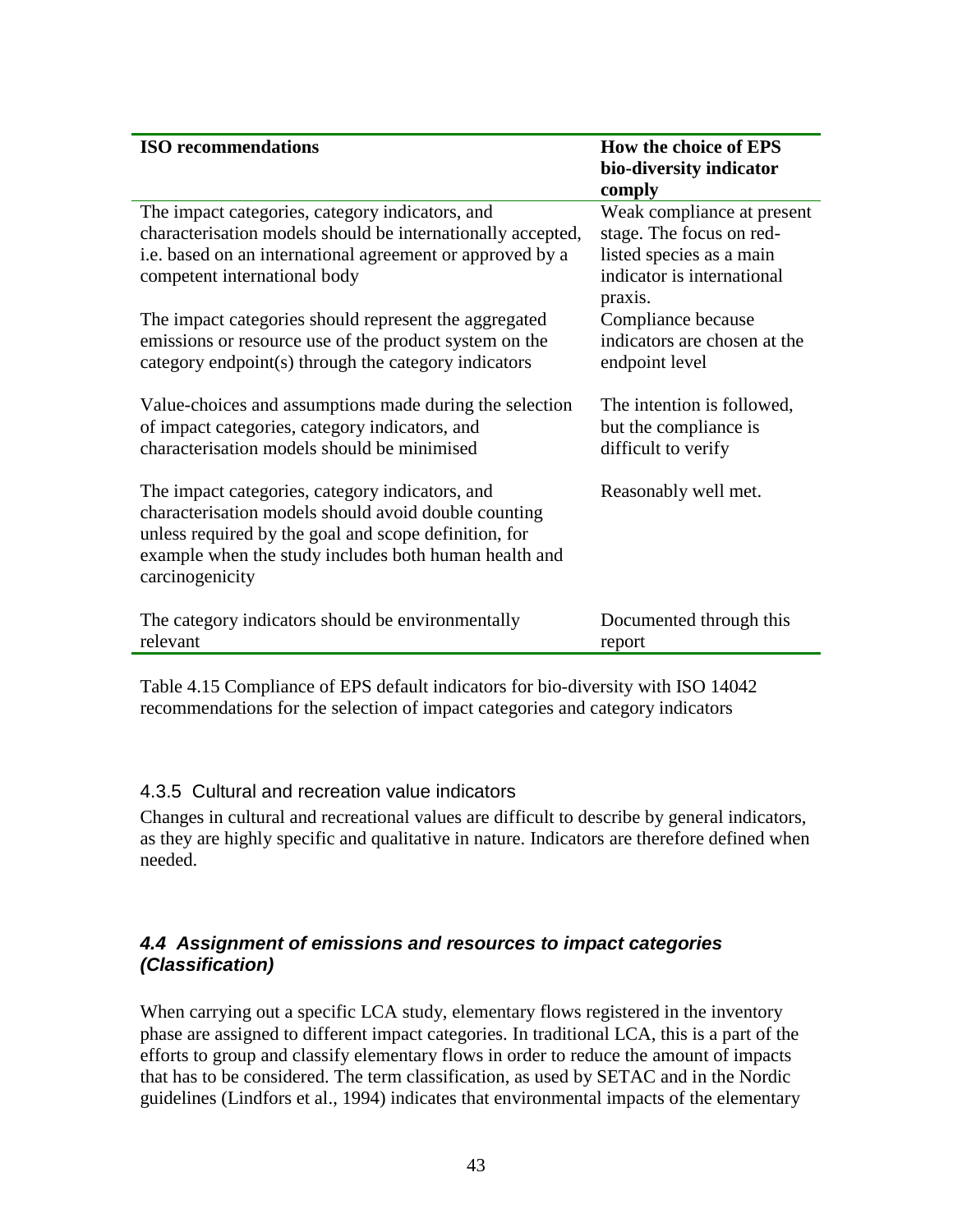<span id="page-43-0"></span>

| <b>ISO</b> recommendations                                                                                                                                                                                                                   | How the choice of EPS<br>bio-diversity indicator                                                                                      |
|----------------------------------------------------------------------------------------------------------------------------------------------------------------------------------------------------------------------------------------------|---------------------------------------------------------------------------------------------------------------------------------------|
| The impact categories, category indicators, and<br>characterisation models should be internationally accepted,<br>i.e. based on an international agreement or approved by a<br>competent international body                                  | comply<br>Weak compliance at present<br>stage. The focus on red-<br>listed species as a main<br>indicator is international<br>praxis. |
| The impact categories should represent the aggregated                                                                                                                                                                                        | Compliance because                                                                                                                    |
| emissions or resource use of the product system on the                                                                                                                                                                                       | indicators are chosen at the                                                                                                          |
| category endpoint(s) through the category indicators                                                                                                                                                                                         | endpoint level                                                                                                                        |
| Value-choices and assumptions made during the selection                                                                                                                                                                                      | The intention is followed,                                                                                                            |
| of impact categories, category indicators, and                                                                                                                                                                                               | but the compliance is                                                                                                                 |
| characterisation models should be minimised                                                                                                                                                                                                  | difficult to verify                                                                                                                   |
| The impact categories, category indicators, and<br>characterisation models should avoid double counting<br>unless required by the goal and scope definition, for<br>example when the study includes both human health and<br>carcinogenicity | Reasonably well met.                                                                                                                  |
| The category indicators should be environmentally                                                                                                                                                                                            | Documented through this                                                                                                               |
| relevant                                                                                                                                                                                                                                     | report                                                                                                                                |

Table 4.15 Compliance of EPS default indicators for bio-diversity with ISO 14042 recommendations for the selection of impact categories and category indicators

# 4.3.5 Cultural and recreation value indicators

Changes in cultural and recreational values are difficult to describe by general indicators, as they are highly specific and qualitative in nature. Indicators are therefore defined when needed.

# *4.4 Assignment of emissions and resources to impact categories (Classification)*

When carrying out a specific LCA study, elementary flows registered in the inventory phase are assigned to different impact categories. In traditional LCA, this is a part of the efforts to group and classify elementary flows in order to reduce the amount of impacts that has to be considered. The term classification, as used by SETAC and in the Nordic guidelines (Lindfors et al., 1994) indicates that environmental impacts of the elementary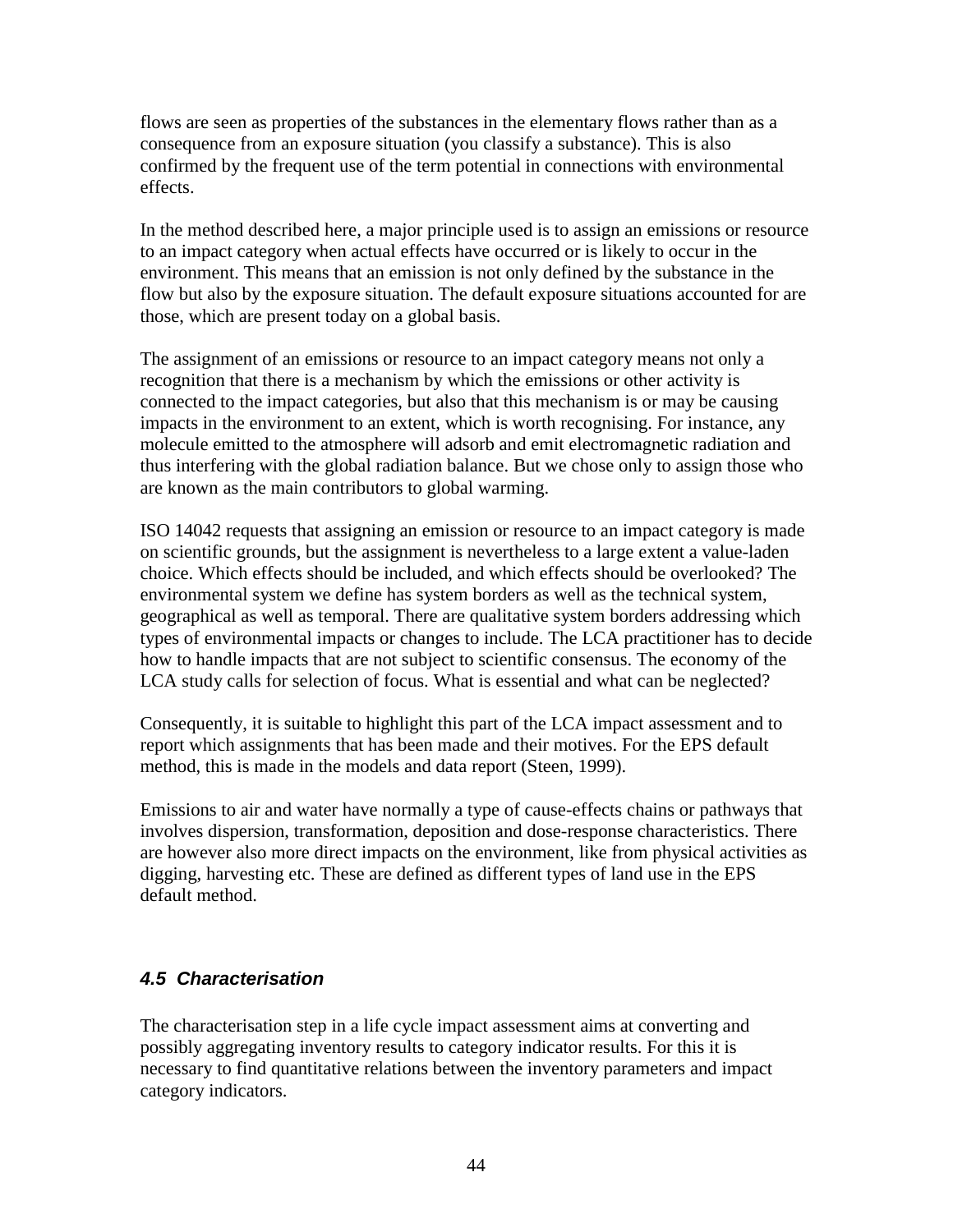<span id="page-44-0"></span>flows are seen as properties of the substances in the elementary flows rather than as a consequence from an exposure situation (you classify a substance). This is also confirmed by the frequent use of the term potential in connections with environmental effects.

In the method described here, a major principle used is to assign an emissions or resource to an impact category when actual effects have occurred or is likely to occur in the environment. This means that an emission is not only defined by the substance in the flow but also by the exposure situation. The default exposure situations accounted for are those, which are present today on a global basis.

The assignment of an emissions or resource to an impact category means not only a recognition that there is a mechanism by which the emissions or other activity is connected to the impact categories, but also that this mechanism is or may be causing impacts in the environment to an extent, which is worth recognising. For instance, any molecule emitted to the atmosphere will adsorb and emit electromagnetic radiation and thus interfering with the global radiation balance. But we chose only to assign those who are known as the main contributors to global warming.

ISO 14042 requests that assigning an emission or resource to an impact category is made on scientific grounds, but the assignment is nevertheless to a large extent a value-laden choice. Which effects should be included, and which effects should be overlooked? The environmental system we define has system borders as well as the technical system, geographical as well as temporal. There are qualitative system borders addressing which types of environmental impacts or changes to include. The LCA practitioner has to decide how to handle impacts that are not subject to scientific consensus. The economy of the LCA study calls for selection of focus. What is essential and what can be neglected?

Consequently, it is suitable to highlight this part of the LCA impact assessment and to report which assignments that has been made and their motives. For the EPS default method, this is made in the models and data report (Steen, 1999).

Emissions to air and water have normally a type of cause-effects chains or pathways that involves dispersion, transformation, deposition and dose-response characteristics. There are however also more direct impacts on the environment, like from physical activities as digging, harvesting etc. These are defined as different types of land use in the EPS default method.

# *4.5 Characterisation*

The characterisation step in a life cycle impact assessment aims at converting and possibly aggregating inventory results to category indicator results. For this it is necessary to find quantitative relations between the inventory parameters and impact category indicators.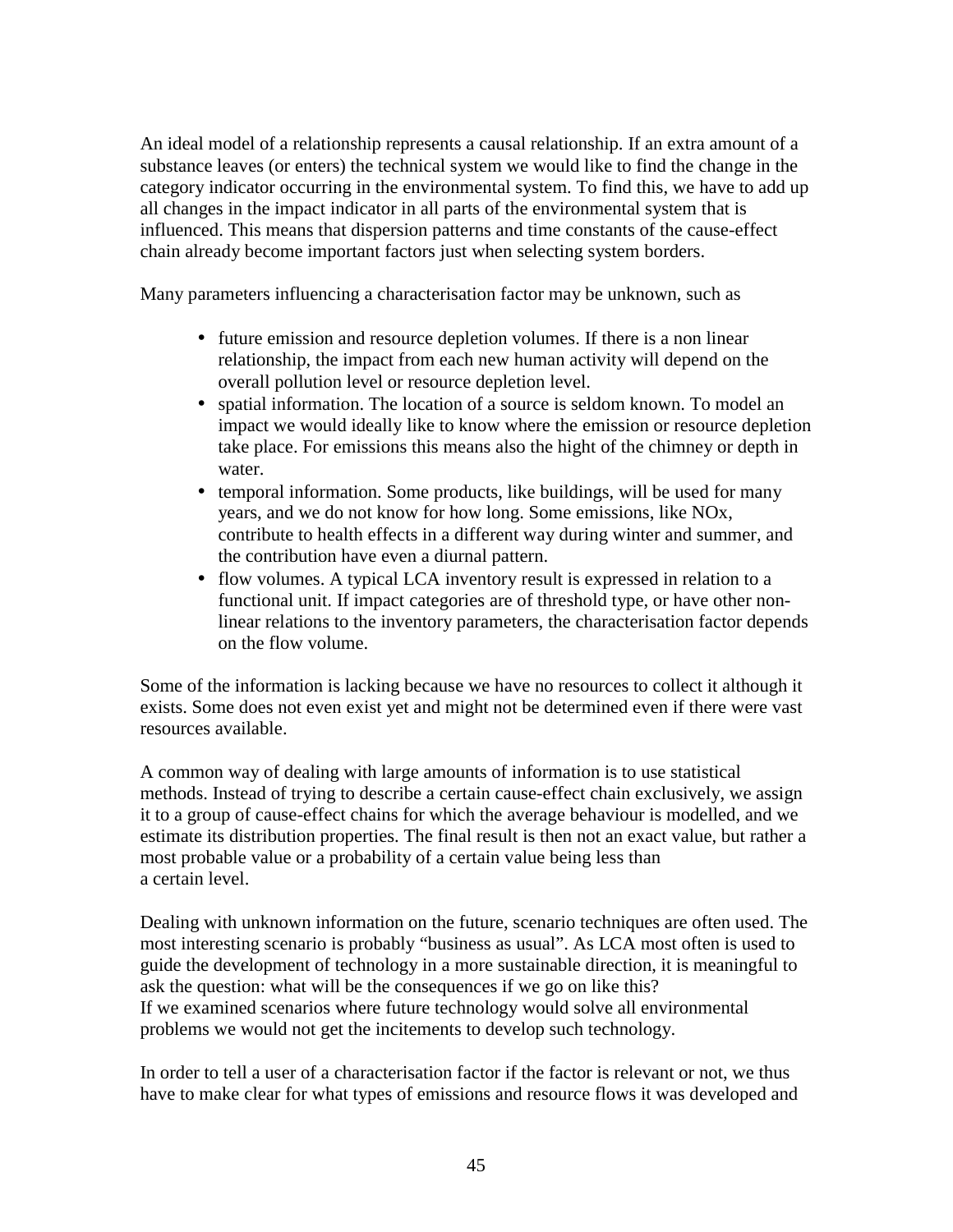An ideal model of a relationship represents a causal relationship. If an extra amount of a substance leaves (or enters) the technical system we would like to find the change in the category indicator occurring in the environmental system. To find this, we have to add up all changes in the impact indicator in all parts of the environmental system that is influenced. This means that dispersion patterns and time constants of the cause-effect chain already become important factors just when selecting system borders.

Many parameters influencing a characterisation factor may be unknown, such as

- future emission and resource depletion volumes. If there is a non linear relationship, the impact from each new human activity will depend on the overall pollution level or resource depletion level.
- spatial information. The location of a source is seldom known. To model an impact we would ideally like to know where the emission or resource depletion take place. For emissions this means also the hight of the chimney or depth in water.
- temporal information. Some products, like buildings, will be used for many years, and we do not know for how long. Some emissions, like NOx, contribute to health effects in a different way during winter and summer, and the contribution have even a diurnal pattern.
- flow volumes. A typical LCA inventory result is expressed in relation to a functional unit. If impact categories are of threshold type, or have other nonlinear relations to the inventory parameters, the characterisation factor depends on the flow volume.

Some of the information is lacking because we have no resources to collect it although it exists. Some does not even exist yet and might not be determined even if there were vast resources available.

A common way of dealing with large amounts of information is to use statistical methods. Instead of trying to describe a certain cause-effect chain exclusively, we assign it to a group of cause-effect chains for which the average behaviour is modelled, and we estimate its distribution properties. The final result is then not an exact value, but rather a most probable value or a probability of a certain value being less than a certain level.

Dealing with unknown information on the future, scenario techniques are often used. The most interesting scenario is probably "business as usual". As LCA most often is used to guide the development of technology in a more sustainable direction, it is meaningful to ask the question: what will be the consequences if we go on like this? If we examined scenarios where future technology would solve all environmental problems we would not get the incitements to develop such technology.

In order to tell a user of a characterisation factor if the factor is relevant or not, we thus have to make clear for what types of emissions and resource flows it was developed and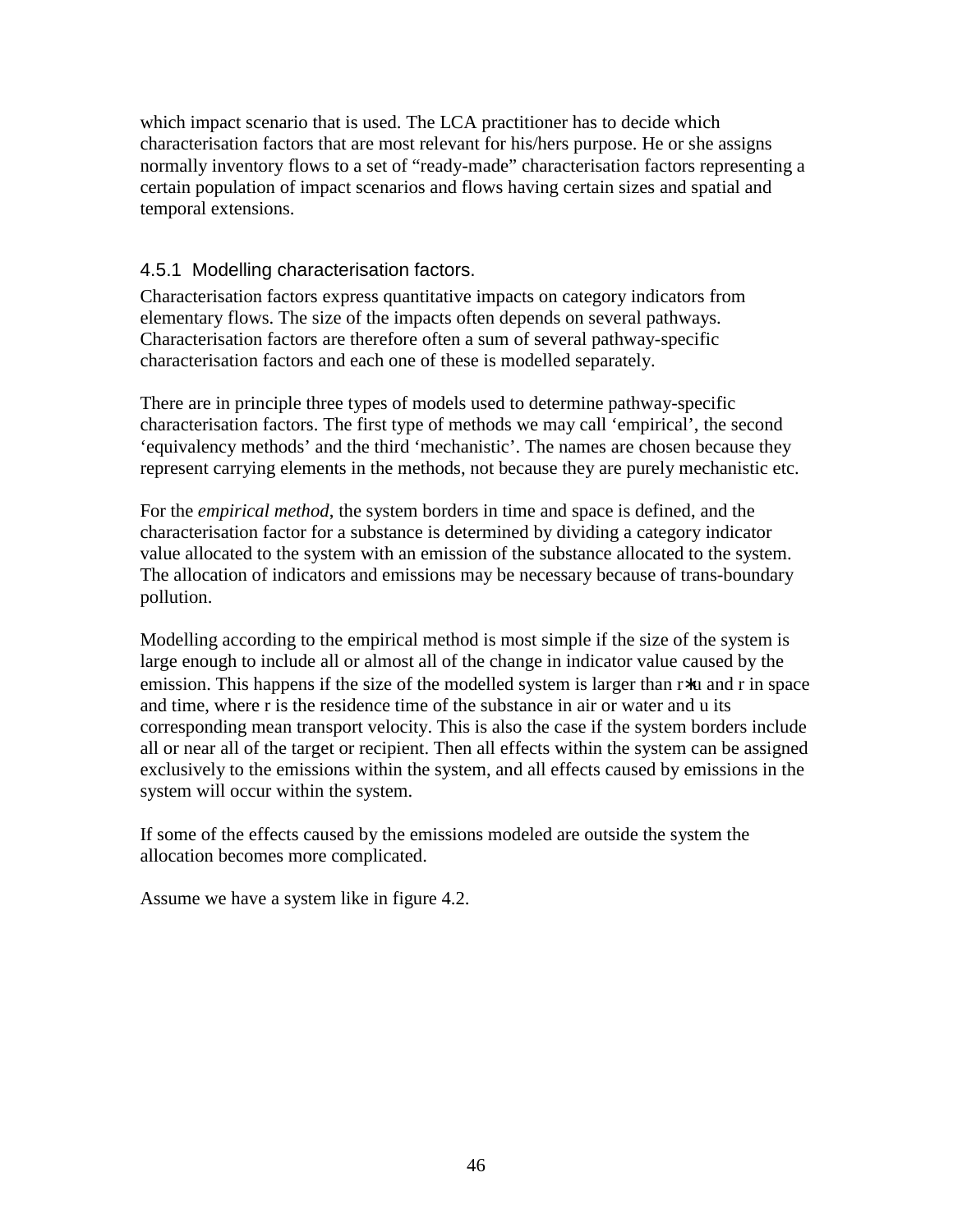<span id="page-46-0"></span>which impact scenario that is used. The LCA practitioner has to decide which characterisation factors that are most relevant for his/hers purpose. He or she assigns normally inventory flows to a set of "ready-made" characterisation factors representing a certain population of impact scenarios and flows having certain sizes and spatial and temporal extensions.

# 4.5.1 Modelling characterisation factors.

Characterisation factors express quantitative impacts on category indicators from elementary flows. The size of the impacts often depends on several pathways. Characterisation factors are therefore often a sum of several pathway-specific characterisation factors and each one of these is modelled separately.

There are in principle three types of models used to determine pathway-specific characterisation factors. The first type of methods we may call 'empirical', the second 'equivalency methods' and the third 'mechanistic'. The names are chosen because they represent carrying elements in the methods, not because they are purely mechanistic etc.

For the *empirical method*, the system borders in time and space is defined, and the characterisation factor for a substance is determined by dividing a category indicator value allocated to the system with an emission of the substance allocated to the system. The allocation of indicators and emissions may be necessary because of trans-boundary pollution.

Modelling according to the empirical method is most simple if the size of the system is large enough to include all or almost all of the change in indicator value caused by the emission. This happens if the size of the modelled system is larger than r∗u and r in space and time, where r is the residence time of the substance in air or water and u its corresponding mean transport velocity. This is also the case if the system borders include all or near all of the target or recipient. Then all effects within the system can be assigned exclusively to the emissions within the system, and all effects caused by emissions in the system will occur within the system.

If some of the effects caused by the emissions modeled are outside the system the allocation becomes more complicated.

Assume we have a system like in figure 4.2.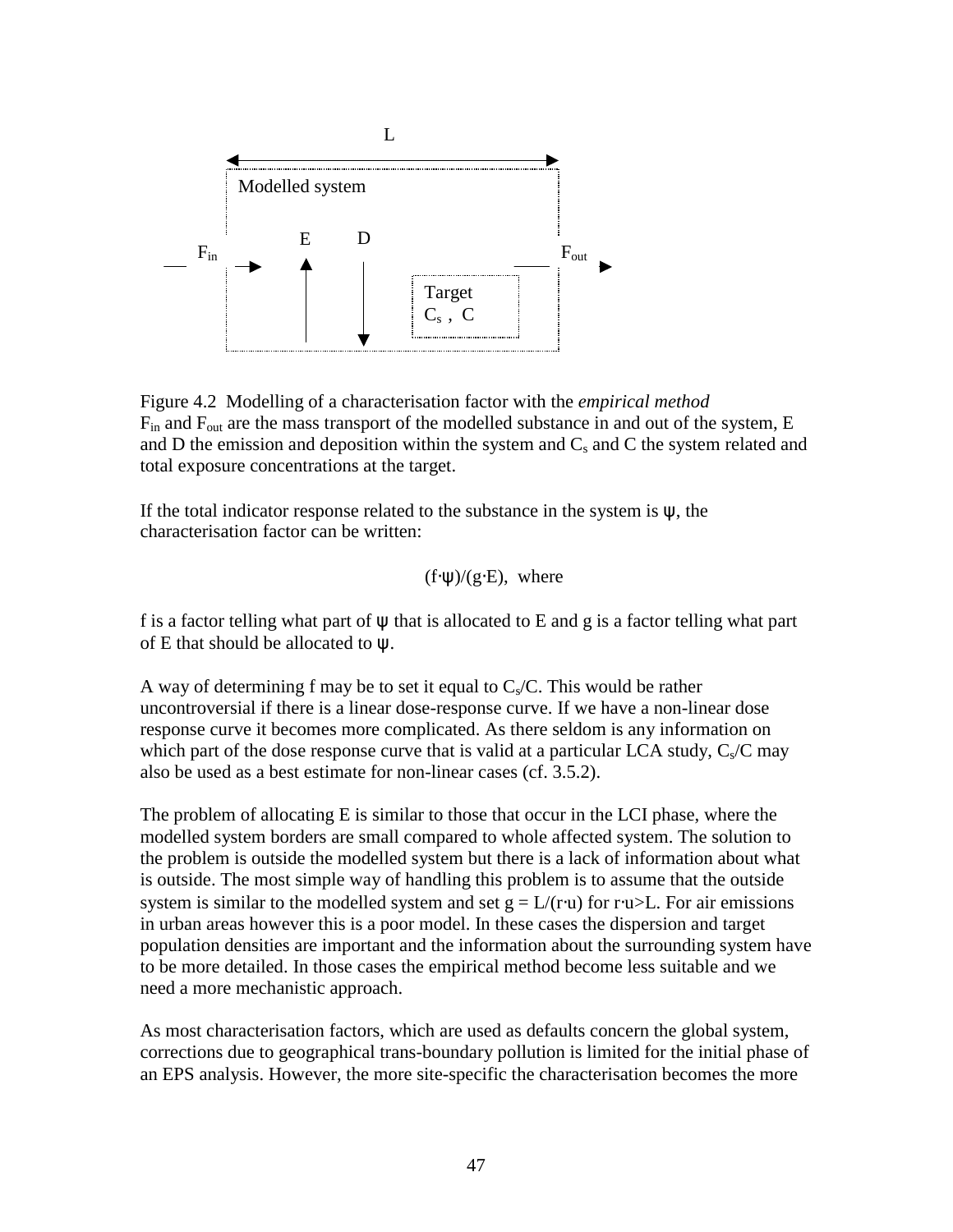

Figure 4.2 Modelling of a characterisation factor with the *empirical method*  $F_{in}$  and  $F_{out}$  are the mass transport of the modelled substance in and out of the system, E and D the emission and deposition within the system and  $C_s$  and C the system related and total exposure concentrations at the target.

If the total indicator response related to the substance in the system is  $\psi$ , the characterisation factor can be written:

$$
(f·\psi)/(g·E)
$$
, where

f is a factor telling what part of  $\psi$  that is allocated to E and g is a factor telling what part of E that should be allocated to ψ.

A way of determining f may be to set it equal to  $C<sub>s</sub>/C$ . This would be rather uncontroversial if there is a linear dose-response curve. If we have a non-linear dose response curve it becomes more complicated. As there seldom is any information on which part of the dose response curve that is valid at a particular LCA study,  $C\sqrt{C}$  may also be used as a best estimate for non-linear cases (cf. 3.5.2).

The problem of allocating E is similar to those that occur in the LCI phase, where the modelled system borders are small compared to whole affected system. The solution to the problem is outside the modelled system but there is a lack of information about what is outside. The most simple way of handling this problem is to assume that the outside system is similar to the modelled system and set  $g = L/(r \cdot u)$  for r $u > L$ . For air emissions in urban areas however this is a poor model. In these cases the dispersion and target population densities are important and the information about the surrounding system have to be more detailed. In those cases the empirical method become less suitable and we need a more mechanistic approach.

As most characterisation factors, which are used as defaults concern the global system, corrections due to geographical trans-boundary pollution is limited for the initial phase of an EPS analysis. However, the more site-specific the characterisation becomes the more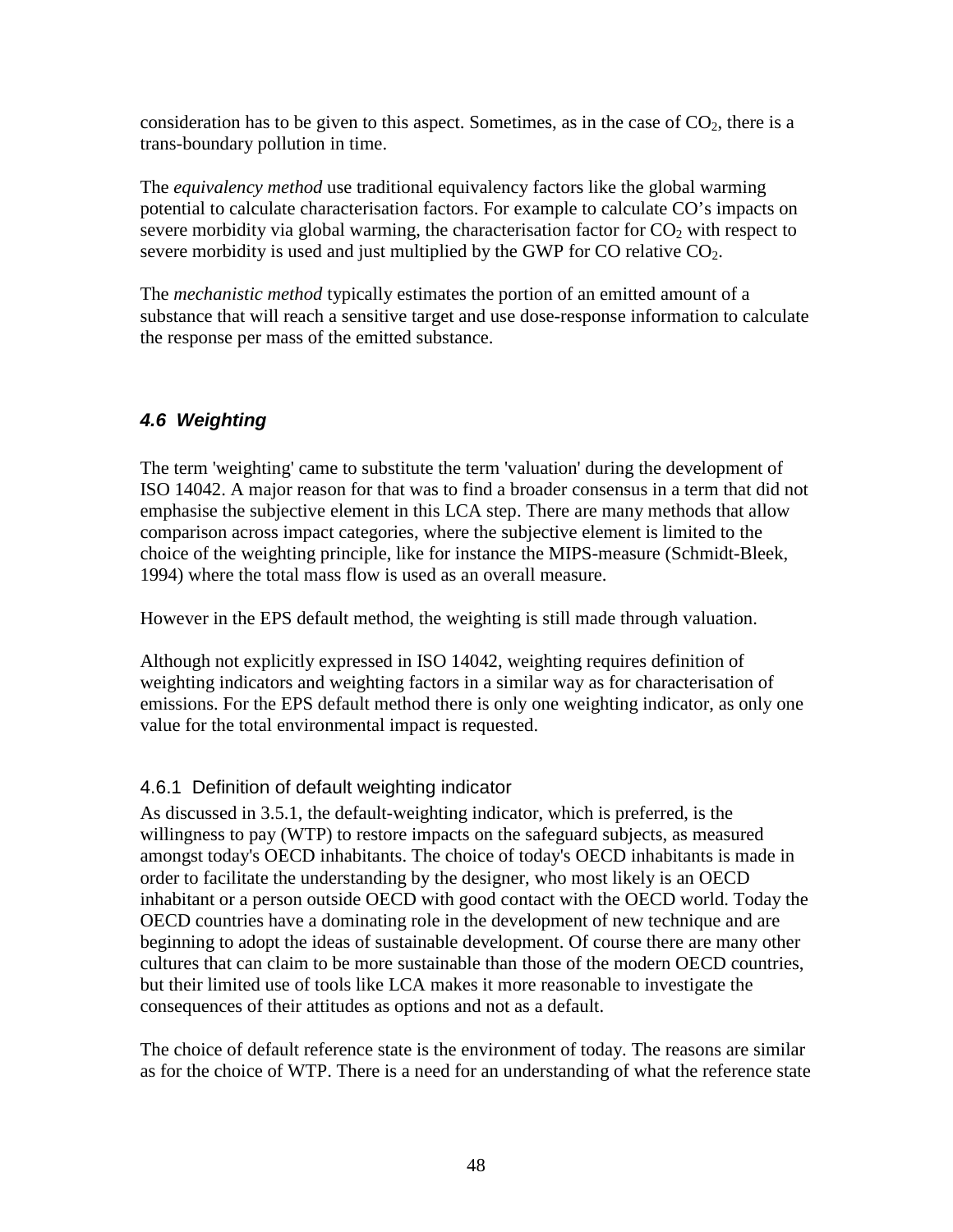<span id="page-48-0"></span>consideration has to be given to this aspect. Sometimes, as in the case of  $CO<sub>2</sub>$ , there is a trans-boundary pollution in time.

The *equivalency method* use traditional equivalency factors like the global warming potential to calculate characterisation factors. For example to calculate CO's impacts on severe morbidity via global warming, the characterisation factor for  $CO<sub>2</sub>$  with respect to severe morbidity is used and just multiplied by the GWP for CO relative  $CO<sub>2</sub>$ .

The *mechanistic method* typically estimates the portion of an emitted amount of a substance that will reach a sensitive target and use dose-response information to calculate the response per mass of the emitted substance.

# *4.6 Weighting*

The term 'weighting' came to substitute the term 'valuation' during the development of ISO 14042. A major reason for that was to find a broader consensus in a term that did not emphasise the subjective element in this LCA step. There are many methods that allow comparison across impact categories, where the subjective element is limited to the choice of the weighting principle, like for instance the MIPS-measure (Schmidt-Bleek, 1994) where the total mass flow is used as an overall measure.

However in the EPS default method, the weighting is still made through valuation.

Although not explicitly expressed in ISO 14042, weighting requires definition of weighting indicators and weighting factors in a similar way as for characterisation of emissions. For the EPS default method there is only one weighting indicator, as only one value for the total environmental impact is requested.

# 4.6.1 Definition of default weighting indicator

As discussed in 3.5.1, the default-weighting indicator, which is preferred, is the willingness to pay (WTP) to restore impacts on the safeguard subjects, as measured amongst today's OECD inhabitants. The choice of today's OECD inhabitants is made in order to facilitate the understanding by the designer, who most likely is an OECD inhabitant or a person outside OECD with good contact with the OECD world. Today the OECD countries have a dominating role in the development of new technique and are beginning to adopt the ideas of sustainable development. Of course there are many other cultures that can claim to be more sustainable than those of the modern OECD countries, but their limited use of tools like LCA makes it more reasonable to investigate the consequences of their attitudes as options and not as a default.

The choice of default reference state is the environment of today. The reasons are similar as for the choice of WTP. There is a need for an understanding of what the reference state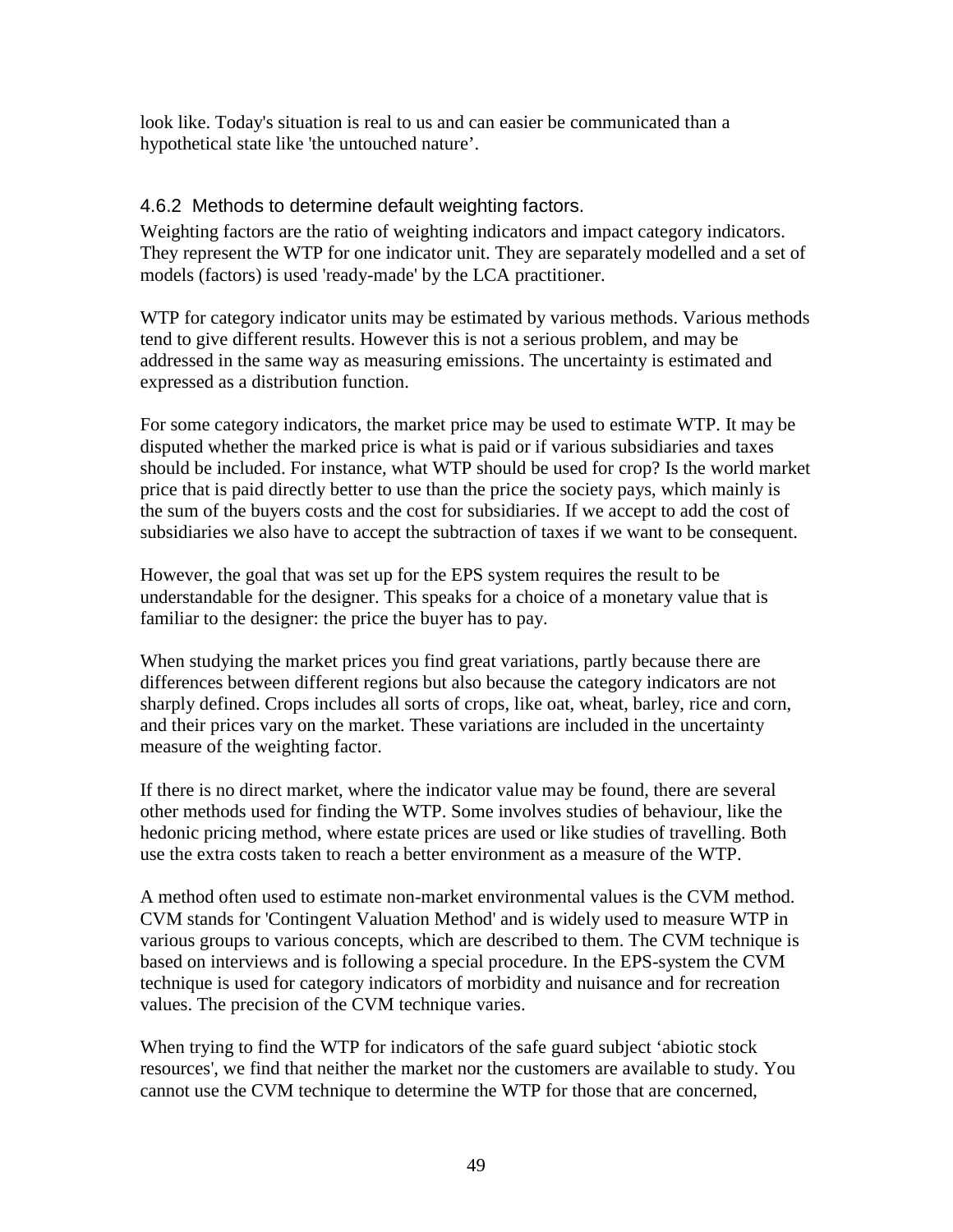<span id="page-49-0"></span>look like. Today's situation is real to us and can easier be communicated than a hypothetical state like 'the untouched nature'.

### 4.6.2 Methods to determine default weighting factors.

Weighting factors are the ratio of weighting indicators and impact category indicators. They represent the WTP for one indicator unit. They are separately modelled and a set of models (factors) is used 'ready-made' by the LCA practitioner.

WTP for category indicator units may be estimated by various methods. Various methods tend to give different results. However this is not a serious problem, and may be addressed in the same way as measuring emissions. The uncertainty is estimated and expressed as a distribution function.

For some category indicators, the market price may be used to estimate WTP. It may be disputed whether the marked price is what is paid or if various subsidiaries and taxes should be included. For instance, what WTP should be used for crop? Is the world market price that is paid directly better to use than the price the society pays, which mainly is the sum of the buyers costs and the cost for subsidiaries. If we accept to add the cost of subsidiaries we also have to accept the subtraction of taxes if we want to be consequent.

However, the goal that was set up for the EPS system requires the result to be understandable for the designer. This speaks for a choice of a monetary value that is familiar to the designer: the price the buyer has to pay.

When studying the market prices you find great variations, partly because there are differences between different regions but also because the category indicators are not sharply defined. Crops includes all sorts of crops, like oat, wheat, barley, rice and corn, and their prices vary on the market. These variations are included in the uncertainty measure of the weighting factor.

If there is no direct market, where the indicator value may be found, there are several other methods used for finding the WTP. Some involves studies of behaviour, like the hedonic pricing method, where estate prices are used or like studies of travelling. Both use the extra costs taken to reach a better environment as a measure of the WTP.

A method often used to estimate non-market environmental values is the CVM method. CVM stands for 'Contingent Valuation Method' and is widely used to measure WTP in various groups to various concepts, which are described to them. The CVM technique is based on interviews and is following a special procedure. In the EPS-system the CVM technique is used for category indicators of morbidity and nuisance and for recreation values. The precision of the CVM technique varies.

When trying to find the WTP for indicators of the safe guard subject 'abiotic stock resources', we find that neither the market nor the customers are available to study. You cannot use the CVM technique to determine the WTP for those that are concerned,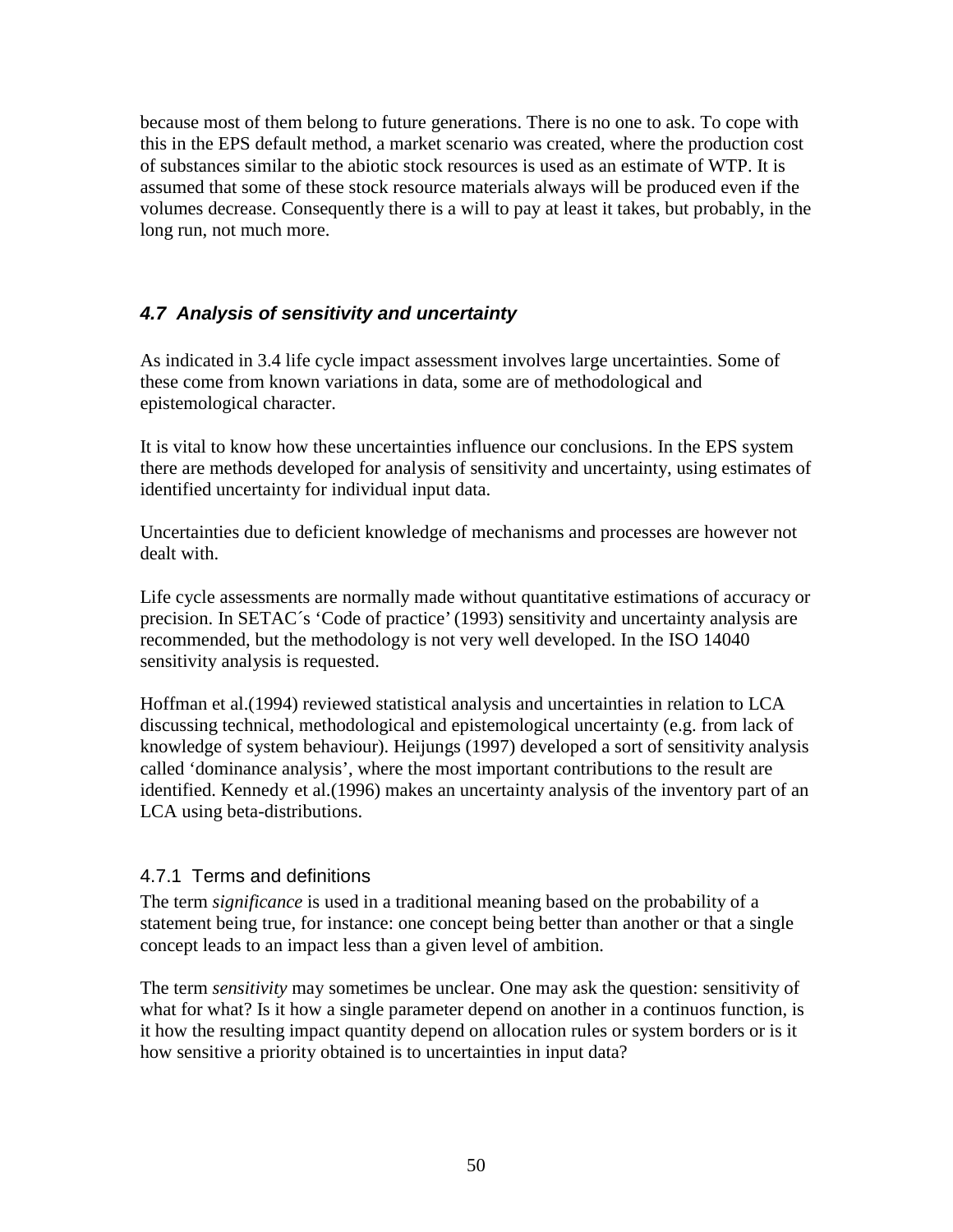<span id="page-50-0"></span>because most of them belong to future generations. There is no one to ask. To cope with this in the EPS default method, a market scenario was created, where the production cost of substances similar to the abiotic stock resources is used as an estimate of WTP. It is assumed that some of these stock resource materials always will be produced even if the volumes decrease. Consequently there is a will to pay at least it takes, but probably, in the long run, not much more.

# *4.7 Analysis of sensitivity and uncertainty*

As indicated in 3.4 life cycle impact assessment involves large uncertainties. Some of these come from known variations in data, some are of methodological and epistemological character.

It is vital to know how these uncertainties influence our conclusions. In the EPS system there are methods developed for analysis of sensitivity and uncertainty, using estimates of identified uncertainty for individual input data.

Uncertainties due to deficient knowledge of mechanisms and processes are however not dealt with.

Life cycle assessments are normally made without quantitative estimations of accuracy or precision. In SETAC´s 'Code of practice'(1993) sensitivity and uncertainty analysis are recommended, but the methodology is not very well developed. In the ISO 14040 sensitivity analysis is requested.

Hoffman et al.(1994) reviewed statistical analysis and uncertainties in relation to LCA discussing technical, methodological and epistemological uncertainty (e.g. from lack of knowledge of system behaviour). Heijungs (1997) developed a sort of sensitivity analysis called 'dominance analysis', where the most important contributions to the result are identified. Kennedy et al.(1996) makes an uncertainty analysis of the inventory part of an LCA using beta-distributions.

# 4.7.1 Terms and definitions

The term *significance* is used in a traditional meaning based on the probability of a statement being true, for instance: one concept being better than another or that a single concept leads to an impact less than a given level of ambition.

The term *sensitivity* may sometimes be unclear. One may ask the question: sensitivity of what for what? Is it how a single parameter depend on another in a continuos function, is it how the resulting impact quantity depend on allocation rules or system borders or is it how sensitive a priority obtained is to uncertainties in input data?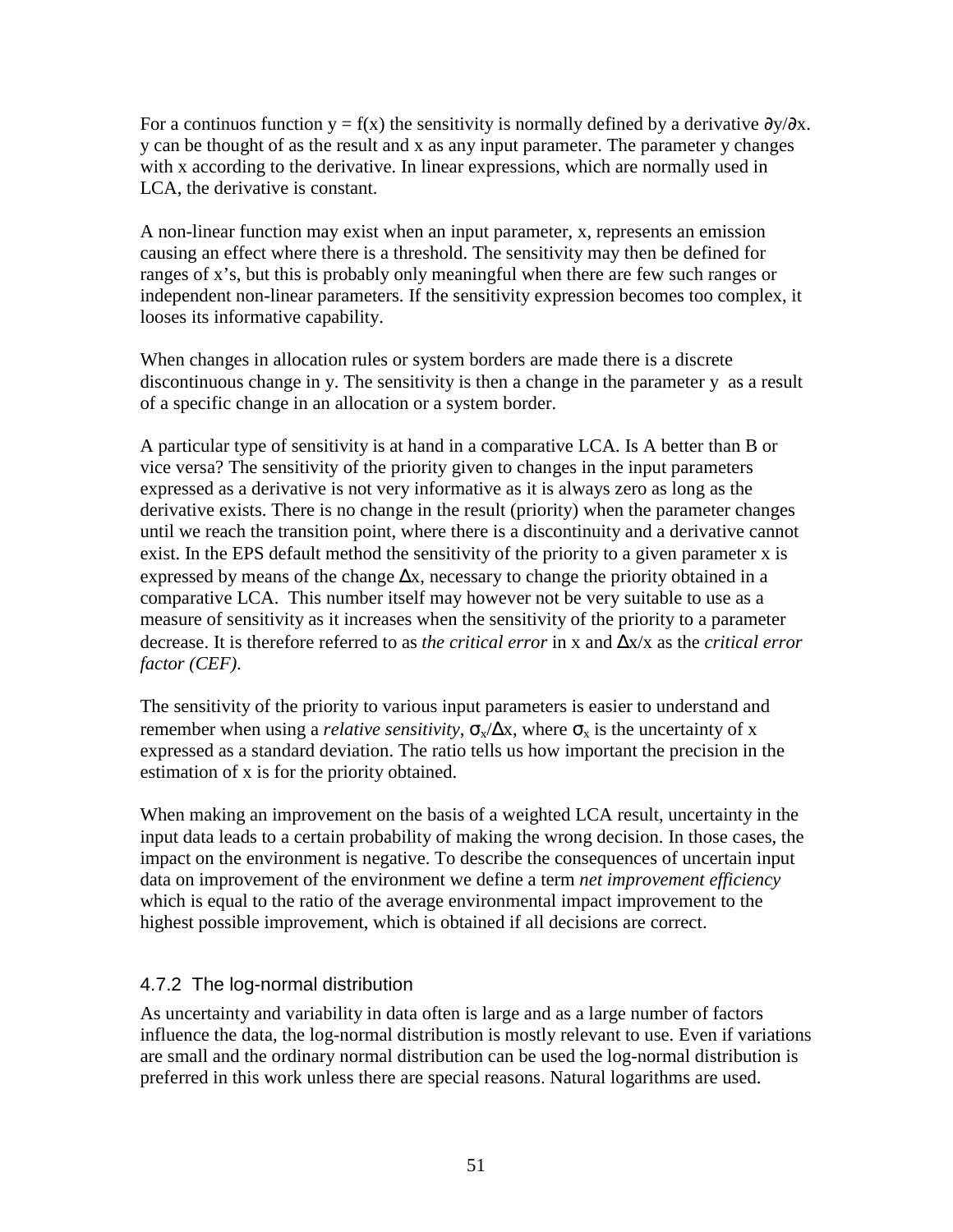<span id="page-51-0"></span>For a continuos function y = f(x) the sensitivity is normally defined by a derivative  $\partial y/\partial x$ . y can be thought of as the result and x as any input parameter. The parameter y changes with x according to the derivative. In linear expressions, which are normally used in LCA, the derivative is constant.

A non-linear function may exist when an input parameter, x, represents an emission causing an effect where there is a threshold. The sensitivity may then be defined for ranges of x's, but this is probably only meaningful when there are few such ranges or independent non-linear parameters. If the sensitivity expression becomes too complex, it looses its informative capability.

When changes in allocation rules or system borders are made there is a discrete discontinuous change in y. The sensitivity is then a change in the parameter y as a result of a specific change in an allocation or a system border.

A particular type of sensitivity is at hand in a comparative LCA. Is A better than B or vice versa? The sensitivity of the priority given to changes in the input parameters expressed as a derivative is not very informative as it is always zero as long as the derivative exists. There is no change in the result (priority) when the parameter changes until we reach the transition point, where there is a discontinuity and a derivative cannot exist. In the EPS default method the sensitivity of the priority to a given parameter x is expressed by means of the change ∆x, necessary to change the priority obtained in a comparative LCA. This number itself may however not be very suitable to use as a measure of sensitivity as it increases when the sensitivity of the priority to a parameter decrease. It is therefore referred to as *the critical error* in x and ∆x/x as the *critical error factor (CEF)*.

The sensitivity of the priority to various input parameters is easier to understand and remember when using a *relative sensitivity*,  $\sigma_{x}/\Delta x$ , where  $\sigma_{x}$  is the uncertainty of x expressed as a standard deviation. The ratio tells us how important the precision in the estimation of x is for the priority obtained.

When making an improvement on the basis of a weighted LCA result, uncertainty in the input data leads to a certain probability of making the wrong decision. In those cases, the impact on the environment is negative. To describe the consequences of uncertain input data on improvement of the environment we define a term *net improvement efficiency* which is equal to the ratio of the average environmental impact improvement to the highest possible improvement, which is obtained if all decisions are correct.

# 4.7.2 The log-normal distribution

As uncertainty and variability in data often is large and as a large number of factors influence the data, the log-normal distribution is mostly relevant to use. Even if variations are small and the ordinary normal distribution can be used the log-normal distribution is preferred in this work unless there are special reasons. Natural logarithms are used.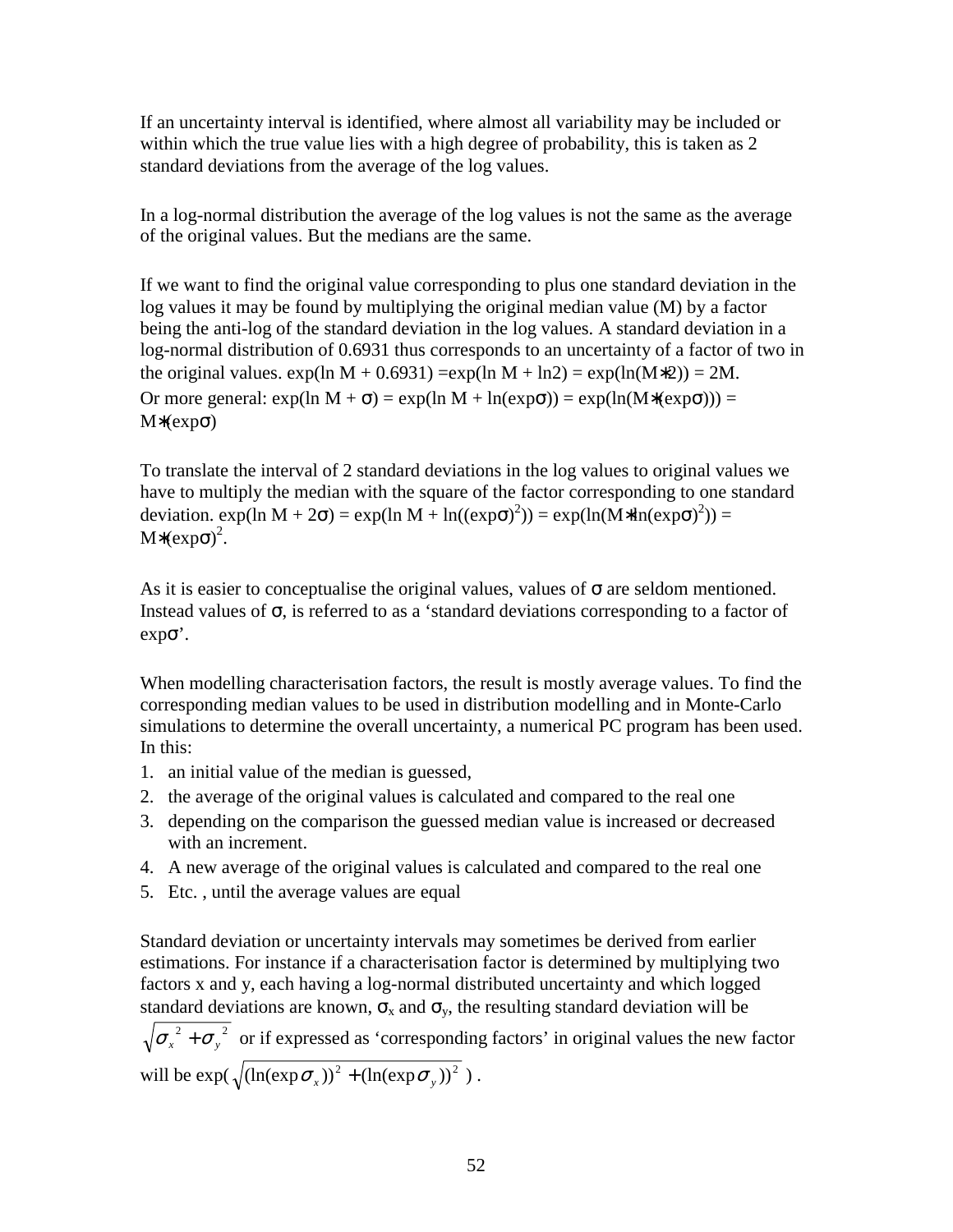If an uncertainty interval is identified, where almost all variability may be included or within which the true value lies with a high degree of probability, this is taken as 2 standard deviations from the average of the log values.

In a log-normal distribution the average of the log values is not the same as the average of the original values. But the medians are the same.

If we want to find the original value corresponding to plus one standard deviation in the log values it may be found by multiplying the original median value (M) by a factor being the anti-log of the standard deviation in the log values. A standard deviation in a log-normal distribution of 0.6931 thus corresponds to an uncertainty of a factor of two in the original values.  $exp(ln M + 0.6931) = exp(ln M + ln2) = exp(ln(M*2)) = 2M$ . Or more general:  $exp(\ln M + \sigma) = exp(\ln M + \ln(exp \sigma)) = exp(\ln(M*(exp \sigma))) =$  $M*(exp\sigma)$ 

To translate the interval of 2 standard deviations in the log values to original values we have to multiply the median with the square of the factor corresponding to one standard deviation.  $exp(\ln M + 2\sigma) = exp(\ln M + ln((exp\sigma)^2)) = exp(ln(M*ln(exp\sigma)^2)) =$  $M*(expσ)<sup>2</sup>$ .

As it is easier to conceptualise the original values, values of  $\sigma$  are seldom mentioned. Instead values of  $\sigma$ , is referred to as a 'standard deviations corresponding to a factor of expσ'.

When modelling characterisation factors, the result is mostly average values. To find the corresponding median values to be used in distribution modelling and in Monte-Carlo simulations to determine the overall uncertainty, a numerical PC program has been used. In this:

- 1. an initial value of the median is guessed,
- 2. the average of the original values is calculated and compared to the real one
- 3. depending on the comparison the guessed median value is increased or decreased with an increment.
- 4. A new average of the original values is calculated and compared to the real one
- 5. Etc. , until the average values are equal

Standard deviation or uncertainty intervals may sometimes be derived from earlier estimations. For instance if a characterisation factor is determined by multiplying two factors x and y, each having a log-normal distributed uncertainty and which logged standard deviations are known,  $\sigma_x$  and  $\sigma_y$ , the resulting standard deviation will be

 $\sigma_x^2 + \sigma_y^2$  or if expressed as 'corresponding factors' in original values the new factor will be  $\exp(\sqrt{(\ln(\exp \sigma_x))^2 + (\ln(\exp \sigma_y))^2})$ .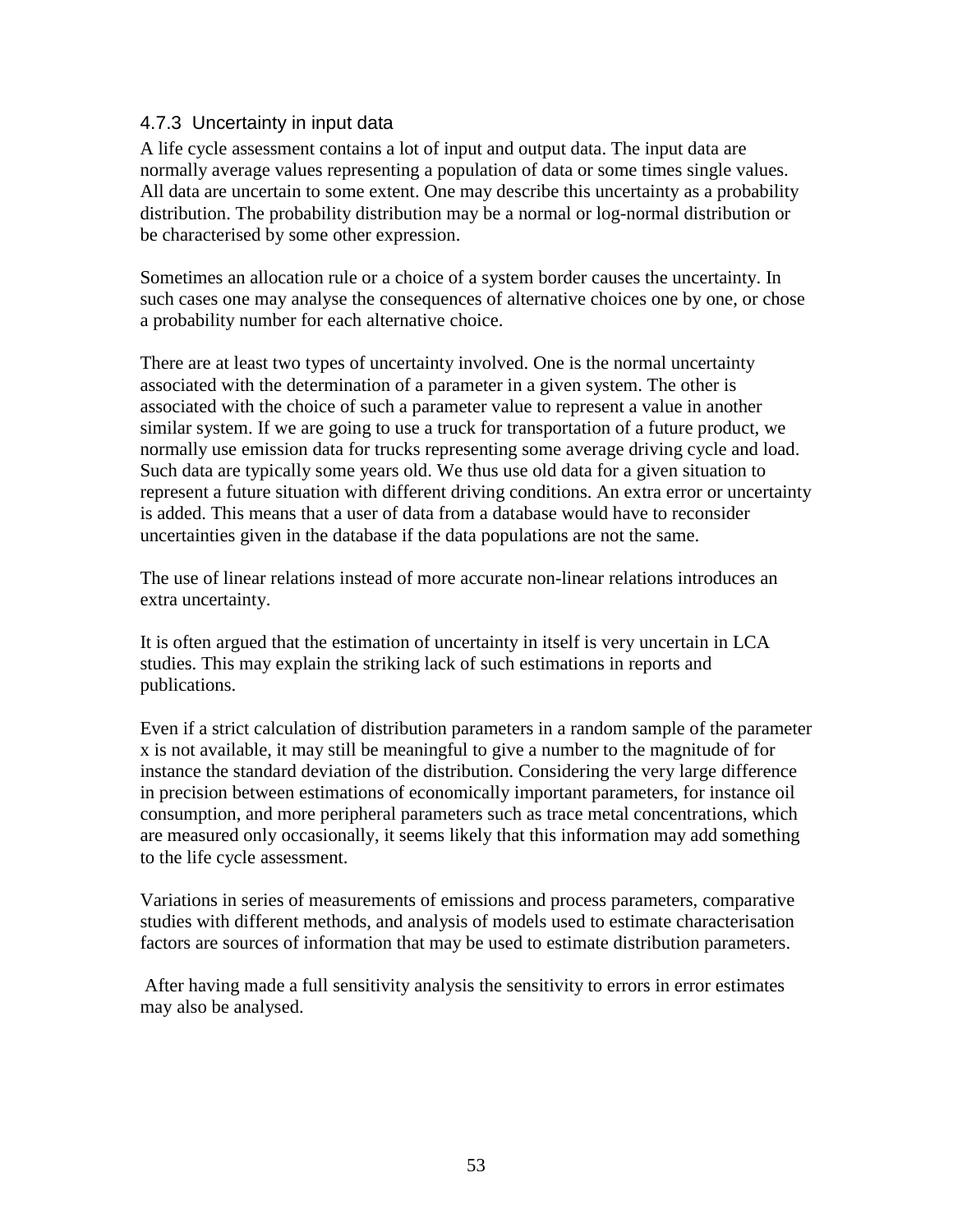# <span id="page-53-0"></span>4.7.3 Uncertainty in input data

A life cycle assessment contains a lot of input and output data. The input data are normally average values representing a population of data or some times single values. All data are uncertain to some extent. One may describe this uncertainty as a probability distribution. The probability distribution may be a normal or log-normal distribution or be characterised by some other expression.

Sometimes an allocation rule or a choice of a system border causes the uncertainty. In such cases one may analyse the consequences of alternative choices one by one, or chose a probability number for each alternative choice.

There are at least two types of uncertainty involved. One is the normal uncertainty associated with the determination of a parameter in a given system. The other is associated with the choice of such a parameter value to represent a value in another similar system. If we are going to use a truck for transportation of a future product, we normally use emission data for trucks representing some average driving cycle and load. Such data are typically some years old. We thus use old data for a given situation to represent a future situation with different driving conditions. An extra error or uncertainty is added. This means that a user of data from a database would have to reconsider uncertainties given in the database if the data populations are not the same.

The use of linear relations instead of more accurate non-linear relations introduces an extra uncertainty.

It is often argued that the estimation of uncertainty in itself is very uncertain in LCA studies. This may explain the striking lack of such estimations in reports and publications.

Even if a strict calculation of distribution parameters in a random sample of the parameter x is not available, it may still be meaningful to give a number to the magnitude of for instance the standard deviation of the distribution. Considering the very large difference in precision between estimations of economically important parameters, for instance oil consumption, and more peripheral parameters such as trace metal concentrations, which are measured only occasionally, it seems likely that this information may add something to the life cycle assessment.

Variations in series of measurements of emissions and process parameters, comparative studies with different methods, and analysis of models used to estimate characterisation factors are sources of information that may be used to estimate distribution parameters.

 After having made a full sensitivity analysis the sensitivity to errors in error estimates may also be analysed.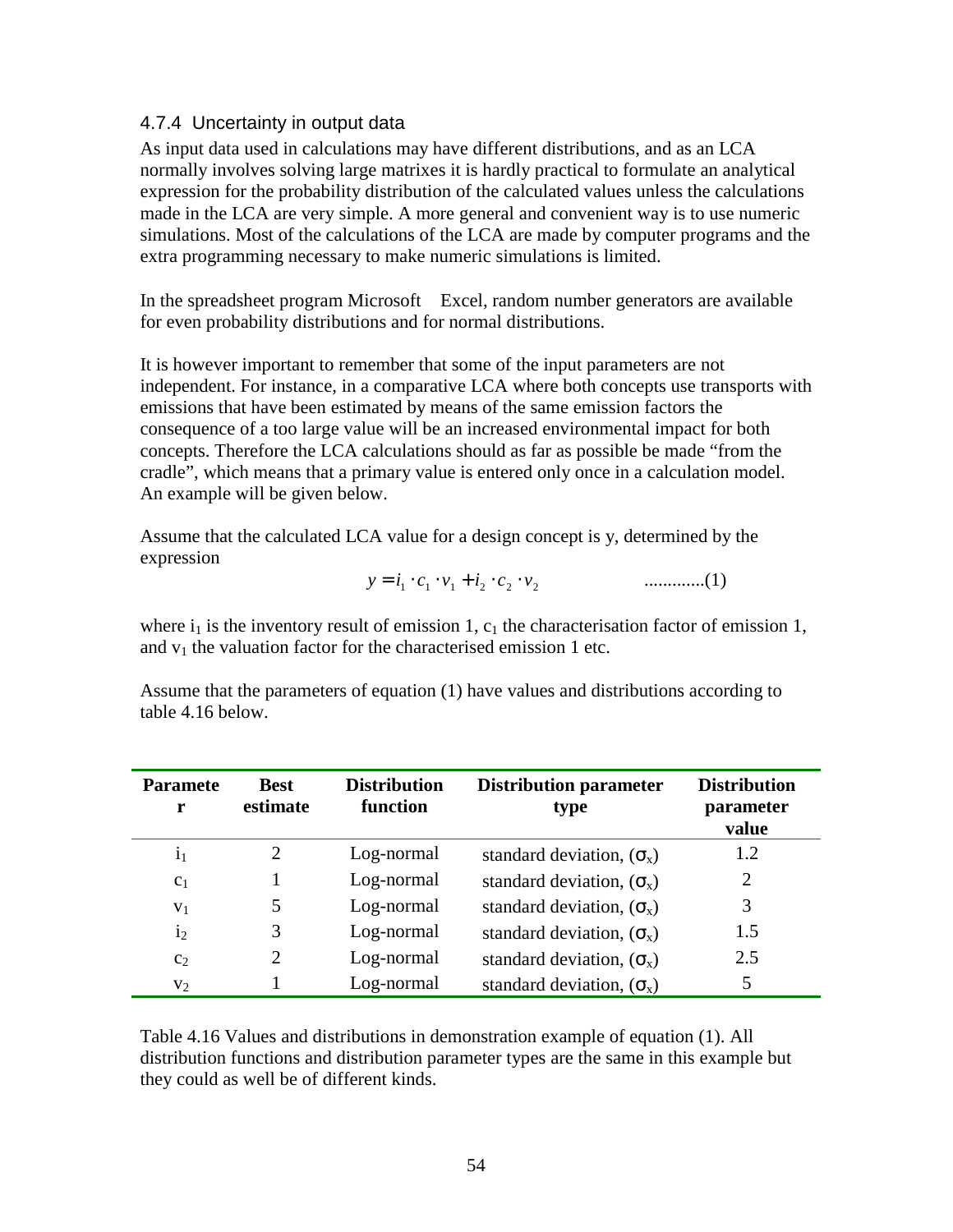# <span id="page-54-0"></span>4.7.4 Uncertainty in output data

As input data used in calculations may have different distributions, and as an LCA normally involves solving large matrixes it is hardly practical to formulate an analytical expression for the probability distribution of the calculated values unless the calculations made in the LCA are very simple. A more general and convenient way is to use numeric simulations. Most of the calculations of the LCA are made by computer programs and the extra programming necessary to make numeric simulations is limited.

In the spreadsheet program Microsoft<sup>®</sup> Excel, random number generators are available for even probability distributions and for normal distributions.

It is however important to remember that some of the input parameters are not independent. For instance, in a comparative LCA where both concepts use transports with emissions that have been estimated by means of the same emission factors the consequence of a too large value will be an increased environmental impact for both concepts. Therefore the LCA calculations should as far as possible be made "from the cradle", which means that a primary value is entered only once in a calculation model. An example will be given below.

Assume that the calculated LCA value for a design concept is y, determined by the expression

$$
y = i_1 \cdot c_1 \cdot v_1 + i_2 \cdot c_2 \cdot v_2 \tag{1}
$$

where  $i_1$  is the inventory result of emission 1,  $c_1$  the characterisation factor of emission 1, and  $v_1$  the valuation factor for the characterised emission 1 etc.

Assume that the parameters of equation (1) have values and distributions according to table 4.16 below.

| <b>Paramete</b><br>r | <b>Best</b><br>estimate | <b>Distribution</b><br>function | <b>Distribution parameter</b><br>type | <b>Distribution</b><br>parameter<br>value |
|----------------------|-------------------------|---------------------------------|---------------------------------------|-------------------------------------------|
| 1 <sub>1</sub>       |                         | Log-normal                      | standard deviation, $(\sigma_x)$      | 1.2                                       |
| c <sub>1</sub>       |                         | Log-normal                      | standard deviation, $(\sigma_x)$      | 2                                         |
| V <sub>1</sub>       | 5                       | Log-normal                      | standard deviation, $(\sigma_x)$      | 3                                         |
| 12 <sub>2</sub>      | 3                       | Log-normal                      | standard deviation, $(\sigma_x)$      | 1.5                                       |
| c <sub>2</sub>       | 2                       | Log-normal                      | standard deviation, $(\sigma_x)$      | 2.5                                       |
| $V_2$                |                         | Log-normal                      | standard deviation, $(\sigma_x)$      |                                           |

Table 4.16 Values and distributions in demonstration example of equation (1). All distribution functions and distribution parameter types are the same in this example but they could as well be of different kinds.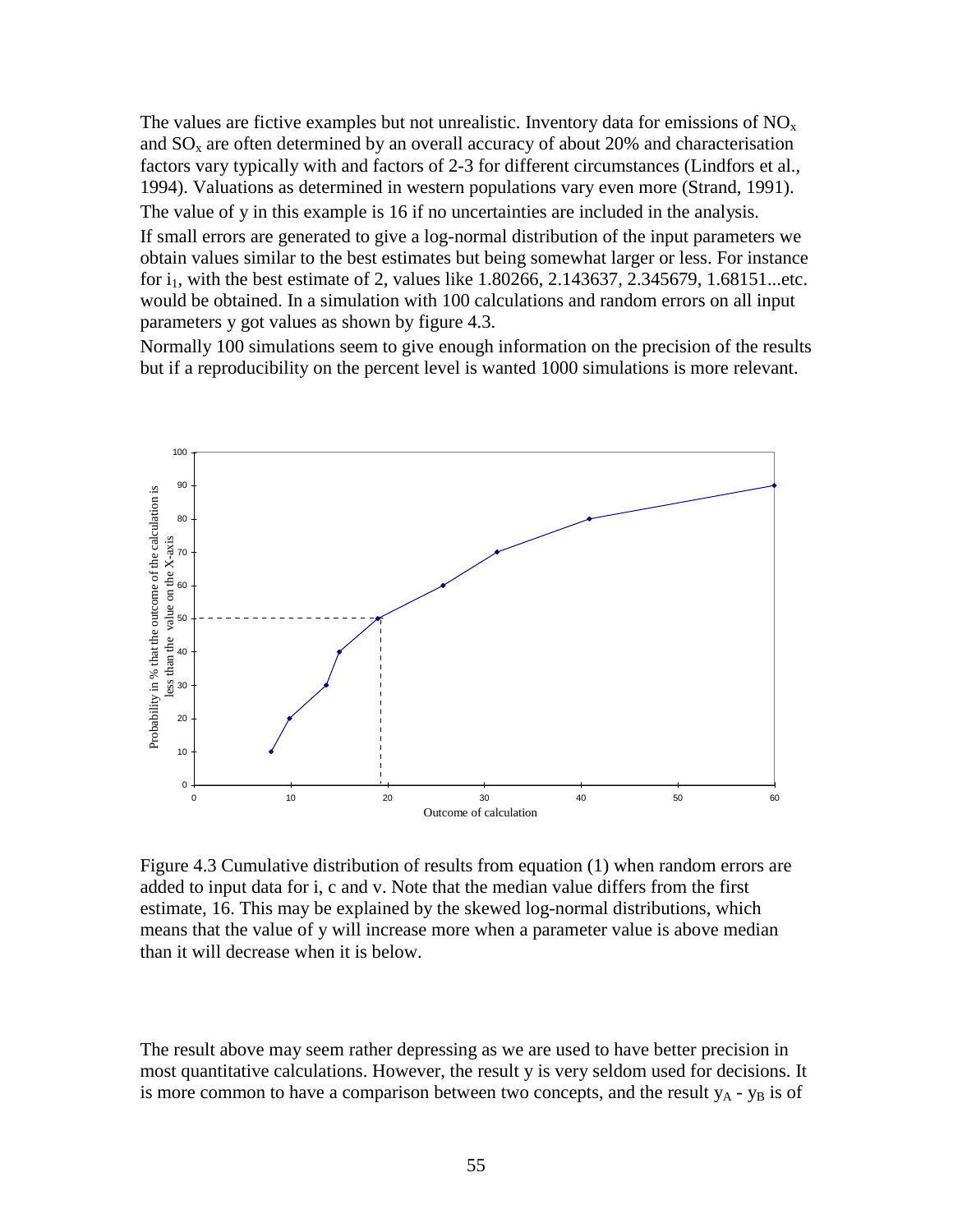The values are fictive examples but not unrealistic. Inventory data for emissions of  $NO<sub>x</sub>$ and  $SO<sub>x</sub>$  are often determined by an overall accuracy of about 20% and characterisation factors vary typically with and factors of 2-3 for different circumstances (Lindfors et al., 1994). Valuations as determined in western populations vary even more (Strand, 1991). The value of y in this example is 16 if no uncertainties are included in the analysis. If small errors are generated to give a log-normal distribution of the input parameters we obtain values similar to the best estimates but being somewhat larger or less. For instance for  $i_1$ , with the best estimate of 2, values like 1.80266, 2.143637, 2.345679, 1.68151...etc. would be obtained. In a simulation with 100 calculations and random errors on all input parameters y got values as shown by figure 4.3.

Normally 100 simulations seem to give enough information on the precision of the results but if a reproducibility on the percent level is wanted 1000 simulations is more relevant.



Figure 4.3 Cumulative distribution of results from equation (1) when random errors are added to input data for i, c and v. Note that the median value differs from the first estimate, 16. This may be explained by the skewed log-normal distributions, which means that the value of y will increase more when a parameter value is above median than it will decrease when it is below.

The result above may seem rather depressing as we are used to have better precision in most quantitative calculations. However, the result y is very seldom used for decisions. It is more common to have a comparison between two concepts, and the result  $y_A - y_B$  is of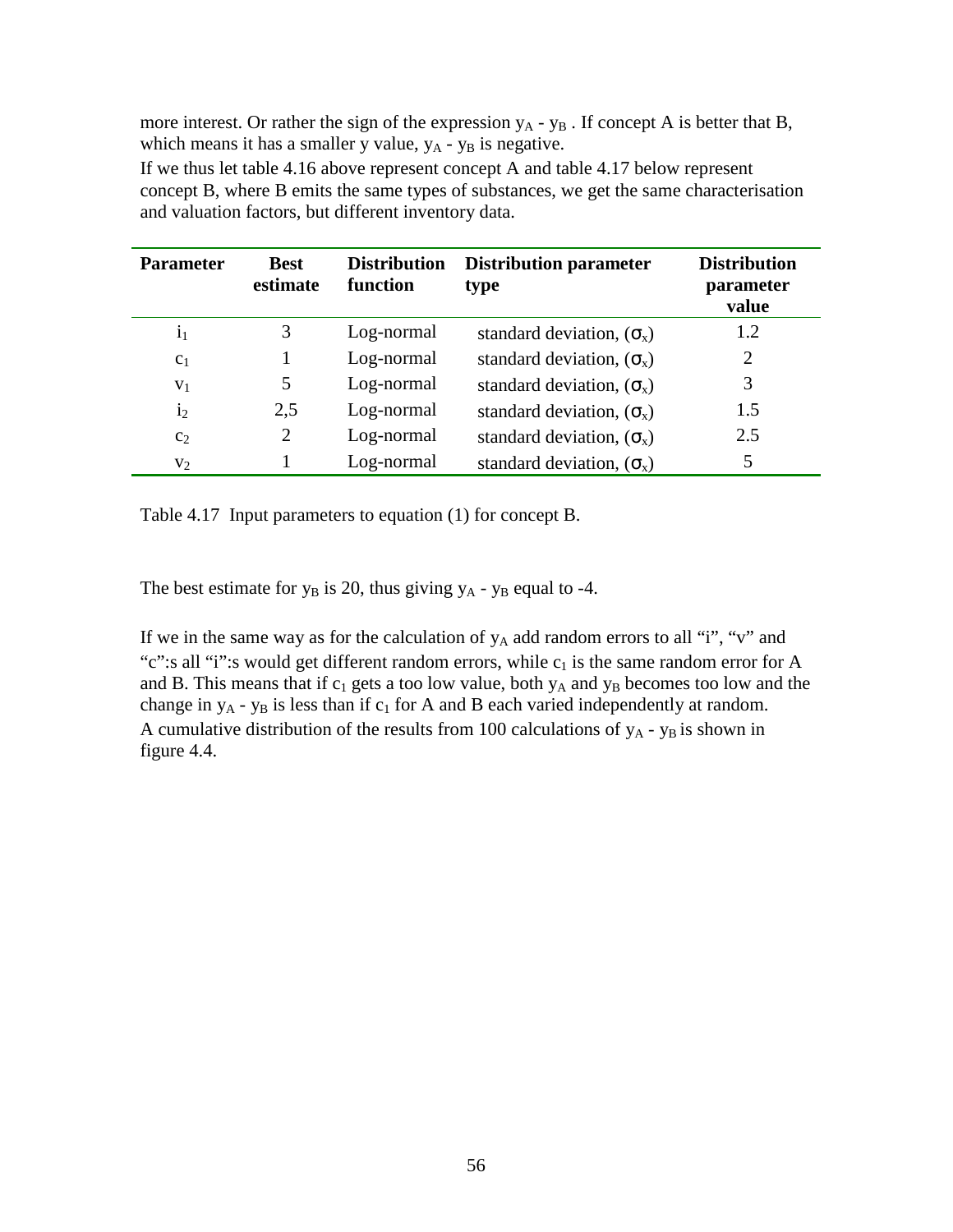more interest. Or rather the sign of the expression  $y_A - y_B$ . If concept A is better that B, which means it has a smaller y value,  $y_A - y_B$  is negative.

If we thus let table 4.16 above represent concept A and table 4.17 below represent concept B, where B emits the same types of substances, we get the same characterisation and valuation factors, but different inventory data.

| <b>Parameter</b> | <b>Best</b><br>estimate | <b>Distribution</b><br>function | <b>Distribution parameter</b><br>type | <b>Distribution</b><br>parameter<br>value |
|------------------|-------------------------|---------------------------------|---------------------------------------|-------------------------------------------|
| $\mathbf{1}_1$   | 3                       | Log-normal                      | standard deviation, $(\sigma_x)$      | 1.2                                       |
| C <sub>1</sub>   |                         | Log-normal                      | standard deviation, $(\sigma_x)$      | 2                                         |
| $V_1$            | 5                       | Log-normal                      | standard deviation, $(\sigma_x)$      | 3                                         |
| 1 <sub>2</sub>   | 2,5                     | Log-normal                      | standard deviation, $(\sigma_x)$      | 1.5                                       |
| c <sub>2</sub>   | $\overline{2}$          | Log-normal                      | standard deviation, $(\sigma_x)$      | 2.5                                       |
| V <sub>2</sub>   |                         | Log-normal                      | standard deviation, $(\sigma_x)$      | 5                                         |

Table 4.17 Input parameters to equation (1) for concept B.

The best estimate for  $y_B$  is 20, thus giving  $y_A - y_B$  equal to -4.

If we in the same way as for the calculation of  $y_A$  add random errors to all "i", "v" and "c":s all "i":s would get different random errors, while  $c_1$  is the same random error for A and B. This means that if  $c_1$  gets a too low value, both  $y_A$  and  $y_B$  becomes too low and the change in  $y_A$  -  $y_B$  is less than if  $c_1$  for A and B each varied independently at random. A cumulative distribution of the results from 100 calculations of  $y_A - y_B$  is shown in figure 4.4.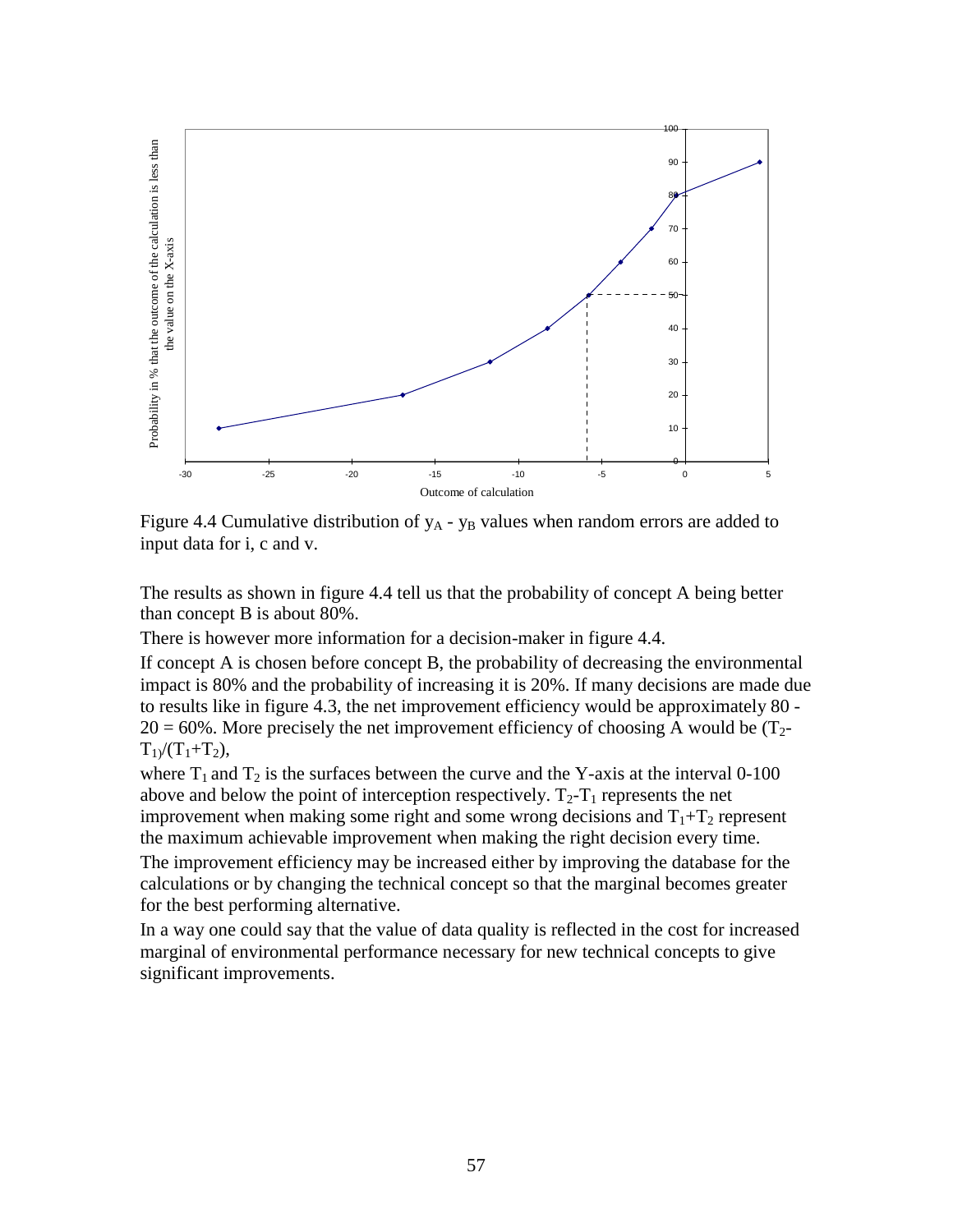

Figure 4.4 Cumulative distribution of  $y_A - y_B$  values when random errors are added to input data for i, c and v.

The results as shown in figure 4.4 tell us that the probability of concept A being better than concept B is about 80%.

There is however more information for a decision-maker in figure 4.4.

If concept A is chosen before concept B, the probability of decreasing the environmental impact is 80% and the probability of increasing it is 20%. If many decisions are made due to results like in figure 4.3, the net improvement efficiency would be approximately 80 -  $20 = 60\%$ . More precisely the net improvement efficiency of choosing A would be  $(T_2 - T_1)$  $T_1/(T_1+T_2)$ ,

where  $T_1$  and  $T_2$  is the surfaces between the curve and the Y-axis at the interval 0-100 above and below the point of interception respectively.  $T_2 - T_1$  represents the net improvement when making some right and some wrong decisions and  $T_1+T_2$  represent the maximum achievable improvement when making the right decision every time.

The improvement efficiency may be increased either by improving the database for the calculations or by changing the technical concept so that the marginal becomes greater for the best performing alternative.

In a way one could say that the value of data quality is reflected in the cost for increased marginal of environmental performance necessary for new technical concepts to give significant improvements.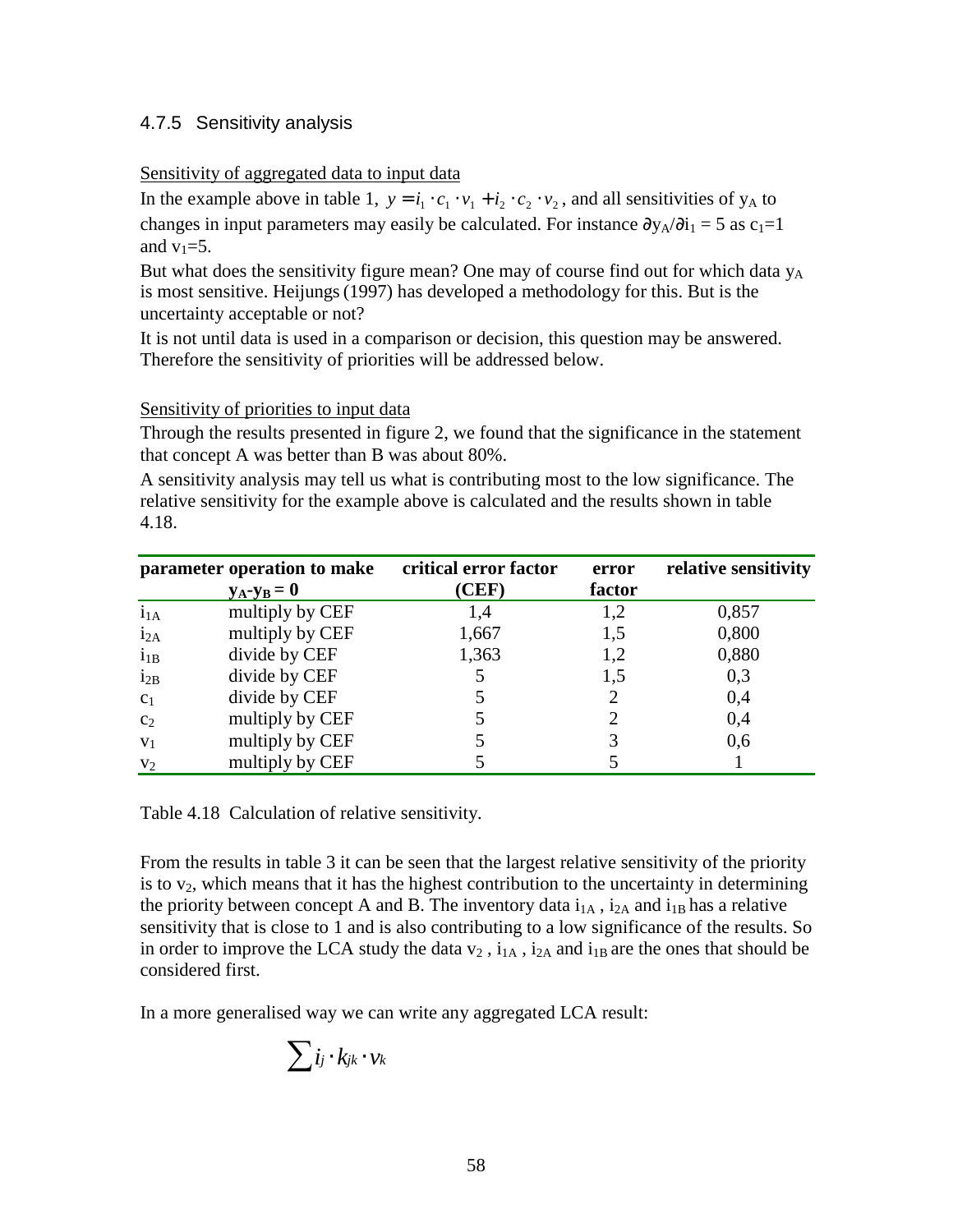#### <span id="page-58-0"></span>4.7.5 Sensitivity analysis

#### Sensitivity of aggregated data to input data

In the example above in table 1,  $y = i_1 \cdot c_1 \cdot v_1 + i_2 \cdot c_2 \cdot v_2$ , and all sensitivities of  $y_A$  to

changes in input parameters may easily be calculated. For instance  $\partial y_A/\partial i_1 = 5$  as c<sub>1</sub>=1 and  $v_1=5$ .

But what does the sensitivity figure mean? One may of course find out for which data y<sub>A</sub> is most sensitive. Heijungs(1997) has developed a methodology for this. But is the uncertainty acceptable or not?

It is not until data is used in a comparison or decision, this question may be answered. Therefore the sensitivity of priorities will be addressed below.

#### Sensitivity of priorities to input data

Through the results presented in figure 2, we found that the significance in the statement that concept A was better than B was about 80%.

A sensitivity analysis may tell us what is contributing most to the low significance. The relative sensitivity for the example above is calculated and the results shown in table 4.18.

|                | parameter operation to make | critical error factor | error  | relative sensitivity |
|----------------|-----------------------------|-----------------------|--------|----------------------|
|                | $y_A - y_B = 0$             | (CEF)                 | factor |                      |
| $1_{1A}$       | multiply by CEF             | 1,4                   | 1,2    | 0,857                |
| 12A            | multiply by CEF             | 1,667                 | 1,5    | 0,800                |
| $1_{1B}$       | divide by CEF               | 1,363                 | 1,2    | 0,880                |
| 12B            | divide by CEF               |                       | 1,5    | 0,3                  |
| C <sub>1</sub> | divide by CEF               |                       |        | 0,4                  |
| C <sub>2</sub> | multiply by CEF             |                       |        | 0,4                  |
| V <sub>1</sub> | multiply by CEF             |                       |        | 0,6                  |
| V <sub>2</sub> | multiply by CEF             |                       |        |                      |

Table 4.18 Calculation of relative sensitivity.

From the results in table 3 it can be seen that the largest relative sensitivity of the priority is to  $v_2$ , which means that it has the highest contribution to the uncertainty in determining the priority between concept A and B. The inventory data  $i_{1A}$ ,  $i_{2A}$  and  $i_{1B}$  has a relative sensitivity that is close to 1 and is also contributing to a low significance of the results. So in order to improve the LCA study the data  $v_2$ ,  $i_{1A}$ ,  $i_{2A}$  and  $i_{1B}$  are the ones that should be considered first.

In a more generalised way we can write any aggregated LCA result:

$$
\sum i_j \cdot k_{jk} \cdot \nu_k
$$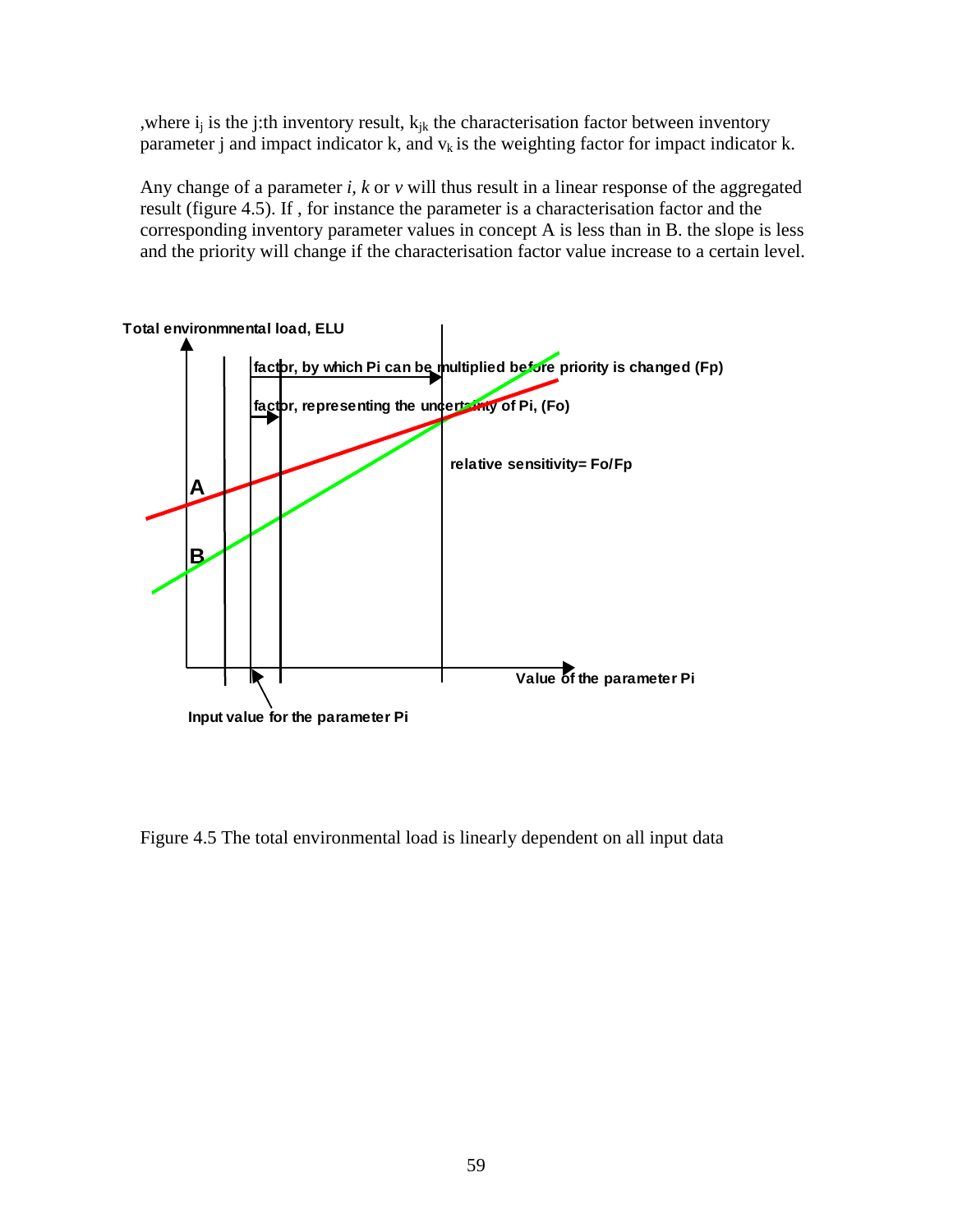, where  $i_i$  is the j:th inventory result,  $k_{ik}$  the characterisation factor between inventory parameter j and impact indicator k, and  $v_k$  is the weighting factor for impact indicator k.

Any change of a parameter *i, k* or *v* will thus result in a linear response of the aggregated result (figure 4.5). If , for instance the parameter is a characterisation factor and the corresponding inventory parameter values in concept A is less than in B. the slope is less and the priority will change if the characterisation factor value increase to a certain level.



Figure 4.5 The total environmental load is linearly dependent on all input data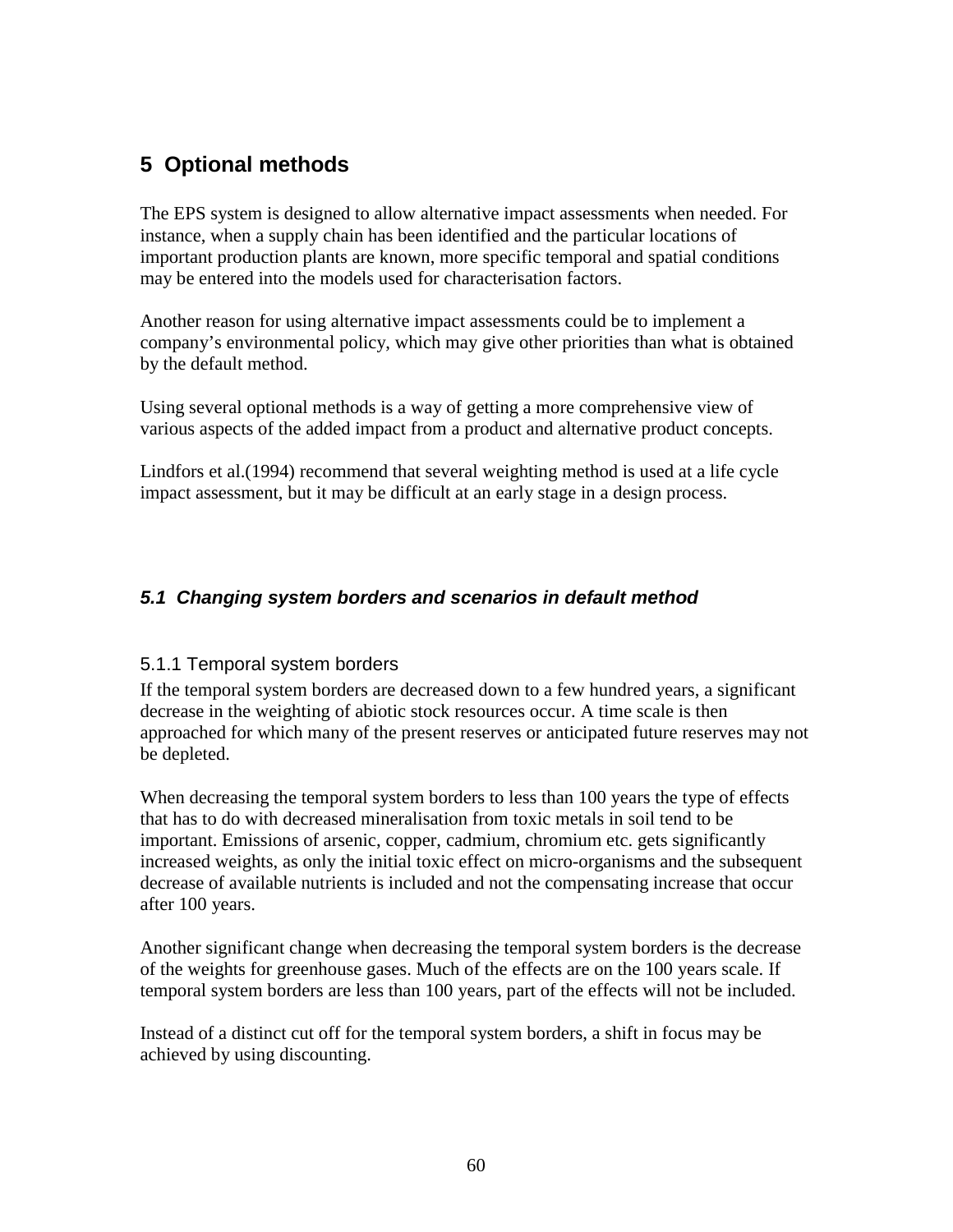# <span id="page-60-0"></span>**5 Optional methods**

The EPS system is designed to allow alternative impact assessments when needed. For instance, when a supply chain has been identified and the particular locations of important production plants are known, more specific temporal and spatial conditions may be entered into the models used for characterisation factors.

Another reason for using alternative impact assessments could be to implement a company's environmental policy, which may give other priorities than what is obtained by the default method.

Using several optional methods is a way of getting a more comprehensive view of various aspects of the added impact from a product and alternative product concepts.

Lindfors et al.(1994) recommend that several weighting method is used at a life cycle impact assessment, but it may be difficult at an early stage in a design process.

# *5.1 Changing system borders and scenarios in default method*

# 5.1.1 Temporal system borders

If the temporal system borders are decreased down to a few hundred years, a significant decrease in the weighting of abiotic stock resources occur. A time scale is then approached for which many of the present reserves or anticipated future reserves may not be depleted.

When decreasing the temporal system borders to less than 100 years the type of effects that has to do with decreased mineralisation from toxic metals in soil tend to be important. Emissions of arsenic, copper, cadmium, chromium etc. gets significantly increased weights, as only the initial toxic effect on micro-organisms and the subsequent decrease of available nutrients is included and not the compensating increase that occur after 100 years.

Another significant change when decreasing the temporal system borders is the decrease of the weights for greenhouse gases. Much of the effects are on the 100 years scale. If temporal system borders are less than 100 years, part of the effects will not be included.

Instead of a distinct cut off for the temporal system borders, a shift in focus may be achieved by using discounting.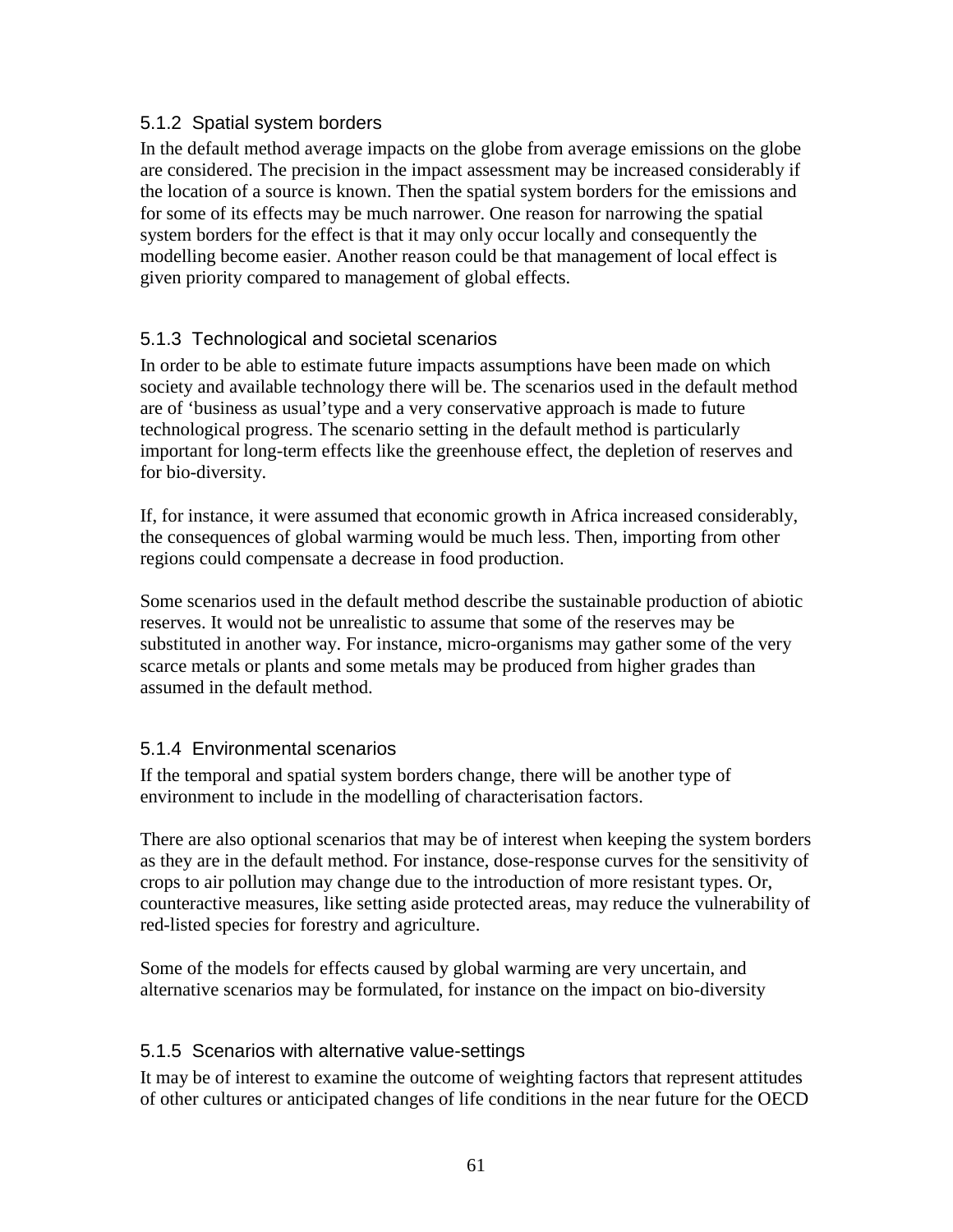# <span id="page-61-0"></span>5.1.2 Spatial system borders

In the default method average impacts on the globe from average emissions on the globe are considered. The precision in the impact assessment may be increased considerably if the location of a source is known. Then the spatial system borders for the emissions and for some of its effects may be much narrower. One reason for narrowing the spatial system borders for the effect is that it may only occur locally and consequently the modelling become easier. Another reason could be that management of local effect is given priority compared to management of global effects.

# 5.1.3 Technological and societal scenarios

In order to be able to estimate future impacts assumptions have been made on which society and available technology there will be. The scenarios used in the default method are of 'business as usual'type and a very conservative approach is made to future technological progress. The scenario setting in the default method is particularly important for long-term effects like the greenhouse effect, the depletion of reserves and for bio-diversity.

If, for instance, it were assumed that economic growth in Africa increased considerably, the consequences of global warming would be much less. Then, importing from other regions could compensate a decrease in food production.

Some scenarios used in the default method describe the sustainable production of abiotic reserves. It would not be unrealistic to assume that some of the reserves may be substituted in another way. For instance, micro-organisms may gather some of the very scarce metals or plants and some metals may be produced from higher grades than assumed in the default method.

# 5.1.4 Environmental scenarios

If the temporal and spatial system borders change, there will be another type of environment to include in the modelling of characterisation factors.

There are also optional scenarios that may be of interest when keeping the system borders as they are in the default method. For instance, dose-response curves for the sensitivity of crops to air pollution may change due to the introduction of more resistant types. Or, counteractive measures, like setting aside protected areas, may reduce the vulnerability of red-listed species for forestry and agriculture.

Some of the models for effects caused by global warming are very uncertain, and alternative scenarios may be formulated, for instance on the impact on bio-diversity

# 5.1.5 Scenarios with alternative value-settings

It may be of interest to examine the outcome of weighting factors that represent attitudes of other cultures or anticipated changes of life conditions in the near future for the OECD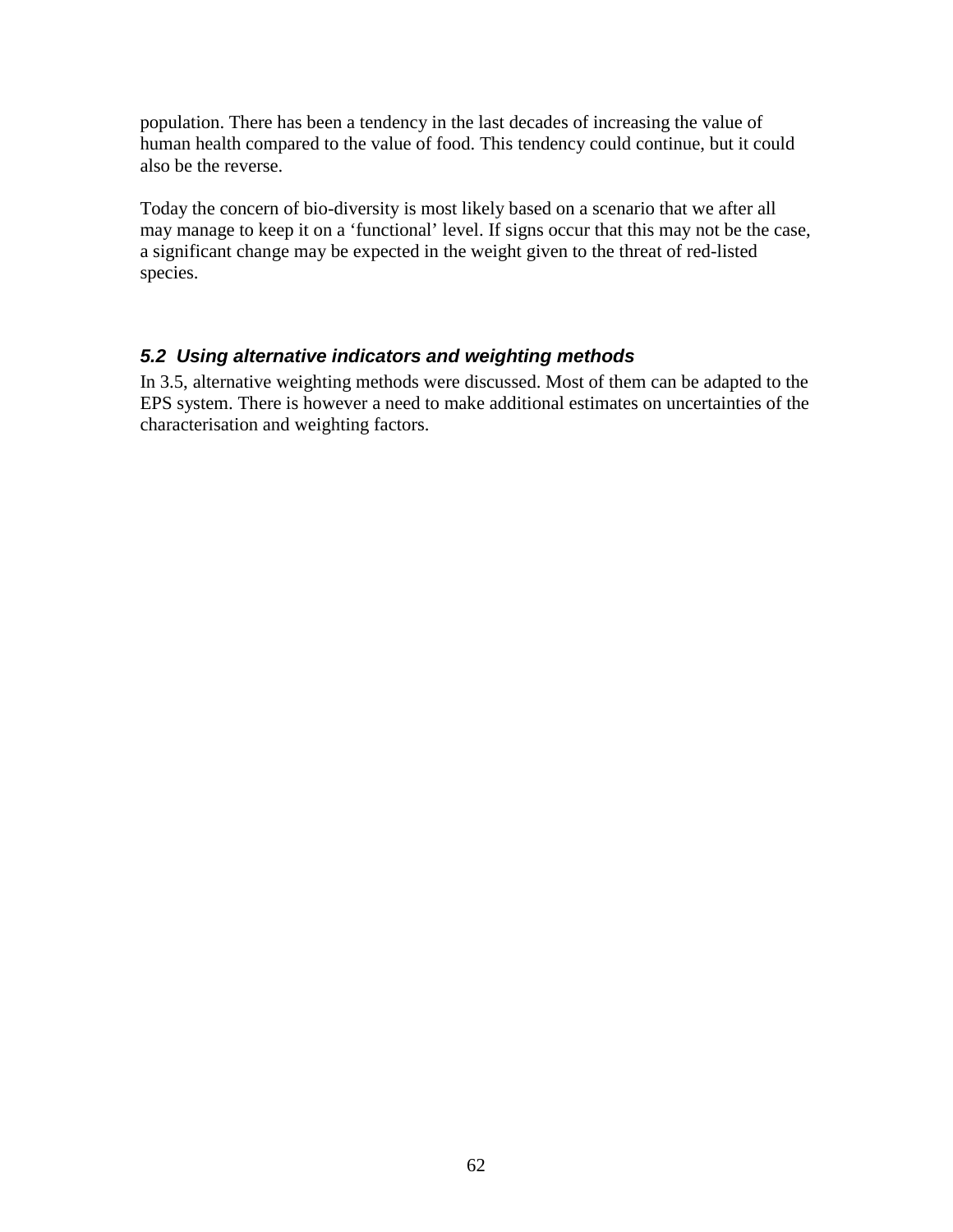<span id="page-62-0"></span>population. There has been a tendency in the last decades of increasing the value of human health compared to the value of food. This tendency could continue, but it could also be the reverse.

Today the concern of bio-diversity is most likely based on a scenario that we after all may manage to keep it on a 'functional' level. If signs occur that this may not be the case, a significant change may be expected in the weight given to the threat of red-listed species.

# *5.2 Using alternative indicators and weighting methods*

In 3.5, alternative weighting methods were discussed. Most of them can be adapted to the EPS system. There is however a need to make additional estimates on uncertainties of the characterisation and weighting factors.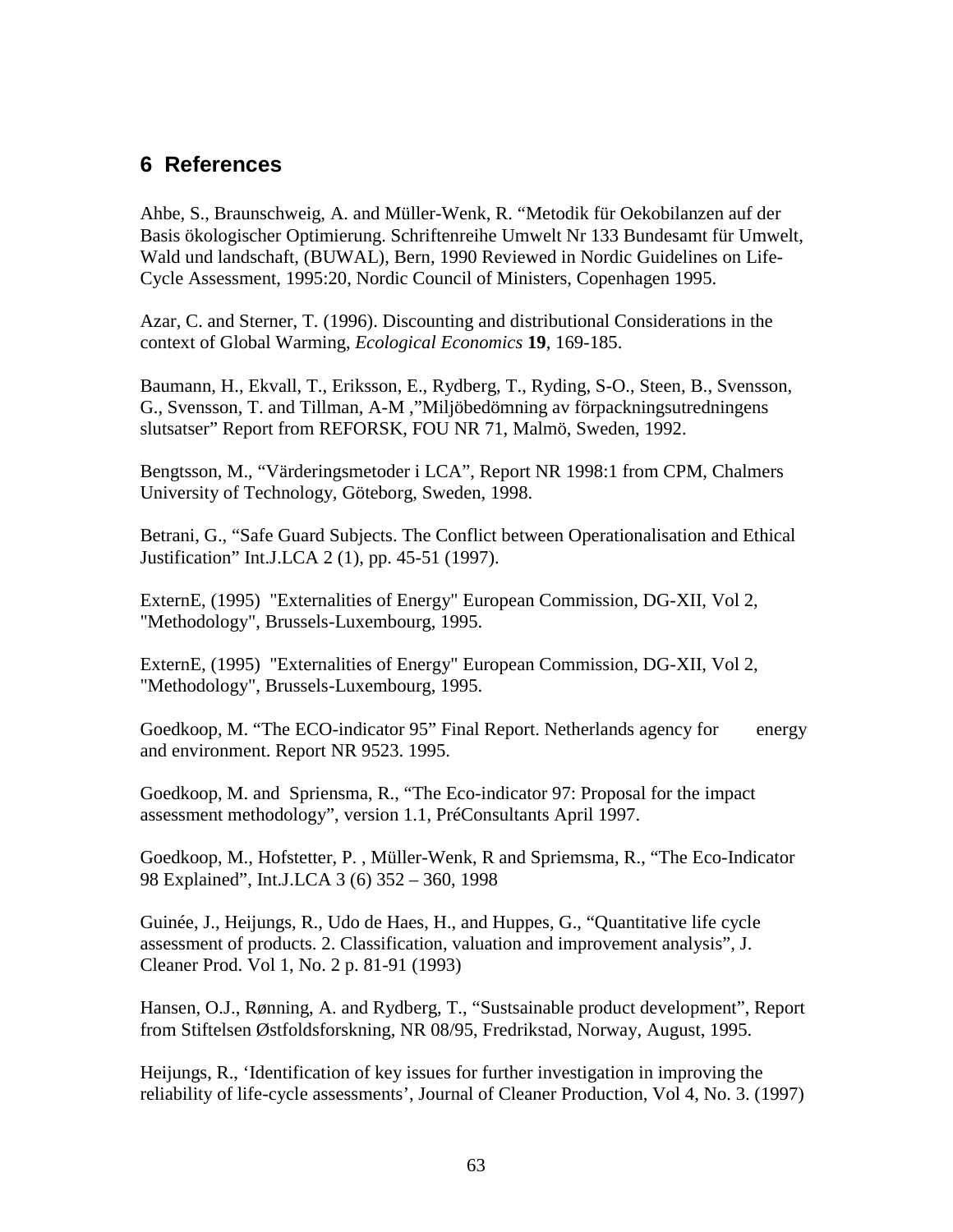# <span id="page-63-0"></span>**6 References**

Ahbe, S., Braunschweig, A. and Müller-Wenk, R. "Metodik für Oekobilanzen auf der Basis ökologischer Optimierung. Schriftenreihe Umwelt Nr 133 Bundesamt für Umwelt, Wald und landschaft, (BUWAL), Bern, 1990 Reviewed in Nordic Guidelines on Life-Cycle Assessment, 1995:20, Nordic Council of Ministers, Copenhagen 1995.

Azar, C. and Sterner, T. (1996). Discounting and distributional Considerations in the context of Global Warming, *Ecological Economics* **19**, 169-185.

Baumann, H., Ekvall, T., Eriksson, E., Rydberg, T., Ryding, S-O., Steen, B., Svensson, G., Svensson, T. and Tillman, A-M ,"Miljöbedömning av förpackningsutredningens slutsatser" Report from REFORSK, FOU NR 71, Malmö, Sweden, 1992.

Bengtsson, M., "Värderingsmetoder i LCA", Report NR 1998:1 from CPM, Chalmers University of Technology, Göteborg, Sweden, 1998.

Betrani, G., "Safe Guard Subjects. The Conflict between Operationalisation and Ethical Justification" Int.J.LCA 2 (1), pp. 45-51 (1997).

ExternE, (1995) "Externalities of Energy" European Commission, DG-XII, Vol 2, "Methodology", Brussels-Luxembourg, 1995.

ExternE, (1995) "Externalities of Energy" European Commission, DG-XII, Vol 2, "Methodology", Brussels-Luxembourg, 1995.

Goedkoop, M. "The ECO-indicator 95" Final Report. Netherlands agency for energy and environment. Report NR 9523. 1995.

Goedkoop, M. and Spriensma, R., "The Eco-indicator 97: Proposal for the impact assessment methodology", version 1.1, PréConsultants April 1997.

Goedkoop, M., Hofstetter, P. , Müller-Wenk, R and Spriemsma, R., "The Eco-Indicator 98 Explained", Int.J.LCA 3 (6) 352 – 360, 1998

Guinée, J., Heijungs, R., Udo de Haes, H., and Huppes, G., "Quantitative life cycle assessment of products. 2. Classification, valuation and improvement analysis", J. Cleaner Prod. Vol 1, No. 2 p. 81-91 (1993)

Hansen, O.J., Rønning, A. and Rydberg, T., "Sustsainable product development", Report from Stiftelsen Østfoldsforskning, NR 08/95, Fredrikstad, Norway, August, 1995.

Heijungs, R., 'Identification of key issues for further investigation in improving the reliability of life-cycle assessments', Journal of Cleaner Production, Vol 4, No. 3. (1997)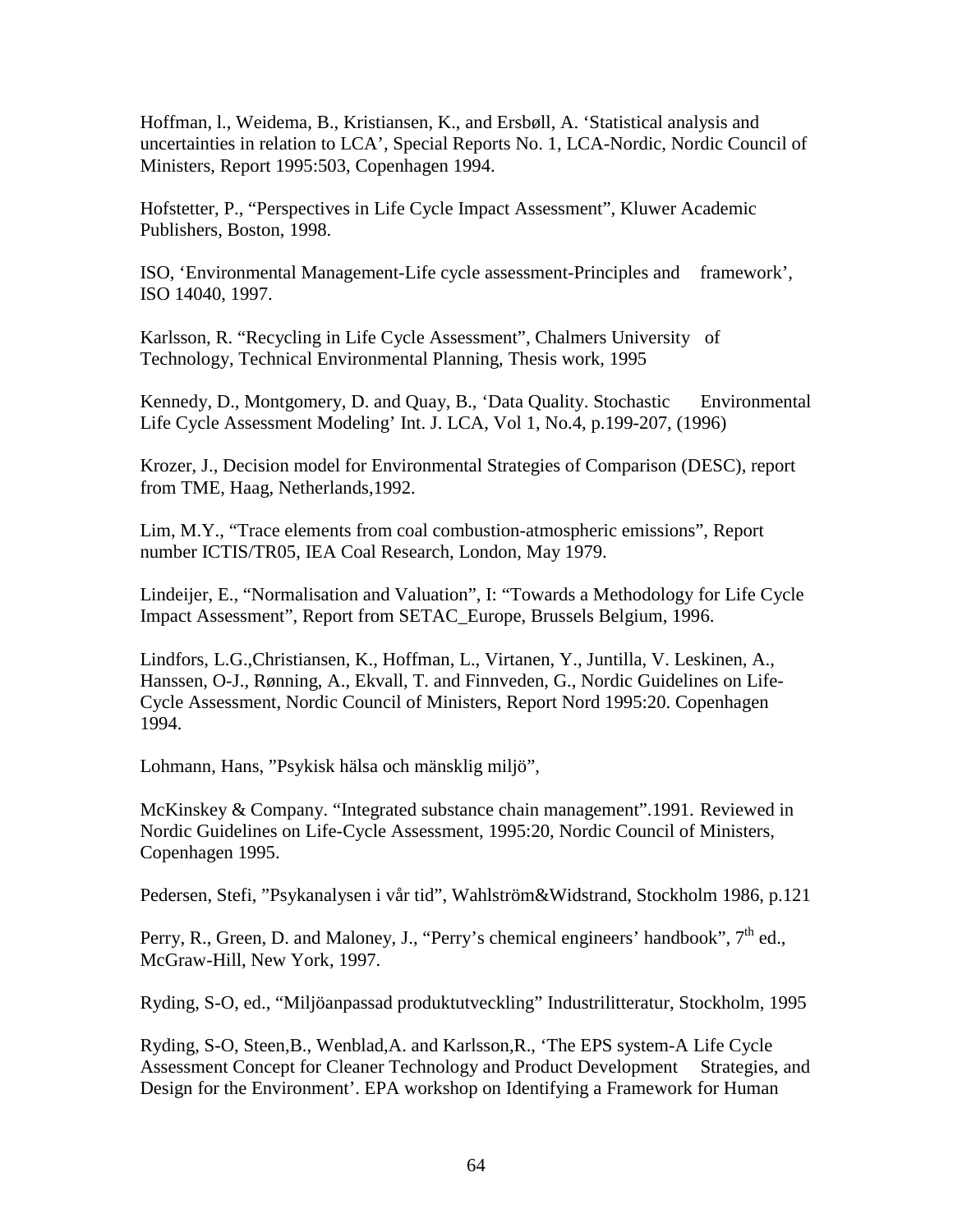Hoffman, l., Weidema, B., Kristiansen, K., and Ersbøll, A. 'Statistical analysis and uncertainties in relation to LCA', Special Reports No. 1, LCA-Nordic, Nordic Council of Ministers, Report 1995:503, Copenhagen 1994.

Hofstetter, P., "Perspectives in Life Cycle Impact Assessment", Kluwer Academic Publishers, Boston, 1998.

ISO, 'Environmental Management-Life cycle assessment-Principles and framework', ISO 14040, 1997.

Karlsson, R. "Recycling in Life Cycle Assessment", Chalmers University of Technology, Technical Environmental Planning, Thesis work, 1995

Kennedy, D., Montgomery, D. and Quay, B., 'Data Quality. Stochastic Environmental Life Cycle Assessment Modeling' Int. J. LCA, Vol 1, No.4, p.199-207, (1996)

Krozer, J., Decision model for Environmental Strategies of Comparison (DESC), report from TME, Haag, Netherlands,1992.

Lim, M.Y., "Trace elements from coal combustion-atmospheric emissions", Report number ICTIS/TR05, IEA Coal Research, London, May 1979.

Lindeijer, E., "Normalisation and Valuation", I: "Towards a Methodology for Life Cycle Impact Assessment", Report from SETAC\_Europe, Brussels Belgium, 1996.

Lindfors, L.G.,Christiansen, K., Hoffman, L., Virtanen, Y., Juntilla, V. Leskinen, A., Hanssen, O-J., Rønning, A., Ekvall, T. and Finnveden, G., Nordic Guidelines on Life-Cycle Assessment, Nordic Council of Ministers, Report Nord 1995:20. Copenhagen 1994.

Lohmann, Hans, "Psykisk hälsa och mänsklig miljö",

McKinskey & Company. "Integrated substance chain management".1991. Reviewed in Nordic Guidelines on Life-Cycle Assessment, 1995:20, Nordic Council of Ministers, Copenhagen 1995.

Pedersen, Stefi, "Psykanalysen i vår tid", Wahlström&Widstrand, Stockholm 1986, p.121

Perry, R., Green, D. and Maloney, J., "Perry's chemical engineers' handbook", 7<sup>th</sup> ed., McGraw-Hill, New York, 1997.

Ryding, S-O, ed., "Miljöanpassad produktutveckling" Industrilitteratur, Stockholm, 1995

Ryding, S-O, Steen,B., Wenblad,A. and Karlsson,R., 'The EPS system-A Life Cycle Assessment Concept for Cleaner Technology and Product Development Strategies, and Design for the Environment'. EPA workshop on Identifying a Framework for Human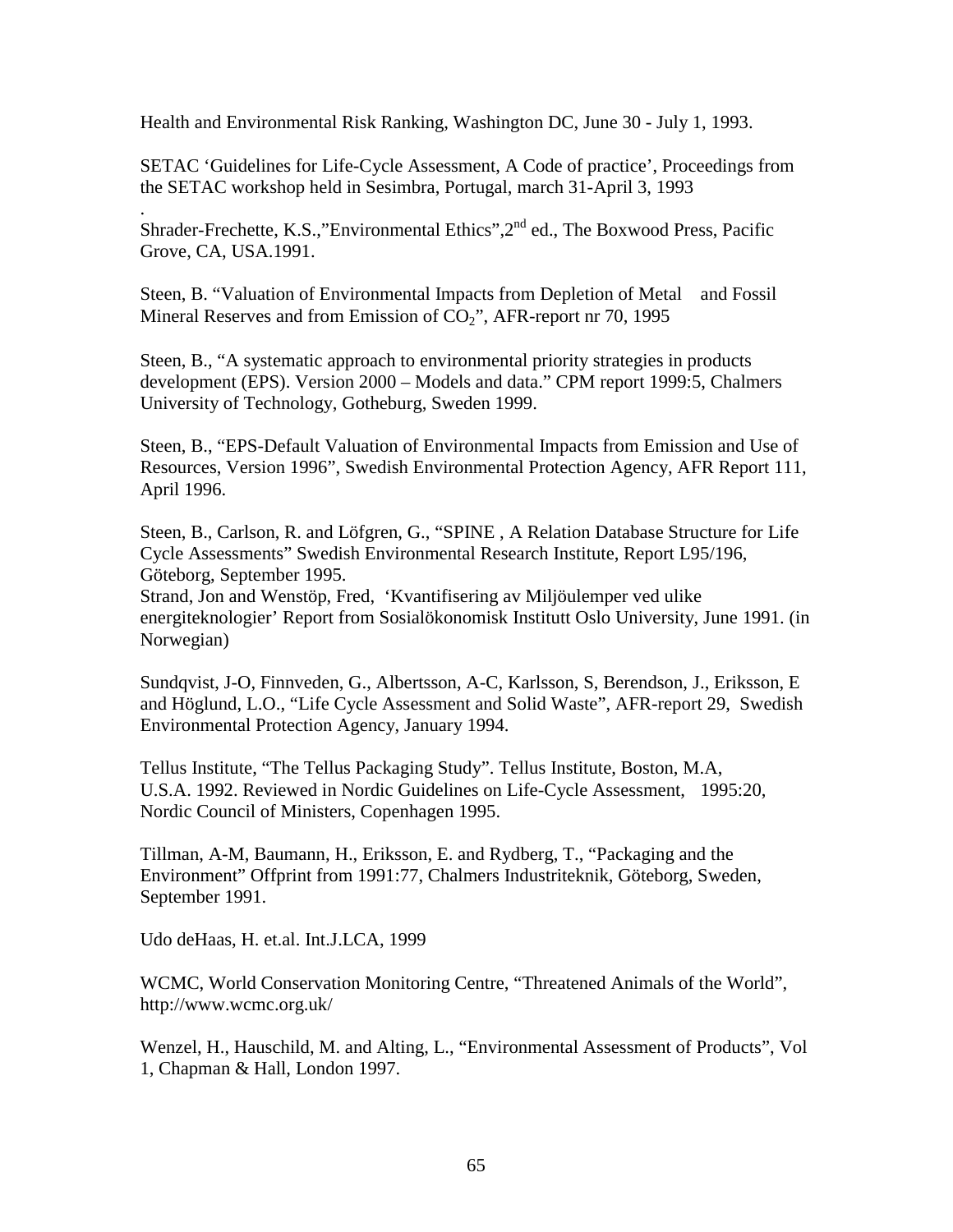Health and Environmental Risk Ranking, Washington DC, June 30 - July 1, 1993.

SETAC 'Guidelines for Life-Cycle Assessment, A Code of practice', Proceedings from the SETAC workshop held in Sesimbra, Portugal, march 31-April 3, 1993

Shrader-Frechette, K.S.,"Environmental Ethics",2<sup>nd</sup> ed., The Boxwood Press, Pacific Grove, CA, USA.1991.

Steen, B. "Valuation of Environmental Impacts from Depletion of Metal and Fossil Mineral Reserves and from Emission of  $CO<sub>2</sub>$ ", AFR-report nr 70, 1995

Steen, B., "A systematic approach to environmental priority strategies in products development (EPS). Version 2000 – Models and data." CPM report 1999:5, Chalmers University of Technology, Gotheburg, Sweden 1999.

Steen, B., "EPS-Default Valuation of Environmental Impacts from Emission and Use of Resources, Version 1996", Swedish Environmental Protection Agency, AFR Report 111, April 1996.

Steen, B., Carlson, R. and Löfgren, G., "SPINE , A Relation Database Structure for Life Cycle Assessments" Swedish Environmental Research Institute, Report L95/196, Göteborg, September 1995.

Strand, Jon and Wenstöp, Fred, 'Kvantifisering av Miljöulemper ved ulike energiteknologier' Report from Sosialökonomisk Institutt Oslo University, June 1991. (in Norwegian)

Sundqvist, J-O, Finnveden, G., Albertsson, A-C, Karlsson, S, Berendson, J., Eriksson, E and Höglund, L.O., "Life Cycle Assessment and Solid Waste", AFR-report 29, Swedish Environmental Protection Agency, January 1994.

Tellus Institute, "The Tellus Packaging Study". Tellus Institute, Boston, M.A, U.S.A. 1992. Reviewed in Nordic Guidelines on Life-Cycle Assessment, 1995:20, Nordic Council of Ministers, Copenhagen 1995.

Tillman, A-M, Baumann, H., Eriksson, E. and Rydberg, T., "Packaging and the Environment" Offprint from 1991:77, Chalmers Industriteknik, Göteborg, Sweden, September 1991.

Udo deHaas, H. et.al. Int.J.LCA, 1999

.

WCMC, World Conservation Monitoring Centre, "Threatened Animals of the World", http://www.wcmc.org.uk/

Wenzel, H., Hauschild, M. and Alting, L., "Environmental Assessment of Products", Vol 1, Chapman & Hall, London 1997.